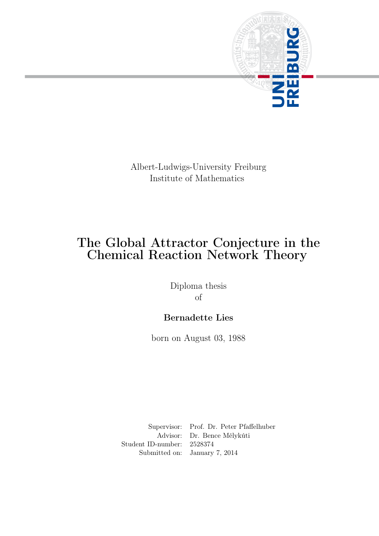

Albert-Ludwigs-University Freiburg Institute of Mathematics

# The Global Attractor Conjecture in the Chemical Reaction Network Theory

Diploma thesis of

## Bernadette Lies

born on August 03, 1988

Supervisor: Prof. Dr. Peter Pfaffelhuber Advisor: Dr. Bence Mélykúti Student ID-number: 2528374 Submitted on: January 7, 2014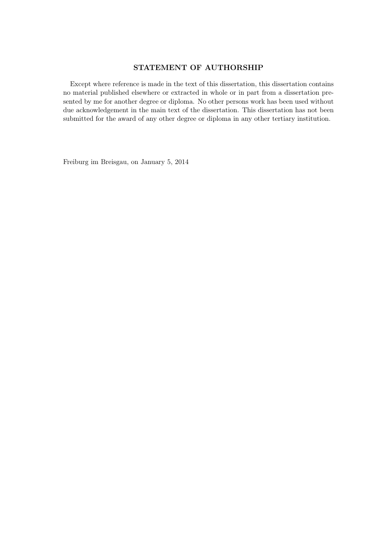### STATEMENT OF AUTHORSHIP

Except where reference is made in the text of this dissertation, this dissertation contains no material published elsewhere or extracted in whole or in part from a dissertation presented by me for another degree or diploma. No other persons work has been used without due acknowledgement in the main text of the dissertation. This dissertation has not been submitted for the award of any other degree or diploma in any other tertiary institution.

Freiburg im Breisgau, on January 5, 2014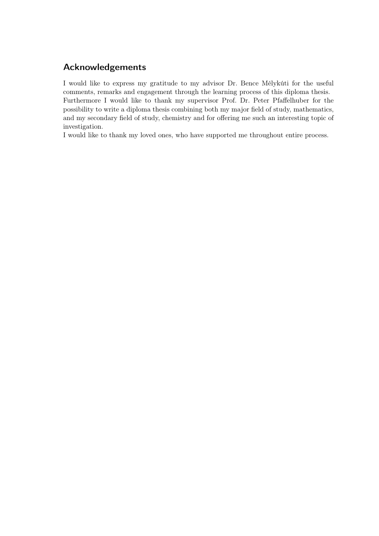## Acknowledgements

I would like to express my gratitude to my advisor Dr. Bence Mélykúti for the useful comments, remarks and engagement through the learning process of this diploma thesis. Furthermore I would like to thank my supervisor Prof. Dr. Peter Pfaffelhuber for the possibility to write a diploma thesis combining both my major field of study, mathematics, and my secondary field of study, chemistry and for offering me such an interesting topic of investigation.

I would like to thank my loved ones, who have supported me throughout entire process.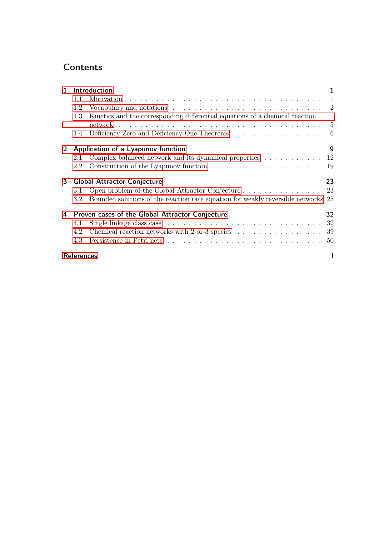## **Contents**

| $\mathbf{1}$ |                                    | Introduction                                                                                  | 1              |
|--------------|------------------------------------|-----------------------------------------------------------------------------------------------|----------------|
|              | 1.1                                |                                                                                               | $\overline{1}$ |
|              | 1.2                                |                                                                                               | $\overline{2}$ |
|              | 1.3                                | Kinetics and the corresponding differential equations of a chemical reaction                  |                |
|              |                                    |                                                                                               | -5             |
|              | 1.4                                |                                                                                               | 6              |
| 2            | Application of a Lyapunov function |                                                                                               | 9              |
|              | 2.1                                | Complex balanced network and its dynamical properties $\ldots \ldots \ldots \ldots$ 12        |                |
|              | 2.2                                |                                                                                               | -19            |
|              |                                    |                                                                                               |                |
|              |                                    | <b>Global Attractor Conjecture</b>                                                            | 23             |
| 3            | 3.1                                | Open problem of the Global Attractor Conjecture                                               | 23             |
|              | 3.2                                | Bounded solutions of the reaction rate equation for weakly reversible networks 25             |                |
|              |                                    | Proven cases of the Global Attractor Conjecture                                               | 32             |
|              | 4.1                                | Single linkage class case $\ldots \ldots \ldots \ldots \ldots \ldots \ldots \ldots \ldots 32$ |                |
|              | 4.2                                | Chemical reaction networks with 2 or 3 species $\ldots \ldots \ldots \ldots \ldots$           | 39             |
| 4            | 4.3                                |                                                                                               | 50             |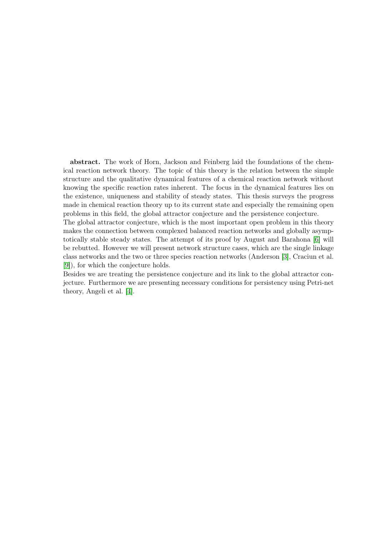abstract. The work of Horn, Jackson and Feinberg laid the foundations of the chemical reaction network theory. The topic of this theory is the relation between the simple structure and the qualitative dynamical features of a chemical reaction network without knowing the specific reaction rates inherent. The focus in the dynamical features lies on the existence, uniqueness and stability of steady states. This thesis surveys the progress made in chemical reaction theory up to its current state and especially the remaining open problems in this field, the global attractor conjecture and the persistence conjecture.

The global attractor conjecture, which is the most important open problem in this theory makes the connection between complexed balanced reaction networks and globally asymptotically stable steady states. The attempt of its proof by August and Barahona [\[6\]](#page-65-1) will be rebutted. However we will present network structure cases, which are the single linkage class networks and the two or three species reaction networks (Anderson [\[3\]](#page-65-2), Craciun et al. [\[9\]](#page-65-3)), for which the conjecture holds.

Besides we are treating the persistence conjecture and its link to the global attractor conjecture. Furthermore we are presenting necessary conditions for persistency using Petri-net theory, Angeli et al. [\[4\]](#page-65-4).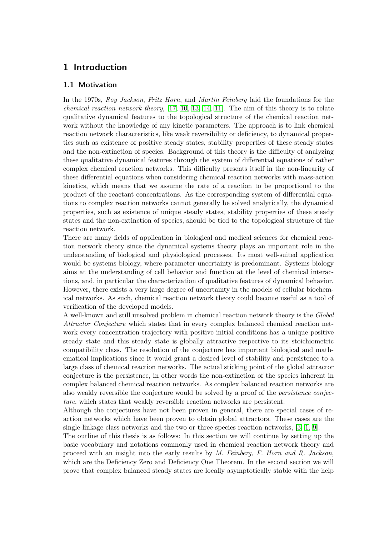### <span id="page-10-0"></span>1 Introduction

### <span id="page-10-1"></span>1.1 Motivation

In the 1970s, Roy Jackson, Fritz Horn, and Martin Feinberg laid the foundations for the *chemical reaction network theory*,  $[17, 10, 13, 14, 11]$  $[17, 10, 13, 14, 11]$  $[17, 10, 13, 14, 11]$  $[17, 10, 13, 14, 11]$  $[17, 10, 13, 14, 11]$ . The aim of this theory is to relate qualitative dynamical features to the topological structure of the chemical reaction network without the knowledge of any kinetic parameters. The approach is to link chemical reaction network characteristics, like weak reversibility or deficiency, to dynamical properties such as existence of positive steady states, stability properties of these steady states and the non-extinction of species. Background of this theory is the difficulty of analyzing these qualitative dynamical features through the system of differential equations of rather complex chemical reaction networks. This difficulty presents itself in the non-linearity of these differential equations when considering chemical reaction networks with mass-action kinetics, which means that we assume the rate of a reaction to be proportional to the product of the reactant concentrations. As the corresponding system of differential equations to complex reaction networks cannot generally be solved analytically, the dynamical properties, such as existence of unique steady states, stability properties of these steady states and the non-extinction of species, should be tied to the topological structure of the reaction network.

There are many fields of application in biological and medical sciences for chemical reaction network theory since the dynamical systems theory plays an important role in the understanding of biological and physiological processes. Its most well-suited application would be systems biology, where parameter uncertainty is predominant. Systems biology aims at the understanding of cell behavior and function at the level of chemical interactions, and, in particular the characterization of qualitative features of dynamical behavior. However, there exists a very large degree of uncertainty in the models of cellular biochemical networks. As such, chemical reaction network theory could become useful as a tool of verification of the developed models.

A well-known and still unsolved problem in chemical reaction network theory is the Global Attractor Conjecture which states that in every complex balanced chemical reaction network every concentration trajectory with positive initial conditions has a unique positive steady state and this steady state is globally attractive respective to its stoichiometric compatibility class. The resolution of the conjecture has important biological and mathematical implications since it would grant a desired level of stability and persistence to a large class of chemical reaction networks. The actual sticking point of the global attractor conjecture is the persistence, in other words the non-extinction of the species inherent in complex balanced chemical reaction networks. As complex balanced reaction networks are also weakly reversible the conjecture would be solved by a proof of the persistence conjecture, which states that weakly reversible reaction networks are persistent.

Although the conjectures have not been proven in general, there are special cases of reaction networks which have been proven to obtain global attractors. These cases are the single linkage class networks and the two or three species reaction networks, [\[3,](#page-65-2) [1,](#page-65-7) [9\]](#page-65-3).

The outline of this thesis is as follows: In this section we will continue by setting up the basic vocabulary and notations commonly used in chemical reaction network theory and proceed with an insight into the early results by M. Feinberg, F. Horn and R. Jackson, which are the Deficiency Zero and Deficiency One Theorem. In the second section we will prove that complex balanced steady states are locally asymptotically stable with the help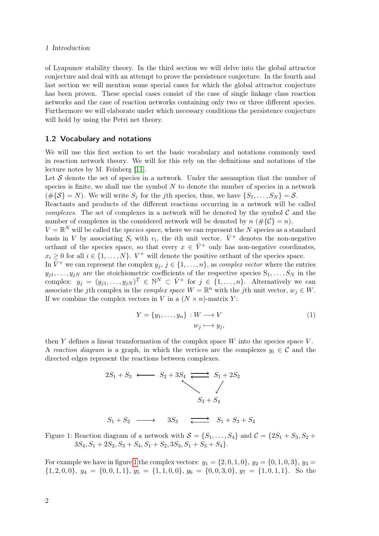### 1 Introduction

of Lyapunov stability theory. In the third section we will delve into the global attractor conjecture and deal with an attempt to prove the persistence conjecture. In the fourth and last section we will mention some special cases for which the global attractor conjecture has been proven. These special cases consist of the case of single linkage class reaction networks and the case of reaction networks containing only two or three different species. Furthermore we will elaborate under which necessary conditions the persistence conjecture will hold by using the Petri net theory.

### <span id="page-11-0"></span>1.2 Vocabulary and notations

We will use this first section to set the basic vocabulary and notations commonly used in reaction network theory. We will for this rely on the definitions and notations of the lecture notes by M. Feinberg [\[11\]](#page-65-6).

Let  $\mathcal S$  denote the set of species in a network. Under the assumption that the number of species is finite, we shall use the symbol  $N$  to denote the number of species in a network  $(\#\{\mathcal{S}\}=N)$ . We will write  $S_j$  for the jth species, thus, we have  $\{S_1,\ldots,S_N\}=\mathcal{S}$ .

Reactants and products of the different reactions occurring in a network will be called complexes. The set of complexes in a network will be denoted by the symbol  $\mathcal C$  and the number of complexes in the considered network will be denoted by  $n \ (\#\{\mathcal{C}\}=n)$ .

 $V = \mathbb{R}^N$  will be called the *species space*, where we can represent the N species as a standard basis in V by associating  $S_i$  with  $v_i$ , the *i*th unit vector.  $\bar{V}^+$  denotes the non-negative orthant of the species space, so that every  $x \in \overline{V}^+$  only has non-negative coordinates,  $x_i \geq 0$  for all  $i \in \{1, \ldots, N\}$ .  $V^+$  will denote the positive orthant of the species space.

In  $\bar{V}^+$  we can represent the complex  $y_j, j \in \{1, \ldots, n\}$ , as complex vector where the entries  $y_{j1}, \ldots, y_{jN}$  are the stoichiometric coefficients of the respective species  $S_1, \ldots, S_N$  in the complex:  $y_j = (y_{j1}, \ldots, y_{jN})^T \in \mathbb{N}^N \subset \overline{V}^+$  for  $j \in \{1, \ldots, n\}$ . Alternatively we can associate the jth complex in the *complex space*  $W = \mathbb{R}^n$  with the jth unit vector,  $w_j \in W$ . If we combine the complex vectors in V in a  $(N \times n)$ -matrix Y:

<span id="page-11-2"></span>
$$
Y = \{y_1, \dots, y_n\} : W \longrightarrow V
$$
  
\n
$$
w_j \longmapsto y_j,
$$
\n(1)

<span id="page-11-1"></span>then  $Y$  defines a linear transformation of the complex space  $W$  into the species space  $V$ . A reaction diagram is a graph, in which the vertices are the complexes  $y_i \in \mathcal{C}$  and the directed edges represent the reactions between complexes.

$$
2S_1 + S_3 \longleftrightarrow S_2 + 3S_4 \longleftrightarrow S_1 + 2S_2
$$
  

$$
S_3 + S_4
$$
  

$$
S_1 + S_2 \longrightarrow 3S_3 \longleftrightarrow S_1 + S_3 + S_4
$$

Figure 1: Reaction diagram of a network with  $S = \{S_1, \ldots, S_4\}$  and  $C = \{2S_1 + S_3, S_2 + S_4\}$  $3S_4, S_1 + 2S_2, S_3 + S_4, S_1 + S_2, 3S_3, S_1 + S_3 + S_4$ .

For example we have in figure [1](#page-11-1) the complex vectors:  $y_1 = \{2, 0, 1, 0\}$ ,  $y_2 = \{0, 1, 0, 3\}$ ,  $y_3 =$  $\{1, 2, 0, 0\}, y_4 = \{0, 0, 1, 1\}, y_5 = \{1, 1, 0, 0\}, y_6 = \{0, 0, 3, 0\}, y_7 = \{1, 0, 1, 1\}.$  So the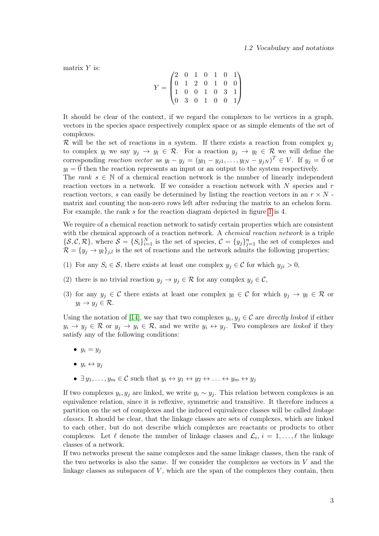matrix  $Y$  is:

$$
Y = \begin{pmatrix} 2 & 0 & 1 & 0 & 1 & 0 & 1 \\ 0 & 1 & 2 & 0 & 1 & 0 & 0 \\ 1 & 0 & 0 & 1 & 0 & 3 & 1 \\ 0 & 3 & 0 & 1 & 0 & 0 & 1 \end{pmatrix}
$$

It should be clear of the context, if we regard the complexes to be vertices in a graph, vectors in the species space respectively complex space or as simple elements of the set of complexes.

R will be the set of reactions in a system. If there exists a reaction from complex  $y_j$ to complex  $y_l$  we say  $y_j \to y_l \in \mathcal{R}$ . For a reaction  $y_j \to y_l \in \mathcal{R}$  we will define the corresponding *reaction vector* as  $y_l - y_j = (y_{l1} - y_{j1}, \ldots, y_{lN} - y_{jN})^T \in V$ . If  $y_j = \vec{0}$  or  $y_l = \vec{0}$  then the reaction represents an input or an output to the system respectively.

The rank  $s \in \mathbb{N}$  of a chemical reaction network is the number of linearly independent reaction vectors in a network. If we consider a reaction network with  $N$  species and  $r$ reaction vectors, s can easily be determined by listing the reaction vectors in an  $r \times N$ . matrix and counting the non-zero rows left after reducing the matrix to an echelon form. For example, the rank s for the reaction diagram depicted in figure [1](#page-11-1) is 4.

We require of a chemical reaction network to satisfy certain properties which are consistent with the chemical approach of a reaction network. A *chemical reaction network* is a triple  $\{\mathcal{S}, \mathcal{C}, \mathcal{R}\}\,$ , where  $\mathcal{S} = \{S_i\}_{i=1}^N$  is the set of species,  $\mathcal{C} = \{y_j\}_{j=1}^N$  the set of complexes and  $\mathcal{R} = \{y_i \rightarrow y_i\}_{i,l}$  is the set of reactions and the network admits the following properties:

- (1) For any  $S_i \in \mathcal{S}$ , there exists at least one complex  $y_j \in \mathcal{C}$  for which  $y_{ji} > 0$ ,
- <span id="page-12-0"></span>(2) there is no trivial reaction  $y_j \to y_j \in \mathcal{R}$  for any complex  $y_j \in \mathcal{C}$ ,
- (3) for any  $y_j \in \mathcal{C}$  there exists at least one complex  $y_l \in \mathcal{C}$  for which  $y_j \to y_l \in \mathcal{R}$  or  $y_l \to y_j \in \mathcal{R}$ .

Using the notation of [\[14\]](#page-66-2), we say that two complexes  $y_i, y_j \in \mathcal{C}$  are directly linked if either  $y_i \to y_j \in \mathcal{R}$  or  $y_j \to y_i \in \mathcal{R}$ , and we write  $y_i \leftrightarrow y_j$ . Two complexes are *linked* if they satisfy any of the following conditions:

- $y_i = y_j$
- $y_i \leftrightarrow y_j$
- $\exists y_1, \ldots, y_m \in \mathcal{C}$  such that  $y_i \leftrightarrow y_1 \leftrightarrow y_2 \leftrightarrow \ldots \leftrightarrow y_m \leftrightarrow y_j$

If two complexes  $y_i, y_j$  are linked, we write  $y_i \sim y_j$ . This relation between complexes is an equivalence relation, since it is reflexive, symmetric and transitive. It therefore induces a partition on the set of complexes and the induced equivalence classes will be called linkage classes. It should be clear, that the linkage classes are sets of complexes, which are linked to each other, but do not describe which complexes are reactants or products to other complexes. Let  $\ell$  denote the number of linkage classes and  $\mathcal{L}_i$ ,  $i = 1, \ldots, \ell$  the linkage classes of a network.

If two networks present the same complexes and the same linkage classes, then the rank of the two networks is also the same. If we consider the complexes as vectors in  $V$  and the linkage classes as subspaces of  $V$ , which are the span of the complexes they contain, then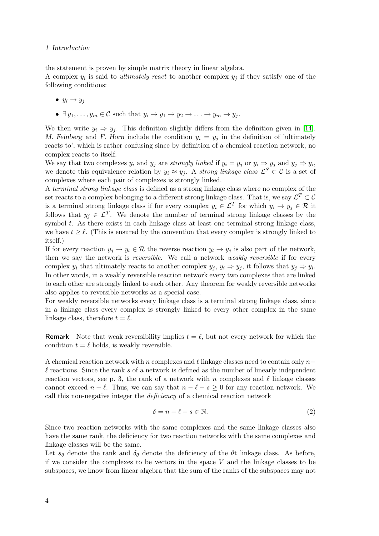### 1 Introduction

the statement is proven by simple matrix theory in linear algebra.

A complex  $y_i$  is said to *ultimately react* to another complex  $y_j$  if they satisfy one of the following conditions:

- $y_i \rightarrow y_j$
- $\exists y_1, \ldots, y_m \in \mathcal{C}$  such that  $y_i \to y_1 \to y_2 \to \ldots \to y_m \to y_j$ .

We then write  $y_i \Rightarrow y_j$ . This definition slightly differs from the definition given in [\[14\]](#page-66-2). M. Feinberg and F. Horn include the condition  $y_i = y_j$  in the definition of 'ultimately reacts to', which is rather confusing since by definition of a chemical reaction network, no complex reacts to itself.

We say that two complexes  $y_i$  and  $y_j$  are strongly linked if  $y_i = y_j$  or  $y_i \Rightarrow y_j$  and  $y_j \Rightarrow y_i$ , we denote this equivalence relation by  $y_i \approx y_j$ . A strong linkage class  $\mathcal{L}^S \subset \mathcal{C}$  is a set of complexes where each pair of complexes is strongly linked.

A terminal strong linkage class is defined as a strong linkage class where no complex of the set reacts to a complex belonging to a different strong linkage class. That is, we say  $\mathcal{L}^T \subset \mathcal{C}$ is a terminal strong linkage class if for every complex  $y_i \in \mathcal{L}^T$  for which  $y_i \to y_j \in \mathcal{R}$  it follows that  $y_j \in \mathcal{L}^T$ . We denote the number of terminal strong linkage classes by the symbol t. As there exists in each linkage class at least one terminal strong linkage class, we have  $t \geq \ell$ . (This is ensured by the convention that every complex is strongly linked to itself.)

If for every reaction  $y_j \to y_l \in \mathcal{R}$  the reverse reaction  $y_l \to y_j$  is also part of the network, then we say the network is *reversible*. We call a network *weakly reversible* if for every complex  $y_i$  that ultimately reacts to another complex  $y_j, y_i \Rightarrow y_j$ , it follows that  $y_j \Rightarrow y_i$ . In other words, in a weakly reversible reaction network every two complexes that are linked to each other are strongly linked to each other. Any theorem for weakly reversible networks also applies to reversible networks as a special case.

For weakly reversible networks every linkage class is a terminal strong linkage class, since in a linkage class every complex is strongly linked to every other complex in the same linkage class, therefore  $t = \ell$ .

**Remark** Note that weak reversibility implies  $t = \ell$ , but not every network for which the condition  $t = \ell$  holds, is weakly reversible.

A chemical reaction network with n complexes and  $\ell$  linkage classes need to contain only n–  $\ell$  reactions. Since the rank s of a network is defined as the number of linearly independent reaction vectors, see p. 3, the rank of a network with n complexes and  $\ell$  linkage classes cannot exceed  $n - \ell$ . Thus, we can say that  $n - \ell - s > 0$  for any reaction network. We call this non-negative integer the deficiency of a chemical reaction network

<span id="page-13-0"></span>
$$
\delta = n - \ell - s \in \mathbb{N}.\tag{2}
$$

Since two reaction networks with the same complexes and the same linkage classes also have the same rank, the deficiency for two reaction networks with the same complexes and linkage classes will be the same.

Let  $s_{\theta}$  denote the rank and  $\delta_{\theta}$  denote the deficiency of the  $\theta$ t linkage class. As before, if we consider the complexes to be vectors in the space  $V$  and the linkage classes to be subspaces, we know from linear algebra that the sum of the ranks of the subspaces may not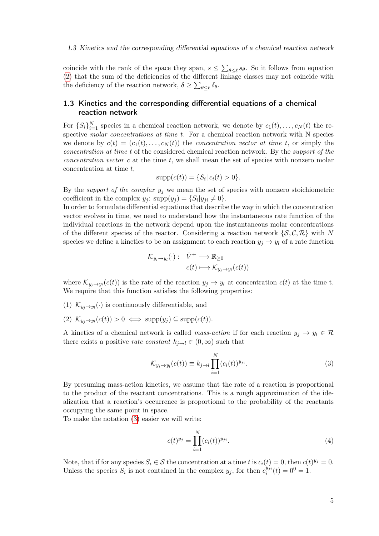### 1.3 Kinetics and the corresponding differential equations of a chemical reaction network

coincide with the rank of the space they span,  $s \leq \sum_{\theta \leq \ell} s_{\theta}$ . So it follows from equation [\(2\)](#page-13-0) that the sum of the deficiencies of the different linkage classes may not coincide with the deficiency of the reaction network,  $\delta \ge \sum_{\theta \le \ell} \delta_{\theta}$ .

### <span id="page-14-0"></span>1.3 Kinetics and the corresponding differential equations of a chemical reaction network

For  $\{S_i\}_{i=1}^N$  species in a chemical reaction network, we denote by  $c_1(t), \ldots, c_N(t)$  the respective molar concentrations at time t. For a chemical reaction network with N species we denote by  $c(t) = (c_1(t), \ldots, c_N(t))$  the *concentration vector at time t*, or simply the concentration at time t of the considered chemical reaction network. By the support of the concentration vector  $c$  at the time  $t$ , we shall mean the set of species with nonzero molar concentration at time  $t$ ,

$$
supp(c(t)) = \{ S_i | c_i(t) > 0 \}.
$$

By the support of the complex  $y_j$  we mean the set of species with nonzero stoichiometric coefficient in the complex  $y_j$ :  $supp(y_j) = \{S_i | y_{ji} \neq 0\}.$ 

In order to formulate differential equations that describe the way in which the concentration vector evolves in time, we need to understand how the instantaneous rate function of the individual reactions in the network depend upon the instantaneous molar concentrations of the different species of the reactor. Considering a reaction network  $\{S, \mathcal{C}, \mathcal{R}\}\$  with N species we define a kinetics to be an assignment to each reaction  $y_i \rightarrow y_l$  of a rate function

$$
\mathcal{K}_{y_j \to y_l}(\cdot) : \overline{V}^+ \longrightarrow \mathbb{R}_{\geq 0}
$$
  

$$
c(t) \longmapsto \mathcal{K}_{y_j \to y_l}(c(t))
$$

where  $\mathcal{K}_{y_j \to y_l}(c(t))$  is the rate of the reaction  $y_j \to y_l$  at concentration  $c(t)$  at the time t. We require that this function satisfies the following properties:

- (1)  $\mathcal{K}_{y_j \to y_l}(\cdot)$  is continuously differentiable, and
- (2)  $\mathcal{K}_{y_j \to y_l}(c(t)) > 0 \iff \text{supp}(y_j) \subseteq \text{supp}(c(t)).$

A kinetics of a chemical network is called mass-action if for each reaction  $y_i \to y_l \in \mathcal{R}$ there exists a positive *rate constant*  $k_{j\rightarrow l} \in (0,\infty)$  such that

<span id="page-14-1"></span>
$$
\mathcal{K}_{y_j \to y_l}(c(t)) \equiv k_{j \to l} \prod_{i=1}^N (c_i(t))^{y_{ji}}.
$$
\n(3)

By presuming mass-action kinetics, we assume that the rate of a reaction is proportional to the product of the reactant concentrations. This is a rough approximation of the idealization that a reaction's occurrence is proportional to the probability of the reactants occupying the same point in space.

To make the notation [\(3\)](#page-14-1) easier we will write:

<span id="page-14-2"></span>
$$
c(t)^{y_j} = \prod_{i=1}^{N} (c_i(t))^{y_{ji}}.
$$
\n(4)

Note, that if for any species  $S_i \in \mathcal{S}$  the concentration at a time t is  $c_i(t) = 0$ , then  $c(t)^{y_j} = 0$ . Unless the species  $S_i$  is not contained in the complex  $y_j$ , for then  $c_i^{y_{ji}}$  $i_j^{y_{ji}}(t) = 0^0 = 1.$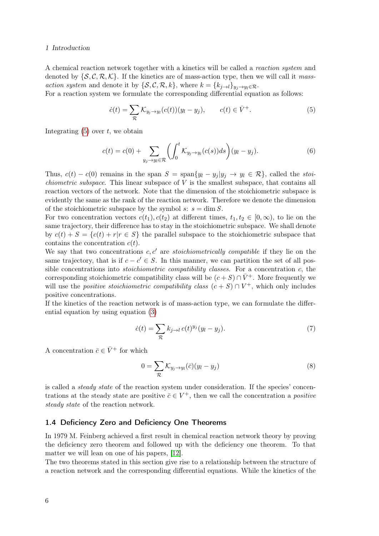### 1 Introduction

A chemical reaction network together with a kinetics will be called a reaction system and denoted by  $\{\mathcal{S}, \mathcal{C}, \mathcal{R}, \mathcal{K}\}\$ . If the kinetics are of mass-action type, then we will call it massaction system and denote it by  $\{\mathcal{S}, \mathcal{C}, \mathcal{R}, k\}$ , where  $k = \{k_{j \to l}\}_{y_j \to y_l \in \mathcal{R}}$ .

For a reaction system we formulate the corresponding differential equation as follows:

<span id="page-15-1"></span>
$$
\dot{c}(t) = \sum_{\mathcal{R}} \mathcal{K}_{y_j \to y_l}(c(t))(y_l - y_j), \qquad c(t) \in \bar{V}^+.
$$
\n
$$
(5)
$$

Integrating  $(5)$  over t, we obtain

$$
c(t) = c(0) + \sum_{y_j \to y_l \in \mathcal{R}} \left( \int_0^t \mathcal{K}_{y_j \to y_l}(c(s)) ds \right) (y_l - y_j). \tag{6}
$$

Thus,  $c(t) - c(0)$  remains in the span  $S = \text{span}\{y_l - y_j | y_j \to y_l \in \mathcal{R}\}\)$ , called the stoi*chiometric subspace*. This linear subspace of  $V$  is the smallest subspace, that contains all reaction vectors of the network. Note that the dimension of the stoichiometric subspace is evidently the same as the rank of the reaction network. Therefore we denote the dimension of the stoichiometric subspace by the symbol s:  $s = \dim S$ .

For two concentration vectors  $c(t_1), c(t_2)$  at different times,  $t_1, t_2 \in [0, \infty)$ , to lie on the same trajectory, their difference has to stay in the stoichiometric subspace. We shall denote by  $c(t) + S = \{c(t) + r | r \in S\}$  the parallel subspace to the stoichiometric subspace that contains the concentration  $c(t)$ .

We say that two concentrations  $c, c'$  are stoichiometrically compatible if they lie on the same trajectory, that is if  $c - c' \in S$ . In this manner, we can partition the set of all possible concentrations into *stoichiometric compatibility classes*. For a concentration  $c$ , the corresponding stoichiometric compatibility class will be  $(c+S) \cap \bar{V}^+$ . More frequently we will use the *positive stoichiometric compatibility class*  $(c + S) \cap V^+$ , which only includes positive concentrations.

If the kinetics of the reaction network is of mass-action type, we can formulate the differential equation by using equation [\(3\)](#page-14-1)

<span id="page-15-2"></span>
$$
\dot{c}(t) = \sum_{\mathcal{R}} k_{j \to l} c(t)^{y_j} (y_l - y_j). \tag{7}
$$

A concentration  $\bar{c} \in \bar{V}^+$  for which

$$
0 = \sum_{\mathcal{R}} \mathcal{K}_{y_j \to y_l}(\bar{c})(y_l - y_j)
$$
\n(8)

is called a *steady state* of the reaction system under consideration. If the species' concentrations at the steady state are positive  $\bar{c} \in V^+$ , then we call the concentration a *positive* steady state of the reaction network.

### <span id="page-15-0"></span>1.4 Deficiency Zero and Deficiency One Theorems

In 1979 M. Feinberg achieved a first result in chemical reaction network theory by proving the deficiency zero theorem and followed up with the deficiency one theorem. To that matter we will lean on one of his papers, [\[12\]](#page-65-8).

The two theorems stated in this section give rise to a relationship between the structure of a reaction network and the corresponding differential equations. While the kinetics of the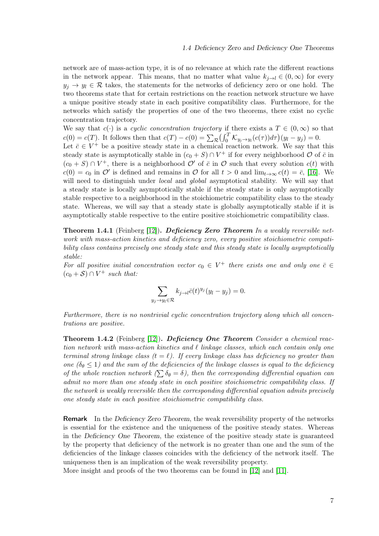network are of mass-action type, it is of no relevance at which rate the different reactions in the network appear. This means, that no matter what value  $k_{i\to l} \in (0,\infty)$  for every  $y_i \to y_i \in \mathcal{R}$  takes, the statements for the networks of deficiency zero or one hold. The two theorems state that for certain restrictions on the reaction network structure we have a unique positive steady state in each positive compatibility class. Furthermore, for the networks which satisfy the properties of one of the two theorems, there exist no cyclic concentration trajectory.

We say that  $c(\cdot)$  is a cyclic concentration trajectory if there exists a  $T \in (0,\infty)$  so that  $c(0) = c(T)$ . It follows then that  $c(T) - c(0) = \sum_{\mathcal{R}} \left( \int_0^T \mathcal{K}_{y_j \to y_l}(c(\tau)) d\tau \right) (y_l - y_j) = 0$ .

Let  $\bar{c} \in V^+$  be a positive steady state in a chemical reaction network. We say that this steady state is asymptotically stable in  $(c_0 + S) \cap V^+$  if for every neighborhood  $\mathcal{O}$  of  $\bar{c}$  in  $(c_0 + S) \cap V^+$ , there is a neighborhood  $\mathcal{O}'$  of  $\bar{c}$  in  $\mathcal{O}$  such that every solution  $c(t)$  with  $c(0) = c_0$  in  $\mathcal{O}'$  is defined and remains in  $\mathcal O$  for all  $t > 0$  and  $\lim_{t\to\infty} c(t) = \overline{c}$ , [\[16\]](#page-66-3). We will need to distinguish under *local* and *global* asymptotical stability. We will say that a steady state is locally asymptotically stable if the steady state is only asymptotically stable respective to a neighborhood in the stoichiometric compatibility class to the steady state. Whereas, we will say that a steady state is globally asymptotically stable if it is asymptotically stable respective to the entire positive stoichiometric compatibility class.

**Theorem 1.4.1** (Feinberg [\[12\]](#page-65-8)). Deficiency Zero Theorem In a weakly reversible network with mass-action kinetics and deficiency zero, every positive stoichiometric compatibility class contains precisely one steady state and this steady state is locally asymptotically stable:

For all positive initial concentration vector  $c_0 \in V^+$  there exists one and only one  $\bar{c} \in$  $(c_0 + S) \cap V^+$  such that:

$$
\sum_{y_j \to y_l \in \mathcal{R}} k_{j \to l} \bar{c}(t)^{y_j} (y_l - y_j) = 0.
$$

Furthermore, there is no nontrivial cyclic concentration trajectory along which all concentrations are positive.

**Theorem 1.4.2** (Feinberg [\[12\]](#page-65-8)). Deficiency One Theorem Consider a chemical reaction network with mass-action kinetics and  $\ell$  linkage classes, which each contain only one terminal strong linkage class  $(t = \ell)$ . If every linkage class has deficiency no greater than one  $(\delta_{\theta} \leq 1)$  and the sum of the deficiencies of the linkage classes is equal to the deficiency of the whole reaction network  $(\sum \delta_{\theta} = \delta)$ , then the corresponding differential equation can admit no more than one steady state in each positive stoichiometric compatibility class. If the network is weakly reversible then the corresponding differential equation admits precisely one steady state in each positive stoichiometric compatibility class.

**Remark** In the Deficiency Zero Theorem, the weak reversibility property of the networks is essential for the existence and the uniqueness of the positive steady states. Whereas in the Deficiency One Theorem, the existence of the positive steady state is guaranteed by the property that deficiency of the network is no greater than one and the sum of the deficiencies of the linkage classes coincides with the deficiency of the network itself. The uniqueness then is an implication of the weak reversibility property.

More insight and proofs of the two theorems can be found in [\[12\]](#page-65-8) and [\[11\]](#page-65-6).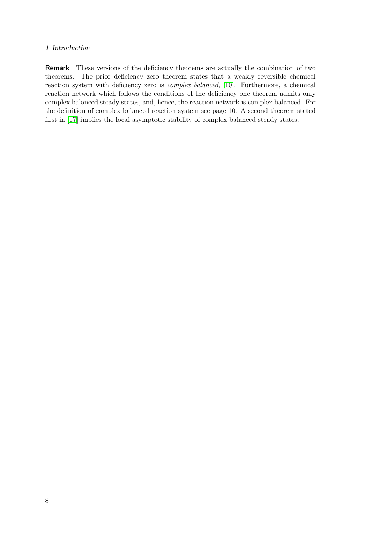### 1 Introduction

Remark These versions of the deficiency theorems are actually the combination of two theorems. The prior deficiency zero theorem states that a weakly reversible chemical reaction system with deficiency zero is complex balanced, [\[10\]](#page-65-5). Furthermore, a chemical reaction network which follows the conditions of the deficiency one theorem admits only complex balanced steady states, and, hence, the reaction network is complex balanced. For the definition of complex balanced reaction system see page [10.](#page-19-0) A second theorem stated first in [\[17\]](#page-66-0) implies the local asymptotic stability of complex balanced steady states.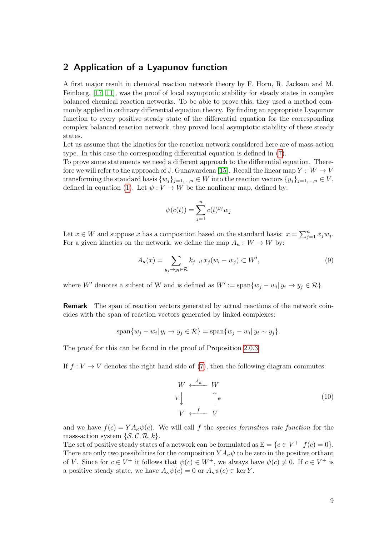### <span id="page-18-0"></span>2 Application of a Lyapunov function

A first major result in chemical reaction network theory by F. Horn, R. Jackson and M. Feinberg, [\[17,](#page-66-0) [11\]](#page-65-6), was the proof of local asymptotic stability for steady states in complex balanced chemical reaction networks. To be able to prove this, they used a method commonly applied in ordinary differential equation theory. By finding an appropriate Lyapunov function to every positive steady state of the differential equation for the corresponding complex balanced reaction network, they proved local asymptotic stability of these steady states.

Let us assume that the kinetics for the reaction network considered here are of mass-action type. In this case the corresponding differential equation is defined in [\(7\)](#page-15-2).

To prove some statements we need a different approach to the differential equation. There-fore we will refer to the approach of J. Gunawardena [\[15\]](#page-66-4). Recall the linear map  $Y: W \to V$ transforming the standard basis  $\{w_i\}_{i=1,\dots,n} \in W$  into the reaction vectors  $\{y_i\}_{i=1,\dots,n} \in V$ , defined in equation [\(1\)](#page-11-2). Let  $\psi: V \to W$  be the nonlinear map, defined by:

$$
\psi(c(t)) = \sum_{j=1}^n c(t)^{y_j} w_j
$$

Let  $x \in W$  and suppose x has a composition based on the standard basis:  $x = \sum_{j=1}^{n} x_j w_j$ . For a given kinetics on the network, we define the map  $A_{\kappa}: W \to W$  by:

<span id="page-18-1"></span>
$$
A_{\kappa}(x) = \sum_{y_j \to y_l \in \mathcal{R}} k_{j \to l} x_j (w_l - w_j) \subset W',\tag{9}
$$

where W' denotes a subset of W and is defined as  $W' := \text{span}\{w_j - w_i | y_i \to y_j \in \mathcal{R}\}.$ 

Remark The span of reaction vectors generated by actual reactions of the network coincides with the span of reaction vectors generated by linked complexes:

$$
\text{span}\{w_j - w_i | y_i \to y_j \in \mathcal{R}\} = \text{span}\{w_j - w_i | y_i \sim y_j\}.
$$

The proof for this can be found in the proof of Proposition [2.0.3.](#page-19-1)

If  $f: V \to V$  denotes the right hand side of [\(7\)](#page-15-2), then the following diagram commutes:

$$
W \leftarrow \begin{array}{c} A_{\kappa} & W \\ Y & \downarrow \\ V & \leftarrow \begin{array}{c} \uparrow \\ f & \downarrow \end{array} \end{array} \tag{10}
$$

and we have  $f(c) = YA_{\kappa}\psi(c)$ . We will call f the species formation rate function for the mass-action system  $\{\mathcal{S}, \mathcal{C}, \mathcal{R}, k\}.$ 

The set of positive steady states of a network can be formulated as  $E = \{c \in V^+ | f(c) = 0\}.$ There are only two possibilities for the composition  $YA_{\kappa}\psi$  to be zero in the positive orthant of V. Since for  $c \in V^+$  it follows that  $\psi(c) \in W^+$ , we always have  $\psi(c) \neq 0$ . If  $c \in V^+$  is a positive steady state, we have  $A_{\kappa}\psi(c) = 0$  or  $A_{\kappa}\psi(c) \in \text{ker } Y$ .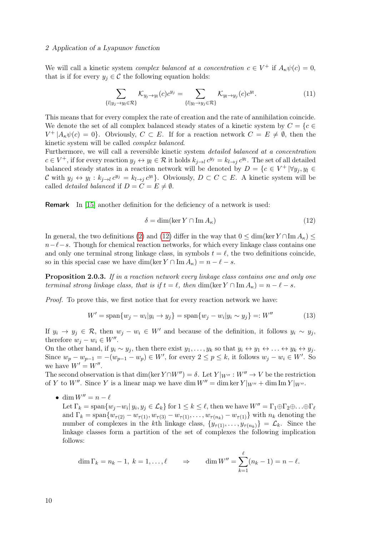### 2 Application of a Lyapunov function

We will call a kinetic system *complex balanced at a concentration*  $c \in V^+$  if  $A_{\kappa}\psi(c) = 0$ , that is if for every  $y_j \in \mathcal{C}$  the following equation holds:

<span id="page-19-0"></span>
$$
\sum_{\{l|y_j \to y_l \in \mathcal{R}\}} \mathcal{K}_{y_j \to y_l}(c) c^{y_j} = \sum_{\{l|y_l \to y_j \in \mathcal{R}\}} \mathcal{K}_{y_l \to y_j}(c) c^{y_l}.
$$
\n(11)

This means that for every complex the rate of creation and the rate of annihilation coincide. We denote the set of all complex balanced steady states of a kinetic system by  $C = \{c \in \mathbb{R}^n : |c| \leq 1\}$  $V^+ \mid A_{\kappa} \psi(c) = 0$ . Obviously,  $C \subset E$ . If for a reaction network  $C = E \neq \emptyset$ , then the kinetic system will be called complex balanced.

Furthermore, we will call a reversible kinetic system detailed balanced at a concentration  $c \in V^+$ , if for every reaction  $y_j \leftrightarrow y_l \in \mathcal{R}$  it holds  $k_{j\to l} c^{y_j} = k_{l\to j} c^{y_l}$ . The set of all detailed balanced steady states in a reaction network will be denoted by  $D = \{c \in V^+ | \forall y_j, y_l \in$ C with  $y_j \leftrightarrow y_l : k_{j \to l} c^{y_j} = k_{l \to j} c^{y_l}$ . Obviously,  $D \subset C \subset E$ . A kinetic system will be called *detailed balanced* if  $D = C = E \neq \emptyset$ .

Remark In [\[15\]](#page-66-4) another definition for the deficiency of a network is used:

<span id="page-19-2"></span>
$$
\delta = \dim(\ker Y \cap \operatorname{Im} A_{\kappa})\tag{12}
$$

In general, the two definitions [\(2\)](#page-13-0) and [\(12\)](#page-19-2) differ in the way that  $0 \le \dim(\ker Y \cap \operatorname{Im} A_{\kappa}) \le$  $n-\ell-s$ . Though for chemical reaction networks, for which every linkage class contains one and only one terminal strong linkage class, in symbols  $t = \ell$ , the two definitions coincide, so in this special case we have dim(ker  $Y \cap \text{Im} A_{\kappa} = n - \ell - s$ .

<span id="page-19-1"></span>Proposition 2.0.3. If in a reaction network every linkage class contains one and only one terminal strong linkage class, that is if  $t = \ell$ , then dim(ker  $Y \cap \text{Im } A_{\kappa} = n - \ell - s$ .

Proof. To prove this, we first notice that for every reaction network we have:

<span id="page-19-3"></span>
$$
W' = \text{span}\{w_j - w_i | y_i \to y_j\} = \text{span}\{w_j - w_i | y_i \sim y_j\} =: W''
$$
 (13)

If  $y_i \to y_j \in \mathcal{R}$ , then  $w_j - w_i \in W'$  and because of the definition, it follows  $y_i \sim y_j$ , therefore  $w_j - w_i \in W''$ .

On the other hand, if  $y_i \sim y_j$ , then there exist  $y_1, \ldots, y_k$  so that  $y_i \leftrightarrow y_1 \leftrightarrow \ldots \leftrightarrow y_k \leftrightarrow y_j$ . Since  $w_p - w_{p-1} = -(w_{p-1} - w_p) \in W'$ , for every  $2 \le p \le k$ , it follows  $w_j - w_i \in W'$ . So we have  $W' = W''$ .

The second observation is that dim(ker  $Y \cap W'' = \delta$ . Let  $Y|_{W''}: W'' \to V$  be the restriction of Y to W''. Since Y is a linear map we have dim  $W'' = \dim \ker Y|_{W''} + \dim \operatorname{Im} Y|_{W''}.$ 

• dim  $W'' = n - \ell$ Let  $\Gamma_k = \text{span}\{w_j - w_i | y_i, y_j \in \mathcal{L}_k\}$  for  $1 \leq k \leq \ell$ , then we have  $W'' = \Gamma_1 \oplus \Gamma_2 \oplus \ldots \oplus \Gamma_\ell$ and  $\Gamma_k = \text{span}\{w_{\tau(2)} - w_{\tau(1)}, w_{\tau(3)} - w_{\tau(1)}, \dots, w_{\tau(n_k)} - w_{\tau(1)}\}$  with  $n_k$  denoting the number of complexes in the kth linkage class,  $\{y_{\tau(1)}, \ldots, y_{\tau(n_k)}\} = \mathcal{L}_k$ . Since the linkage classes form a partition of the set of complexes the following implication follows:

$$
\dim \Gamma_k = n_k - 1, \ k = 1, \dots, \ell \qquad \Rightarrow \qquad \dim W'' = \sum_{k=1}^{\ell} (n_k - 1) = n - \ell.
$$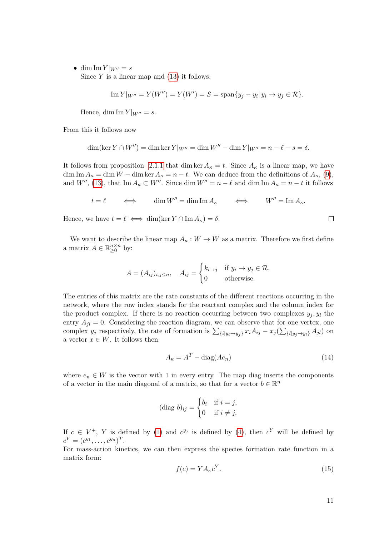• dim Im  $Y|_{W''}=s$ Since  $Y$  is a linear map and  $(13)$  it follows:

Im 
$$
Y|_{W''} = Y(W'') = Y(W') = S = \text{span}\{y_j - y_i | y_i \to y_j \in \mathcal{R}\}.
$$

Hence, dim Im  $Y|_{W''}=s$ .

From this it follows now

$$
\dim(\ker Y \cap W'') = \dim \ker Y|_{W''} = \dim W'' - \dim Y|_{W''} = n - \ell - s = \delta.
$$

It follows from proposition [2.1.1](#page-21-1) that dim ker  $A_{\kappa} = t$ . Since  $A_{\kappa}$  is a linear map, we have  $\dim \text{Im } A_{\kappa} = \dim W - \dim \ker A_{\kappa} = n - t$ . We can deduce from the definitions of  $A_{\kappa}$ , [\(9\)](#page-18-1), and W'', [\(13\)](#page-19-3), that Im  $A_{\kappa} \subset W''$ . Since dim  $W'' = n - \ell$  and dim Im  $A_{\kappa} = n - t$  it follows

$$
t = \ell \qquad \iff \qquad \dim W'' = \dim \operatorname{Im} A_{\kappa} \qquad \iff \qquad W'' = \operatorname{Im} A_{\kappa}.
$$

Hence, we have  $t = \ell \iff \dim(\ker Y \cap \operatorname{Im} A_{\kappa}) = \delta$ .

We want to describe the linear map  $A_{\kappa}: W \to W$  as a matrix. Therefore we first define a matrix  $A \in \mathbb{R}_{\geq 0}^{n \times n}$  by:

$$
A = (A_{ij})_{i,j \le n}, \quad A_{ij} = \begin{cases} k_{i \to j} & \text{if } y_i \to y_j \in \mathcal{R}, \\ 0 & \text{otherwise.} \end{cases}
$$

The entries of this matrix are the rate constants of the different reactions occurring in the network, where the row index stands for the reactant complex and the column index for the product complex. If there is no reaction occurring between two complexes  $y_j, y_l$  the entry  $A_{jl} = 0$ . Considering the reaction diagram, we can observe that for one vertex, one complex  $y_j$  respectively, the rate of formation is  $\sum_{\{i|y_i\rightarrow y_j\}} x_i A_{ij} - x_j (\sum_{\{l|y_j\rightarrow y_l\}} A_{jl})$  on a vector  $x \in W$ . It follows then:

<span id="page-20-0"></span>
$$
A_{\kappa} = A^T - \text{diag}(Ae_n) \tag{14}
$$

where  $e_n \in W$  is the vector with 1 in every entry. The map diag inserts the components of a vector in the main diagonal of a matrix, so that for a vector  $b \in \mathbb{R}^n$ 

$$
(\text{diag }b)_{ij} = \begin{cases} b_i & \text{if } i = j, \\ 0 & \text{if } i \neq j. \end{cases}
$$

If  $c \in V^+$ , Y is defined by [\(1\)](#page-11-2) and  $c^{y_j}$  is defined by [\(4\)](#page-14-2), then  $c^Y$  will be defined by  $c^Y = (c^{y_1}, \ldots, c^{y_n})^T$ .

For mass-action kinetics, we can then express the species formation rate function in a matrix form:

$$
f(c) = YA_{\kappa}c^{Y}.
$$
\n(15)

 $\Box$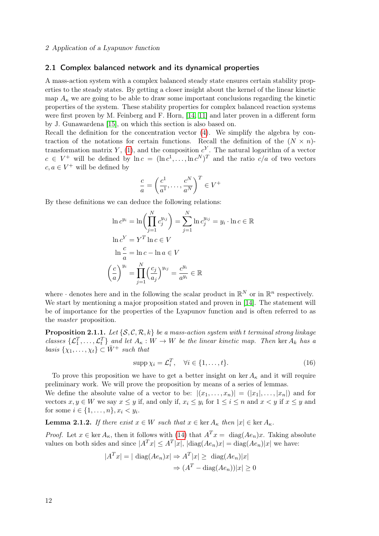### <span id="page-21-0"></span>2.1 Complex balanced network and its dynamical properties

A mass-action system with a complex balanced steady state ensures certain stability properties to the steady states. By getting a closer insight about the kernel of the linear kinetic map  $A_{\kappa}$  we are going to be able to draw some important conclusions regarding the kinetic properties of the system. These stability properties for complex balanced reaction systems were first proven by M. Feinberg and F. Horn, [\[14,](#page-66-2) [11\]](#page-65-6) and later proven in a different form by J. Gunawardena [\[15\]](#page-66-4), on which this section is also based on.

Recall the definition for the concentration vector [\(4\)](#page-14-2). We simplify the algebra by contraction of the notations for certain functions. Recall the definition of the  $(N \times n)$ -transformation matrix Y, [\(1\)](#page-11-2), and the composition  $c^Y$ . The natural logarithm of a vector  $c \in V^+$  will be defined by  $\ln c = (\ln c^1, \ldots, \ln c^N)^T$  and the ratio  $c/a$  of two vectors  $c, a \in V^+$  will be defined by

$$
\frac{c}{a} = \left(\frac{c^1}{a^1}, \dots, \frac{c^N}{a^N}\right)^T \in V^+
$$

By these definitions we can deduce the following relations:

$$
\ln c^{y_i} = \ln \left( \prod_{j=1}^N c_j^{y_{ij}} \right) = \sum_{j=1}^N \ln c_j^{y_{ij}} = y_i \cdot \ln c \in \mathbb{R}
$$
  

$$
\ln c^Y = Y^T \ln c \in V
$$
  

$$
\ln \frac{c}{a} = \ln c - \ln a \in V
$$
  

$$
\left( \frac{c}{a} \right)^{y_i} = \prod_{j=1}^N \left( \frac{c_j}{a_j} \right)^{y_{ij}} = \frac{c^{y_i}}{a^{y_i}} \in \mathbb{R}
$$

where  $\cdot$  denotes here and in the following the scalar product in  $\mathbb{R}^N$  or in  $\mathbb{R}^n$  respectively. We start by mentioning a major proposition stated and proven in [\[14\]](#page-66-2). The statement will be of importance for the properties of the Lyapunov function and is often referred to as the master proposition.

<span id="page-21-1"></span>**Proposition 2.1.1.** Let  $\{S, C, R, k\}$  be a mass-action system with t terminal strong linkage classes  $\{\mathcal{L}_1^T,\ldots,\mathcal{L}_t^T\}$  and let  $A_{\kappa}: W \to W$  be the linear kinetic map. Then ker  $A_k$  has a basis  $\{\chi_1, \ldots, \chi_t\} \subset \bar{W}^+$  such that

$$
supp \chi_i = \mathcal{L}_i^T, \quad \forall i \in \{1, \dots, t\}.
$$
\n
$$
(16)
$$

To prove this proposition we have to get a better insight on ker  $A_{\kappa}$  and it will require preliminary work. We will prove the proposition by means of a series of lemmas.

We define the absolute value of a vector to be:  $|(x_1,\ldots,x_n)| = (|x_1|,\ldots,|x_n|)$  and for vectors  $x, y \in W$  we say  $x \leq y$  if, and only if,  $x_i \leq y_i$  for  $1 \leq i \leq n$  and  $x < y$  if  $x \leq y$  and for some  $i \in \{1, ..., n\}, x_i < y_i$ .

<span id="page-21-2"></span>**Lemma 2.1.2.** If there exist  $x \in W$  such that  $x \in \text{ker } A_{\kappa}$  then  $|x| \in \text{ker } A_{\kappa}$ .

*Proof.* Let  $x \in \text{ker } A_{\kappa}$ , then it follows with [\(14\)](#page-20-0) that  $A^T x = \text{diag}(Ae_n)x$ . Taking absolute values on both sides and since  $|A^T x| \leq A^T |x|$ ,  $|\text{diag}(Ae_n)x| = \text{diag}(Ae_n)|x|$  we have:

$$
|ATx| = | \operatorname{diag}(Ae_n)x| \Rightarrow AT|x| \ge \operatorname{diag}(Ae_n)|x|
$$

$$
\Rightarrow (AT - \operatorname{diag}(Ae_n))|x| \ge 0
$$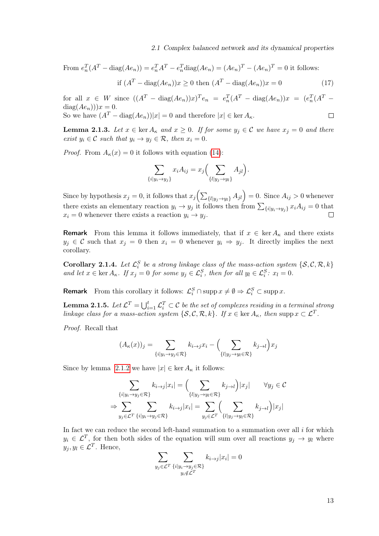2.1 Complex balanced network and its dynamical properties

From 
$$
e_n^T(A^T - \text{diag}(Ae_n)) = e_n^T A^T - e_n^T \text{diag}(Ae_n) = (Ae_n)^T - (Ae_n)^T = 0
$$
 it follows:  
if 
$$
(A^T - \text{diag}(Ae_n))x \ge 0
$$
 then 
$$
(A^T - \text{diag}(Ae_n))x = 0
$$
 (17)

for all  $x \in W$  since  $((A^T - \text{diag}(Ae_n))x)^Te_n = e_n^T(A^T - \text{diag}(Ae_n))x = (e_n^T(A^T$  $diag(Ae_n))x = 0.$ So we have  $(A^T - \text{diag}(Ae_n))|x| = 0$  and therefore  $|x| \in \text{ker } A_{\kappa}$ .  $\Box$ 

<span id="page-22-0"></span>**Lemma 2.1.3.** Let  $x \in \text{ker } A_{\kappa}$  and  $x \geq 0$ . If for some  $y_i \in \mathcal{C}$  we have  $x_i = 0$  and there exist  $y_i \in \mathcal{C}$  such that  $y_i \rightarrow y_j \in \mathcal{R}$ , then  $x_i = 0$ .

*Proof.* From  $A_{\kappa}(x) = 0$  it follows with equation [\(14\)](#page-20-0):

$$
\sum_{\{i|y_i \to y_j\}} x_i A_{ij} = x_j \Big( \sum_{\{l|y_j \to y_l\}} A_{jl} \Big).
$$

Since by hypothesis  $x_j = 0$ , it follows that  $x_j \left( \sum_{\{l|y_j \to y_l\}} A_{jl} \right) = 0$ . Since  $A_{ij} > 0$  whenever there exists an elementary reaction  $y_i \to y_j$  it follows then from  $\sum_{\{i|y_i \to y_j\}} x_i A_{ij} = 0$  that  $x_i = 0$  whenever there exists a reaction  $y_i \rightarrow y_j$ .  $\Box$ 

**Remark** From this lemma it follows immediately, that if  $x \in \text{ker } A_{\kappa}$  and there exists  $y_j \in \mathcal{C}$  such that  $x_j = 0$  then  $x_i = 0$  whenever  $y_i \Rightarrow y_j$ . It directly implies the next corollary.

**Corollary 2.1.4.** Let  $\mathcal{L}_i^S$  be a strong linkage class of the mass-action system  $\{S, C, R, k\}$ and let  $x \in \text{ker } A_{\kappa}$ . If  $x_j = 0$  for some  $y_j \in \mathcal{L}_{i}^S$ , then for all  $y_l \in \mathcal{L}_{i}^S$ :  $x_l = 0$ .

**Remark** From this corollary it follows:  $\mathcal{L}_i^S \cap \text{supp } x \neq \emptyset \Rightarrow \mathcal{L}_i^S \subset \text{supp } x$ .

**Lemma 2.1.5.** Let  $\mathcal{L}^T = \bigcup_{i=1}^t \mathcal{L}_i^T \subset \mathcal{C}$  be the set of complexes residing in a terminal strong linkage class for a mass-action system  $\{S, C, \mathcal{R}, k\}$ . If  $x \in \text{ker } A_{\kappa}$ , then supp  $x \subset \mathcal{L}^T$ .

Proof. Recall that

$$
(A_{\kappa}(x))_j = \sum_{\{i|y_i \to y_j \in \mathcal{R}\}} k_{i \to j} x_i - \left(\sum_{\{l|y_j \to y_l \in \mathcal{R}\}} k_{j \to l}\right) x_j
$$

Since by lemma [2.1.2](#page-21-2) we have  $|x| \in \text{ker } A_{\kappa}$  it follows:

$$
\sum_{\{i|y_i \to y_j \in \mathcal{R}\}} k_{i \to j} |x_i| = \left(\sum_{\{l|y_j \to y_l \in \mathcal{R}\}} k_{j \to l}\right) |x_j| \qquad \forall y_j \in \mathcal{C}
$$

$$
\Rightarrow \sum_{y_j \in \mathcal{L}^T} \sum_{\{i|y_i \to y_j \in \mathcal{R}\}} k_{i \to j} |x_i| = \sum_{y_j \in \mathcal{L}^T} \left(\sum_{\{l|y_j \to y_l \in \mathcal{R}\}} k_{j \to l}\right) |x_j|
$$

In fact we can reduce the second left-hand summation to a summation over all  $i$  for which  $y_i \in \mathcal{L}^T$ , for then both sides of the equation will sum over all reactions  $y_j \to y_l$  where  $y_j, y_l \in \mathcal{L}^T$ . Hence,

$$
\sum_{y_j \in \mathcal{L}^T} \sum_{\substack{\{i|y_i \to y_j \in \mathcal{R}\} \\ y_i \notin \mathcal{L}^T}} k_{i \to j} |x_i| = 0
$$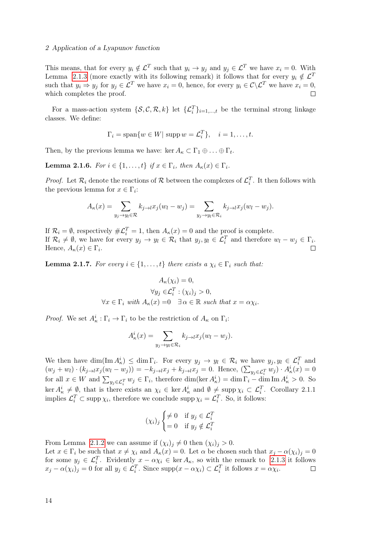### 2 Application of a Lyapunov function

This means, that for every  $y_i \notin \mathcal{L}^T$  such that  $y_i \to y_j$  and  $y_j \in \mathcal{L}^T$  we have  $x_i = 0$ . With Lemma [2.1.3](#page-22-0) (more exactly with its following remark) it follows that for every  $y_i \notin \mathcal{L}^T$ such that  $y_i \Rightarrow y_j$  for  $y_j \in \mathcal{L}^T$  we have  $x_i = 0$ , hence, for every  $y_i \in \mathcal{C} \backslash \mathcal{L}^T$  we have  $x_i = 0$ , which completes the proof.  $\Box$ 

For a mass-action system  $\{\mathcal{S}, \mathcal{C}, \mathcal{R}, k\}$  let  $\{\mathcal{L}_i^T\}_{i=1,\dots,t}$  be the terminal strong linkage classes. We define:

$$
\Gamma_i = \text{span}\{w \in W | \text{ supp } w = \mathcal{L}_i^T\}, \quad i = 1, \dots, t.
$$

Then, by the previous lemma we have: ker  $A_{\kappa} \subset \Gamma_1 \oplus \ldots \oplus \Gamma_t$ .

**Lemma 2.1.6.** For  $i \in \{1, \ldots, t\}$  if  $x \in \Gamma_i$ , then  $A_{\kappa}(x) \in \Gamma_i$ .

*Proof.* Let  $\mathcal{R}_i$  denote the reactions of  $\mathcal{R}$  between the complexes of  $\mathcal{L}_i^T$ . It then follows with the previous lemma for  $x \in \Gamma_i$ :

$$
A_{\kappa}(x) = \sum_{y_j \to y_l \in \mathcal{R}} k_{j \to l} x_j (w_l - w_j) = \sum_{y_j \to y_l \in \mathcal{R}_i} k_{j \to l} x_j (w_l - w_j).
$$

If  $\mathcal{R}_i = \emptyset$ , respectively  $\#\mathcal{L}_i^T = 1$ , then  $A_{\kappa}(x) = 0$  and the proof is complete. If  $\mathcal{R}_i \neq \emptyset$ , we have for every  $y_j \to y_l \in \mathcal{R}_i$  that  $y_j, y_l \in \mathcal{L}_i^T$  and therefore  $w_l - w_j \in \Gamma_i$ . Hence,  $A_{\kappa}(x) \in \Gamma_i$ .

**Lemma 2.1.7.** For every  $i \in \{1, \ldots, t\}$  there exists a  $\chi_i \in \Gamma_i$  such that:

$$
A_{\kappa}(\chi_i) = 0,
$$
  
\n
$$
\forall y_j \in \mathcal{L}_i^T : (\chi_i)_j > 0,
$$
  
\n
$$
\forall x \in \Gamma_i \text{ with } A_{\kappa}(x) = 0 \quad \exists \alpha \in \mathbb{R} \text{ such that } x = \alpha \chi_i.
$$

*Proof.* We set  $A_{\kappa}^i : \Gamma_i \to \Gamma_i$  to be the restriction of  $A_{\kappa}$  on  $\Gamma_i$ :

$$
A_{\kappa}^{i}(x) = \sum_{y_{j} \to y_{l} \in \mathcal{R}_{i}} k_{j \to l} x_{j}(w_{l} - w_{j}).
$$

We then have  $\dim(\text{Im }A_{\kappa}^i) \leq \dim \Gamma_i$ . For every  $y_j \to y_l \in \mathcal{R}_i$  we have  $y_j, y_l \in \mathcal{L}_i^T$  and  $(w_j + w_l) \cdot (k_{j \to l} x_j (w_l - w_j)) = -k_{j \to l} x_j + k_{j \to l} x_j = 0.$  Hence,  $(\sum_{y_j \in \mathcal{L}_i^T} w_j) \cdot A_{\kappa}^i(x) = 0$ for all  $x \in W$  and  $\sum_{y_j \in \mathcal{L}_i^T} w_j \in \Gamma_i$ , therefore  $\dim(\ker A_\kappa^i) = \dim \Gamma_i - \dim \text{Im } A_\kappa^i > 0$ . So  $\ker A^i_{\kappa} \neq \emptyset$ , that is there exists an  $\chi_i \in \ker A^i_{\kappa}$  and  $\emptyset \neq \supp \chi_i \subset \mathcal{L}_i^T$ . Corollary 2.1.1 implies  $\mathcal{L}_i^T \subset \text{supp }\chi_i$ , therefore we conclude supp  $\chi_i = \mathcal{L}_i^T$ . So, it follows:

$$
(\chi_i)_j \begin{cases} \neq 0 & \text{if } y_j \in \mathcal{L}_i^T \\ = 0 & \text{if } y_j \notin \mathcal{L}_i^T \end{cases}
$$

From Lemma [2.1.2](#page-21-2) we can assume if  $(\chi_i)_j \neq 0$  then  $(\chi_i)_j > 0$ .

Let  $x \in \Gamma_i$  be such that  $x \neq \chi_i$  and  $A_{\kappa}(x) = 0$ . Let  $\alpha$  be chosen such that  $x_i - \alpha(\chi_i)_i = 0$ for some  $y_j \in \mathcal{L}_i^T$ . Evidently  $x - \alpha \chi_i \in \ker A_\kappa$ , so with the remark to [2.1.3](#page-22-0) it follows  $x_j - \alpha(\chi_i)_j = 0$  for all  $y_j \in \mathcal{L}_i^T$ . Since  $\text{supp}(x - \alpha \chi_i) \subset \mathcal{L}_i^T$  it follows  $x = \alpha \chi_i$ .  $\Box$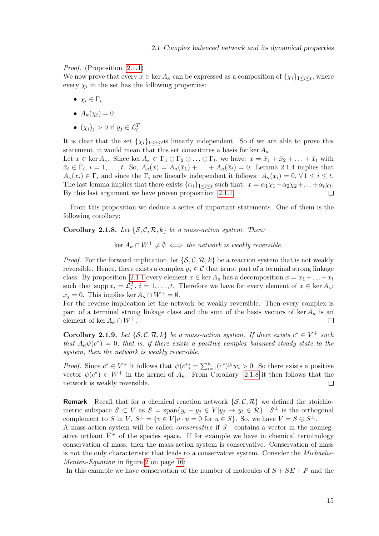### Proof. (Proposition [2.1.1\)](#page-21-1)

We now prove that every  $x \in \ker A_{\kappa}$  can be expressed as a composition of  $\{\chi_i\}_{1 \leq i \leq t}$ , where every  $\chi_i$  in the set has the following properties:

- $\chi_i \in \Gamma_i$
- $A_{\kappa}(\chi_i)=0$
- $(\chi_i)_j > 0$  if  $y_j \in \mathcal{L}_i^T$ .

It is clear that the set  $\{\chi_i\}_{1 \leq i \leq t}$  is linearly independent. So if we are able to prove this statement, it would mean that this set constitutes a basis for ker  $A_{\kappa}$ .

Let  $x \in \ker A_{\kappa}$ . Since  $\ker A_{\kappa} \subset \Gamma_1 \oplus \Gamma_2 \oplus \ldots \oplus \Gamma_t$ , we have:  $x = \bar{x}_1 + \bar{x}_2 + \ldots + \bar{x}_t$  with  $\bar{x}_i \in \Gamma_i$ ,  $i = 1, \ldots, t$ . So,  $A_{\kappa}(x) = A_{\kappa}(\bar{x}_1) + \ldots + A_{\kappa}(\bar{x}_t) = 0$ . Lemma 2.1.4 implies that  $A_{\kappa}(\bar{x}_i) \in \Gamma_i$  and since the  $\Gamma_i$  are linearly independent it follows:  $A_{\kappa}(\bar{x}_i) = 0, \forall 1 \leq i \leq t$ . The last lemma implies that there exists  $\{\alpha_i\}_{1\leq i\leq t}$  such that:  $x = \alpha_1\chi_1 + \alpha_2\chi_2 + \ldots + \alpha_t\chi_t$ . By this last argument we have proven proposition [2.1.1.](#page-21-1)

From this proposition we deduce a series of important statements. One of them is the following corollary:

<span id="page-24-0"></span>**Corollary 2.1.8.** Let  $\{S, C, R, k\}$  be a mass-action system. Then:

 $\ker A_{\kappa} \cap W^+ \neq \emptyset \iff \text{the network is weakly reversible.}$ 

*Proof.* For the forward implication, let  $\{S, C, \mathcal{R}, k\}$  be a reaction system that is not weakly reversible. Hence, there exists a complex  $y_j \in \mathcal{C}$  that is not part of a terminal strong linkage class. By proposition [2.1.1](#page-21-1) every element  $x \in \text{ker } A_{\kappa}$  has a decomposition  $x = x_1 + ... + x_t$ such that supp  $x_i = \mathcal{L}_i^T$ ,  $i = 1, ..., t$ . Therefore we have for every element of  $x \in \text{ker } A_{\kappa}$ :  $x_j = 0$ . This implies ker  $A_{\kappa} \cap W^+ = \emptyset$ .

For the reverse implication let the network be weakly reversible. Then every complex is part of a terminal strong linkage class and the sum of the basis vectors of ker  $A_{\kappa}$  is an element of ker  $A_{\kappa} \cap W^+$ .  $\Box$ 

<span id="page-24-1"></span>**Corollary 2.1.9.** Let  $\{S, C, R, k\}$  be a mass-action system. If there exists  $c^* \in V^+$  such that  $A_{\kappa}\psi(c^*)=0$ , that is, if there exists a positive complex balanced steady state to the system, then the network is weakly reversible.

*Proof.* Since  $c^* \in V^+$  it follows that  $\psi(c^*) = \sum_{i=1}^n (c^*)^{y_i} w_i > 0$ . So there exists a positive vector  $\psi(c^*) \in W^+$  in the kernel of  $A_{\kappa}$ . From Corollary [2.1.8](#page-24-0) it then follows that the network is weakly reversible.  $\Box$ 

**Remark** Recall that for a chemical reaction network  $\{S, C, \mathcal{R}\}\$  we defined the stoichiometric subspace  $S \subset V$  as  $S = \text{span}\{y_l - y_j \in V | y_j \to y_l \in \mathcal{R}\}\$ .  $S^{\perp}$  is the orthogonal complement to S in V,  $S^{\perp} = \{v \in V | v \cdot u = 0 \text{ for } u \in S\}$ . So, we have  $V = S \oplus S^{\perp}$ .

A mass-action system will be called *conservative* if  $S^{\perp}$  contains a vector in the nonnegative orthant  $\bar{V}^+$  of the species space. If for example we have in chemical terminology conservation of mass, then the mass-action system is conservative. Conservation of mass is not the only characteristic that leads to a conservative system. Consider the Michaelis-Menten-Equation in figure [2](#page-25-0) on page [16:](#page-25-0)

In this example we have conservation of the number of molecules of  $S + SE + P$  and the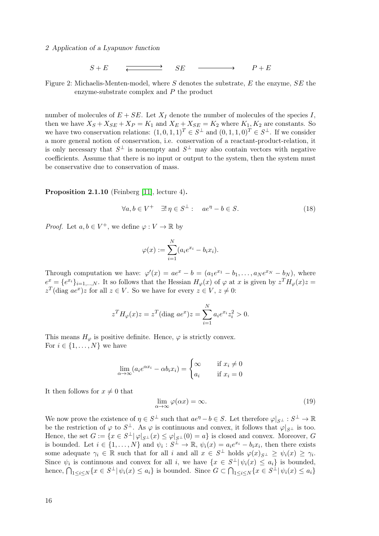<span id="page-25-0"></span>2 Application of a Lyapunov function

$$
S + E \qquad \xleftarrow{\longrightarrow} \qquad SE \qquad \longrightarrow \qquad P + E
$$

Figure 2: Michaelis-Menten-model, where S denotes the substrate, E the enzyme, SE the enzyme-substrate complex and P the product

number of molecules of  $E + SE$ . Let  $X_I$  denote the number of molecules of the species I, then we have  $X_S + X_{SE} + X_P = K_1$  and  $X_E + X_{SE} = K_2$  where  $K_1, K_2$  are constants. So we have two conservation relations:  $(1,0,1,1)^T \in S^{\perp}$  and  $(0,1,1,0)^T \in S^{\perp}$ . If we consider a more general notion of conservation, i.e. conservation of a reactant-product-relation, it is only necessary that  $S^{\perp}$  is nonempty and  $S^{\perp}$  may also contain vectors with negative coefficients. Assume that there is no input or output to the system, then the system must be conservative due to conservation of mass.

<span id="page-25-1"></span>Proposition 2.1.10 (Feinberg [\[11\]](#page-65-6), lecture 4).

$$
\forall a, b \in V^+ \quad \exists! \eta \in S^\perp : \quad ae^\eta - b \in S. \tag{18}
$$

*Proof.* Let  $a, b \in V^+$ , we define  $\varphi : V \to \mathbb{R}$  by

$$
\varphi(x) := \sum_{i=1}^N (a_i e^{x_i} - b_i x_i).
$$

Through computation we have:  $\varphi'(x) = ae^x - b = (a_1e^{x_1} - b_1, \ldots, a_Ne^{x_N} - b_N)$ , where  $e^x = \{e^{x_i}\}_{i=1,\dots,N}$ . It so follows that the Hessian  $H_{\varphi}(x)$  of  $\varphi$  at x is given by  $z^T H_{\varphi}(x)z =$  $z^T$ (diag  $ae^x$ )z for all  $z \in V$ . So we have for every  $z \in V$ ,  $z \neq 0$ :

$$
z^{T}H_{\varphi}(x)z = z^{T}(\text{diag } ae^{x})z = \sum_{i=1}^{N} a_{i}e^{x_{i}}z_{i}^{2} > 0.
$$

This means  $H_{\varphi}$  is positive definite. Hence,  $\varphi$  is strictly convex. For  $i \in \{1, \ldots, N\}$  we have

$$
\lim_{\alpha \to \infty} (a_i e^{\alpha x_i} - \alpha b_i x_i) = \begin{cases} \infty & \text{if } x_i \neq 0 \\ a_i & \text{if } x_i = 0 \end{cases}
$$

It then follows for  $x \neq 0$  that

$$
\lim_{\alpha \to \infty} \varphi(\alpha x) = \infty. \tag{19}
$$

We now prove the existence of  $\eta \in S^{\perp}$  such that  $ae^{\eta} - b \in S$ . Let therefore  $\varphi|_{S^{\perp}} : S^{\perp} \to \mathbb{R}$ be the restriction of  $\varphi$  to  $S^{\perp}$ . As  $\varphi$  is continuous and convex, it follows that  $\varphi|_{S^{\perp}}$  is too. Hence, the set  $G := \{x \in S^{\perp} | \varphi|_{S^{\perp}}(x) \leq \varphi|_{S^{\perp}}(0) = a\}$  is closed and convex. Moreover, G is bounded. Let  $i \in \{1, ..., N\}$  and  $\psi_i : S^{\perp} \to \mathbb{R}, \psi_i(x) = a_i e^{x_i} - b_i x_i$ , then there exists some adequate  $\gamma_i \in \mathbb{R}$  such that for all i and all  $x \in S^{\perp}$  holds  $\varphi(x)_{S^{\perp}} \geq \psi_i(x) \geq \gamma_i$ . Since  $\psi_i$  is continuous and convex for all i, we have  $\{x \in S^{\perp} | \psi_i(x) \leq a_i\}$  is bounded, hence,  $\bigcap_{1 \leq i \leq N} \{x \in S^{\perp} | \psi_i(x) \leq a_i\}$  is bounded. Since  $G \subset \bigcap_{1 \leq i \leq N} \{x \in S^{\perp} | \psi_i(x) \leq a_i\}$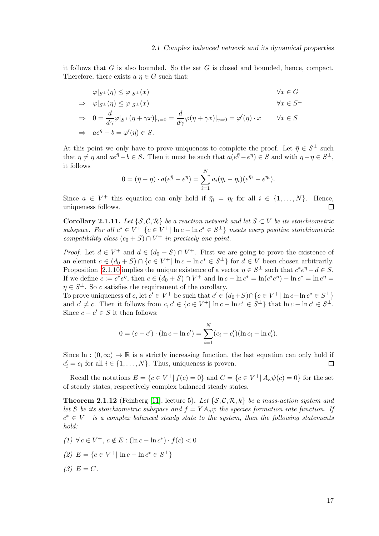it follows that  $G$  is also bounded. So the set  $G$  is closed and bounded, hence, compact. Therefore, there exists a  $\eta \in G$  such that:

$$
\varphi|_{S^{\perp}}(\eta) \leq \varphi|_{S^{\perp}}(x) \qquad \forall x \in G
$$
  
\n
$$
\Rightarrow \varphi|_{S^{\perp}}(\eta) \leq \varphi|_{S^{\perp}}(x) \qquad \forall x \in S^{\perp}
$$
  
\n
$$
\Rightarrow 0 = \frac{d}{d\gamma} \varphi|_{S^{\perp}}(\eta + \gamma x)|_{\gamma=0} = \frac{d}{d\gamma} \varphi(\eta + \gamma x)|_{\gamma=0} = \varphi'(\eta) \cdot x \qquad \forall x \in S^{\perp}
$$
  
\n
$$
\Rightarrow ae^{\eta} - b = \varphi'(\eta) \in S.
$$

At this point we only have to prove uniqueness to complete the proof. Let  $\bar{\eta} \in S^{\perp}$  such that  $\bar{\eta} \neq \eta$  and  $ae^{\bar{\eta}} - b \in S$ . Then it must be such that  $a(e^{\bar{\eta}} - e^{\eta}) \in S$  and with  $\bar{\eta} - \eta \in S^{\perp}$ , it follows  $\ddotsc$ 

$$
0 = (\bar{\eta} - \eta) \cdot a(e^{\bar{\eta}} - e^{\eta}) = \sum_{i=1}^{N} a_i (\bar{\eta}_i - \eta_i)(e^{\bar{\eta}_i} - e^{\eta_i}).
$$

Since  $a \in V^+$  this equation can only hold if  $\bar{\eta}_i = \eta_i$  for all  $i \in \{1, ..., N\}$ . Hence, uniqueness follows. П

<span id="page-26-1"></span>Corollary 2.1.11. Let  $\{S, C, R\}$  be a reaction network and let  $S \subset V$  be its stoichiometric subspace. For all  $c^* \in V^+ \{c \in V^+ | \ln c - \ln c^* \in S^{\perp} \}$  meets every positive stoichiometric compatibility class  $(c_0 + S) \cap V^+$  in precisely one point.

*Proof.* Let  $d \in V^+$  and  $d \in (d_0 + S) \cap V^+$ . First we are going to prove the existence of an element  $c \in (d_0 + S) \cap \{c \in V^+ | \ln c - \ln c^* \in S^{\perp} \}$  for  $d \in V$  been chosen arbitrarily. Proposition [2.1.10](#page-25-1) implies the unique existence of a vector  $\eta \in S^{\perp}$  such that  $c^*e^{\eta} - d \in S$ . If we define  $c := c^*e^{\eta}$ , then  $c \in (d_0 + S) \cap V^+$  and  $\ln c - \ln c^* = \ln(c^*e^{\eta}) - \ln c^* = \ln e^{\eta} =$  $\eta \in S^{\perp}$ . So c satisfies the requirement of the corollary.

To prove uniqueness of c, let  $c' \in V^+$  be such that  $c' \in (d_0 + S) \cap \{c \in V^+ | \ln c - \ln c^* \in S^{\perp} \}$ and  $c' \neq c$ . Then it follows from  $c, c' \in \{c \in V^+ | \ln c - \ln c^* \in S^\perp \}$  that  $\ln c - \ln c' \in S^\perp$ . Since  $c - c' \in S$  it then follows:

$$
0 = (c - c') \cdot (\ln c - \ln c') = \sum_{i=1}^{N} (c_i - c'_i)(\ln c_i - \ln c'_i).
$$

Since  $\ln : (0, \infty) \to \mathbb{R}$  is a strictly increasing function, the last equation can only hold if  $c_i' = c_i$  for all  $i \in \{1, ..., N\}$ . Thus, uniqueness is proven.  $\Box$ 

Recall the notations  $E = \{c \in V^+ | f(c) = 0\}$  and  $C = \{c \in V^+ | A_\kappa \psi(c) = 0\}$  for the set of steady states, respectively complex balanced steady states.

<span id="page-26-0"></span>**Theorem 2.1.12** (Feinberg [\[11\]](#page-65-6), lecture 5). Let  $\{S, C, R, k\}$  be a mass-action system and let S be its stoichiometric subspace and  $f = YA_{\kappa}\psi$  the species formation rate function. If  $c^* \in V^+$  is a complex balanced steady state to the system, then the following statements hold:

(1) ∀ c ∈ V<sup>+</sup>, c ∉ E : (ln c – ln c<sup>\*</sup>) · f (c) < 0 (2)  $E = \{c \in V^+ | \ln c - \ln c^* \in S^{\perp} \}$  $(3)$   $E = C$ .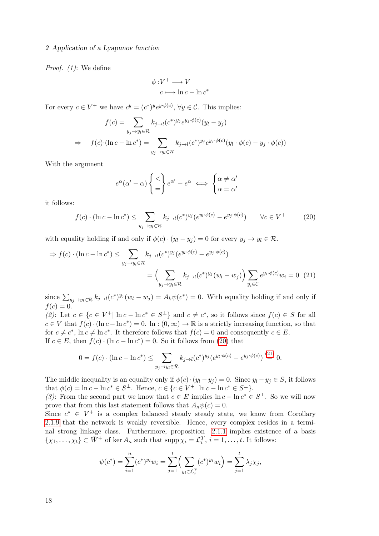### 2 Application of a Lyapunov function

Proof. (1): We define

$$
\phi: V^+ \longrightarrow V
$$

$$
c \longmapsto \ln c - \ln c^*
$$

For every  $c \in V^+$  we have  $c^y = (c^*)^y e^{y \phi(c)}$ ,  $\forall y \in C$ . This implies:

$$
f(c) = \sum_{y_j \to y_l \in \mathcal{R}} k_{j \to l}(c^*)^{y_j} e^{y_j \cdot \phi(c)} (y_l - y_j)
$$
  
\n
$$
\Rightarrow \quad f(c) \cdot (\ln c - \ln c^*) = \sum_{y_j \to y_l \in \mathcal{R}} k_{j \to l}(c^*)^{y_j} e^{y_j \cdot \phi(c)} (y_l \cdot \phi(c) - y_j \cdot \phi(c))
$$

With the argument

<span id="page-27-1"></span>
$$
e^{\alpha}(\alpha'-\alpha)\begin{cases} < \\ = \end{cases}e^{\alpha'}-e^{\alpha} \iff \begin{cases} \alpha \neq \alpha' \\ \alpha = \alpha' \end{cases}
$$

it follows:

<span id="page-27-0"></span>
$$
f(c) \cdot (\ln c - \ln c^*) \le \sum_{y_j \to y_l \in \mathcal{R}} k_{j \to l} (c^*)^{y_j} (e^{y_l \cdot \phi(c)} - e^{y_j \cdot \phi(c)}) \qquad \forall c \in V^+ \tag{20}
$$

with equality holding if and only if  $\phi(c) \cdot (y_l - y_j) = 0$  for every  $y_j \to y_l \in \mathcal{R}$ .

$$
\Rightarrow f(c) \cdot (\ln c - \ln c^*) \le \sum_{y_j \to y_l \in \mathcal{R}} k_{j \to l} (c^*)^{y_j} (e^{y_l \cdot \phi(c)} - e^{y_j \cdot \phi(c)})
$$

$$
= \left(\sum_{y_j \to y_l \in \mathcal{R}} k_{j \to l} (c^*)^{y_j} (w_l - w_j)\right) \sum_{y_i \in \mathcal{C}} e^{y_i \cdot \phi(c)} w_i = 0 \quad (21)
$$

since  $\sum_{y_j \to y_l \in \mathcal{R}} k_{j \to l} (c^*)^{y_j} (w_l - w_j) = A_k \psi(c^*) = 0$ . With equality holding if and only if  $f(c) = 0.$ 

(2): Let  $c \in \{c \in V^+ | \ln c - \ln c^* \in S^{\perp} \}$  and  $c \neq c^*$ , so it follows since  $f(c) \in S$  for all  $c \in V$  that  $f(c) \cdot (\ln c - \ln c^*) = 0$ .  $\ln : (0, \infty) \to \mathbb{R}$  is a strictly increasing function, so that for  $c \neq c^*$ ,  $\ln c \neq \ln c^*$ . It therefore follows that  $f(c) = 0$  and consequently  $c \in E$ . If  $c \in E$ , then  $f(c) \cdot (\ln c - \ln c^*) = 0$ . So it follows from [\(20\)](#page-27-0) that

$$
0 = f(c) \cdot (\ln c - \ln c^*) \le \sum_{y_j \to y_l \in \mathcal{R}} k_{j \to l} (c^*)^{y_j} (e^{y_l \cdot \phi(c)} - e^{y_j \cdot \phi(c)}) \stackrel{(21)}{=} 0.
$$

The middle inequality is an equality only if  $\phi(c) \cdot (y_l - y_j) = 0$ . Since  $y_l - y_j \in S$ , it follows that  $\phi(c) = \ln c - \ln c^* \in S^{\perp}$ . Hence,  $c \in \{c \in V^+ | \ln c - \ln c^* \in S^{\perp} \}$ .

(3): From the second part we know that  $c \in E$  implies  $\ln c - \ln c^* \in S^{\perp}$ . So we will now prove that from this last statement follows that  $A_{\kappa}\psi(c)=0$ .

Since  $c^* \in V^+$  is a complex balanced steady steady state, we know from Corollary [2.1.9](#page-24-1) that the network is weakly reversible. Hence, every complex resides in a terminal strong linkage class. Furthermore, proposition [2.1.1](#page-21-1) implies existence of a basis  $\{\chi_1,\ldots,\chi_t\} \subset \bar{W}^+$  of ker  $A_\kappa$  such that supp  $\chi_i = \mathcal{L}_i^T$ ,  $i = 1,\ldots,t$ . It follows:

$$
\psi(c^*) = \sum_{i=1}^n (c^*)^{y_i} w_i = \sum_{j=1}^t \Big(\sum_{y_i \in \mathcal{L}_j^T} (c^*)^{y_i} w_i\Big) = \sum_{j=1}^t \lambda_j \chi_j,
$$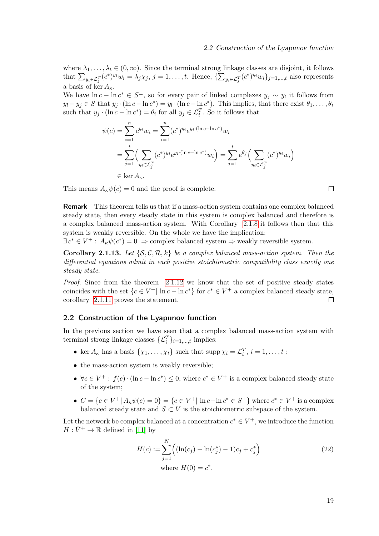where  $\lambda_1, \ldots, \lambda_t \in (0, \infty)$ . Since the terminal strong linkage classes are disjoint, it follows that  $\sum_{y_i \in \mathcal{L}_j^T} (c^*)^{y_i} w_i = \lambda_j \chi_j$ ,  $j = 1, \ldots, t$ . Hence,  $\{\sum_{y_i \in \mathcal{L}_j^T} (c^*)^{y_i} w_i\}_{j=1,\ldots,t}$  also represents a basis of ker  $A_{\kappa}$ .

We have  $\ln c - \ln c^* \in S^{\perp}$ , so for every pair of linked complexes  $y_j \sim y_l$  it follows from  $y_l - y_j \in S$  that  $y_j \cdot (\ln c - \ln c^*) = y_l \cdot (\ln c - \ln c^*)$ . This implies, that there exist  $\theta_1, \ldots, \theta_t$ such that  $y_j \cdot (\ln c - \ln c^*) = \theta_i$  for all  $y_j \in \mathcal{L}_i^T$ . So it follows that

$$
\psi(c) = \sum_{i=1}^{n} c^{y_i} w_i = \sum_{i=1}^{n} (c^*)^{y_i} e^{y_i \cdot (\ln c - \ln c^*)} w_i
$$
  
= 
$$
\sum_{j=1}^{t} \Biggl(\sum_{y_i \in \mathcal{L}_j^T} (c^*)^{y_i} e^{y_i \cdot (\ln c - \ln c^*)} w_i \Biggr) = \sum_{j=1}^{t} e^{\theta_j} \Biggl(\sum_{y_i \in \mathcal{L}_j^T} (c^*)^{y_i} w_i \Biggr)
$$
  

$$
\in \ker A_{\kappa}.
$$

This means  $A_{\kappa}\psi(c)=0$  and the proof is complete.

Remark This theorem tells us that if a mass-action system contains one complex balanced steady state, then every steady state in this system is complex balanced and therefore is a complex balanced mass-action system. With Corollary [2.1.8](#page-24-0) it follows then that this system is weakly reversible. On the whole we have the implication:

 $\exists c^* \in V^+ : A_{\kappa} \psi(c^*) = 0 \Rightarrow$  complex balanced system  $\Rightarrow$  weakly reversible system.

**Corollary 2.1.13.** Let  $\{S, C, R, k\}$  be a complex balanced mass-action system. Then the differential equations admit in each positive stoichiometric compatibility class exactly one steady state.

Proof. Since from the theorem [2.1.12](#page-26-0) we know that the set of positive steady states coincides with the set  ${c \in V^+ | \ln c - \ln c^* }$  for  $c^* \in V^+$  a complex balanced steady state, corollary [2.1.11](#page-26-1) proves the statement.  $\Box$ 

### <span id="page-28-0"></span>2.2 Construction of the Lyapunov function

In the previous section we have seen that a complex balanced mass-action system with terminal strong linkage classes  $\{\mathcal{L}_i^T\}_{i=1,\dots,t}$  implies:

- ker  $A_{\kappa}$  has a basis  $\{\chi_1, \ldots, \chi_t\}$  such that  $\text{supp }\chi_i = \mathcal{L}_i^T$ ,  $i = 1, \ldots, t$ ;
- the mass-action system is weakly reversible;
- $\forall c \in V^+ : f(c) \cdot (\ln c \ln c^*) \leq 0$ , where  $c^* \in V^+$  is a complex balanced steady state of the system;
- $C = \{c \in V^+ | A_{\kappa} \psi(c) = 0\} = \{c \in V^+ | \ln c \ln c^* \in S^{\perp} \}$  where  $c^* \in V^+$  is a complex balanced steady state and  $S \subset V$  is the stoichiometric subspace of the system.

Let the network be complex balanced at a concentration  $c^* \in V^+$ , we introduce the function  $H: \bar{V}^+ \to \mathbb{R}$  defined in [\[11\]](#page-65-6) by

<span id="page-28-1"></span>
$$
H(c) := \sum_{j=1}^{N} ((\ln(c_j) - \ln(c_j^*) - 1)c_j + c_j^*)
$$
  
where  $H(0) = c^*$ . (22)

 $\Box$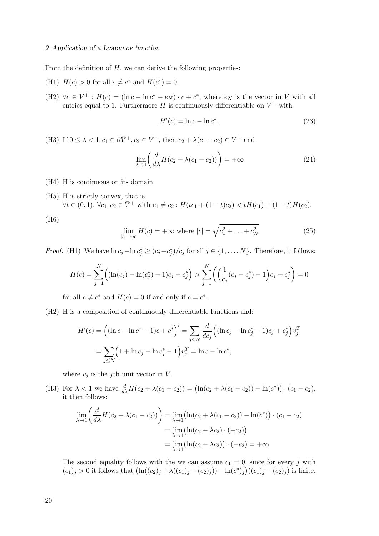### 2 Application of a Lyapunov function

From the definition of  $H$ , we can derive the following properties:

- (H1)  $H(c) > 0$  for all  $c \neq c^*$  and  $H(c^*) = 0$ .
- (H2)  $\forall c \in V^+ : H(c) = (\ln c \ln c^* e_N) \cdot c + c^*$ , where  $e_N$  is the vector in V with all entries equal to 1. Furthermore  $H$  is continuously differentiable on  $V^+$  with

<span id="page-29-0"></span>
$$
H'(c) = \ln c - \ln c^*.
$$
\n
$$
(23)
$$

(H3) If  $0 \le \lambda < 1, c_1 \in \partial \bar{V}^+, c_2 \in V^+$ , then  $c_2 + \lambda(c_1 - c_2) \in V^+$  and

$$
\lim_{\lambda \to 1} \left( \frac{d}{d\lambda} H(c_2 + \lambda(c_1 - c_2)) \right) = +\infty \tag{24}
$$

- (H4) H is continuous on its domain.
- (H5) H is strictly convex, that is  $\forall t \in (0,1), \forall c_1, c_2 \in \overline{V}^+ \text{ with } c_1 \neq c_2 : H(tc_1 + (1-t)c_2) < tH(c_1) + (1-t)H(c_2).$

(H6)

$$
\lim_{|c| \to \infty} H(c) = +\infty \text{ where } |c| = \sqrt{c_1^2 + \ldots + c_N^2}
$$
 (25)

*Proof.* (H1) We have  $\ln c_j - \ln c_j^* \ge (c_j - c_j^*)/c_j$  for all  $j \in \{1, ..., N\}$ . Therefore, it follows:

$$
H(c) = \sum_{j=1}^{N} ((\ln(c_j) - \ln(c_j^*) - 1)c_j + c_j^*) > \sum_{j=1}^{N} ((\frac{1}{c_j}(c_j - c_j^*) - 1)c_j + c_j^*) = 0
$$

for all  $c \neq c^*$  and  $H(c) = 0$  if and only if  $c = c^*$ .

(H2) H is a composition of continuously differentiable functions and:

$$
H'(c) = ((\ln c - \ln c^* - 1)c + c^*)' = \sum_{j \le N} \frac{d}{dc_j} ((\ln c_j - \ln c_j^* - 1)c_j + c_j^*) v_j^T
$$
  
= 
$$
\sum_{j \le N} (1 + \ln c_j - \ln c_j^* - 1) v_j^T = \ln c - \ln c^*,
$$

where  $v_i$  is the jth unit vector in V.

(H3) For  $\lambda < 1$  we have  $\frac{d}{d\lambda}H(c_2 + \lambda(c_1 - c_2)) = (\ln(c_2 + \lambda(c_1 - c_2)) - \ln(c^*)) - (c_1 - c_2),$ it then follows:

$$
\lim_{\lambda \to 1} \left( \frac{d}{d\lambda} H(c_2 + \lambda(c_1 - c_2)) \right) = \lim_{\lambda \to 1} \left( \ln(c_2 + \lambda(c_1 - c_2)) - \ln(c^*) \right) \cdot (c_1 - c_2)
$$

$$
= \lim_{\lambda \to 1} \left( \ln(c_2 - \lambda c_2) \cdot (-c_2) \right)
$$

$$
= \lim_{\lambda \to 1} \left( \ln(c_2 - \lambda c_2) \right) \cdot (-c_2) = +\infty
$$

The second equality follows with the we can assume  $c_1 = 0$ , since for every j with  $(c_1)_j > 0$  it follows that  $(\ln((c_2)_j + \lambda((c_1)_j - (c_2)_j)) - \ln(c^*)_j)((c_1)_j - (c_2)_j)$  is finite.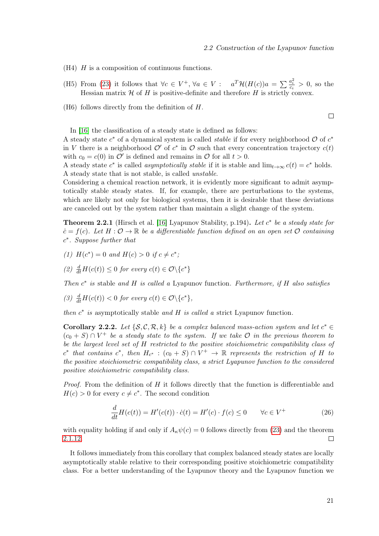$\Box$ 

- $(H4)$  H is a composition of continuous functions.
- (H5) From [\(23\)](#page-29-0) it follows that  $\forall c \in V^+, \forall a \in V : a^T \mathcal{H}(H(c))a = \sum_{c_i} \frac{a_i^2}{c_i} > 0$ , so the Hessian matrix  $H$  of  $H$  is positive-definite and therefore  $H$  is strictly convex.
- (H6) follows directly from the definition of H.

In [\[16\]](#page-66-3) the classification of a steady state is defined as follows:

A steady state  $c^*$  of a dynamical system is called *stable* if for every neighborhood  $\mathcal{O}$  of  $c^*$ in V there is a neighborhood  $\mathcal{O}'$  of  $c^*$  in  $\mathcal O$  such that every concentration trajectory  $c(t)$ with  $c_0 = c(0)$  in  $\mathcal{O}'$  is defined and remains in  $\mathcal{O}$  for all  $t > 0$ .

A steady state  $c^*$  is called *asymptotically stable* if it is stable and  $\lim_{t\to\infty} c(t) = c^*$  holds. A steady state that is not stable, is called unstable.

Considering a chemical reaction network, it is evidently more significant to admit asymptotically stable steady states. If, for example, there are perturbations to the systems, which are likely not only for biological systems, then it is desirable that these deviations are canceled out by the system rather than maintain a slight change of the system.

**Theorem 2.2.1** (Hirsch et al. [\[16\]](#page-66-3) Lyapunov Stability, p.194). Let  $c^*$  be a steady state for  $\dot{c} = f(c)$ . Let  $H: \mathcal{O} \to \mathbb{R}$  be a differentiable function defined on an open set  $\mathcal{O}$  containing c ∗ . Suppose further that

- (1)  $H(c^*) = 0$  and  $H(c) > 0$  if  $c \neq c^*$ ;
- (2)  $\frac{d}{dt}H(c(t)) \leq 0$  for every  $c(t) \in \mathcal{O} \backslash \{c^*\}$

Then  $c^*$  is stable and H is called a Lyapunov function. Furthermore, if H also satisfies

$$
(3) \frac{d}{dt}H(c(t)) < 0 \text{ for every } c(t) \in \mathcal{O}\backslash\{c^*\},
$$

then  $c^*$  is asymptotically stable and H is called a strict Lyapunov function.

Corollary 2.2.2. Let  $\{S, C, R, k\}$  be a complex balanced mass-action system and let  $c^* \in$  $(c_0 + S) \cap V^+$  be a steady state to the system. If we take  $\mathcal O$  in the previous theorem to be the largest level set of H restricted to the positive stoichiometric compatibility class of  $c^*$  that contains  $c^*$ , then  $H_{c^*}$  :  $(c_0 + S) \cap V^+ \to \mathbb{R}$  represents the restriction of H to the positive stoichiometric compatibility class, a strict Lyapunov function to the considered positive stoichiometric compatibility class.

*Proof.* From the definition of  $H$  it follows directly that the function is differentiable and  $H(c) > 0$  for every  $c \neq c^*$ . The second condition

<span id="page-30-0"></span>
$$
\frac{d}{dt}H(c(t)) = H'(c(t)) \cdot \dot{c}(t) = H'(c) \cdot f(c) \le 0 \qquad \forall c \in V^+\tag{26}
$$

with equality holding if and only if  $A_{\kappa}\psi(c) = 0$  follows directly from [\(23\)](#page-29-0) and the theorem [2.1.12.](#page-26-0)  $\Box$ 

It follows immediately from this corollary that complex balanced steady states are locally asymptotically stable relative to their corresponding positive stoichiometric compatibility class. For a better understanding of the Lyapunov theory and the Lyapunov function we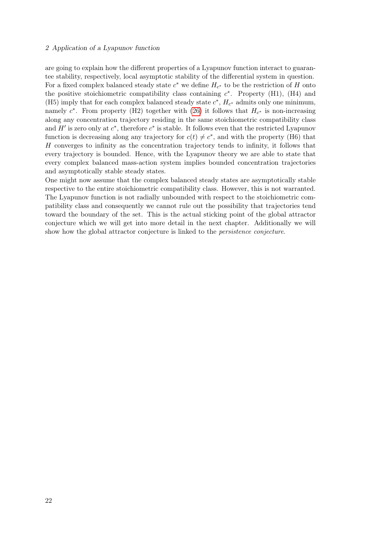### 2 Application of a Lyapunov function

are going to explain how the different properties of a Lyapunov function interact to guarantee stability, respectively, local asymptotic stability of the differential system in question. For a fixed complex balanced steady state  $c^*$  we define  $H_{c^*}$  to be the restriction of H onto the positive stoichiometric compatibility class containing  $c^*$ . Property (H1), (H4) and (H5) imply that for each complex balanced steady state  $c^*$ ,  $H_{c^*}$  admits only one minimum, namely  $c^*$ . From property (H2) together with [\(26\)](#page-30-0) it follows that  $H_{c^*}$  is non-increasing along any concentration trajectory residing in the same stoichiometric compatibility class and  $H'$  is zero only at  $c^*$ , therefore  $c^*$  is stable. It follows even that the restricted Lyapunov function is decreasing along any trajectory for  $c(t) \neq c^*$ , and with the property (H6) that H converges to infinity as the concentration trajectory tends to infinity, it follows that every trajectory is bounded. Hence, with the Lyapunov theory we are able to state that every complex balanced mass-action system implies bounded concentration trajectories and asymptotically stable steady states.

One might now assume that the complex balanced steady states are asymptotically stable respective to the entire stoichiometric compatibility class. However, this is not warranted. The Lyapunov function is not radially unbounded with respect to the stoichiometric compatibility class and consequently we cannot rule out the possibility that trajectories tend toward the boundary of the set. This is the actual sticking point of the global attractor conjecture which we will get into more detail in the next chapter. Additionally we will show how the global attractor conjecture is linked to the persistence conjecture.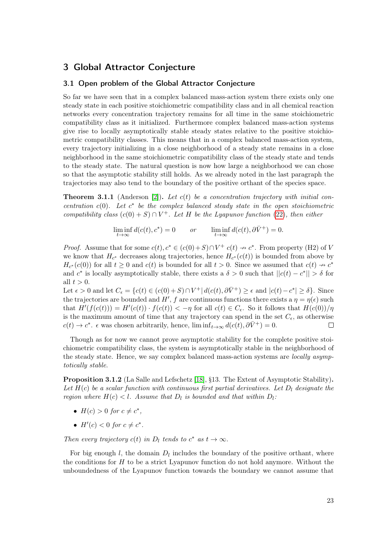### <span id="page-32-0"></span>3 Global Attractor Conjecture

### <span id="page-32-1"></span>3.1 Open problem of the Global Attractor Conjecture

So far we have seen that in a complex balanced mass-action system there exists only one steady state in each positive stoichiometric compatibility class and in all chemical reaction networks every concentration trajectory remains for all time in the same stoichiometric compatibility class as it initialized. Furthermore complex balanced mass-action systems give rise to locally asymptotically stable steady states relative to the positive stoichiometric compatibility classes. This means that in a complex balanced mass-action system, every trajectory initializing in a close neighborhood of a steady state remains in a close neighborhood in the same stoichiometric compatibility class of the steady state and tends to the steady state. The natural question is now how large a neighborhood we can chose so that the asymptotic stability still holds. As we already noted in the last paragraph the trajectories may also tend to the boundary of the positive orthant of the species space.

**Theorem 3.1.1** (Anderson [\[2\]](#page-65-9)). Let  $c(t)$  be a concentration trajectory with initial concentration  $c(0)$ . Let  $c^*$  be the complex balanced steady state in the open stoichiometric compatibility class  $(c(0) + S) \cap V^+$ . Let H be the Lyapunov function [\(22\)](#page-28-1), then either

$$
\liminf_{t \to \infty} d(c(t), c^*) = 0 \qquad or \qquad \liminf_{t \to \infty} d(c(t), \partial \bar{V}^+) = 0.
$$

*Proof.* Assume that for some  $c(t), c^* \in (c(0) + S) \cap V^+$   $c(t) \to c^*$ . From property (H2) of V we know that  $H_{c^*}$  decreases along trajectories, hence  $H_{c^*}(c(t))$  is bounded from above by  $H_{c^*}(c(0))$  for all  $t \geq 0$  and  $c(t)$  is bounded for all  $t > 0$ . Since we assumed that  $c(t) \to c^*$ and  $c^*$  is locally asymptotically stable, there exists a  $\delta > 0$  such that  $||c(t) - c^*|| > \delta$  for all  $t > 0$ .

Let  $\epsilon > 0$  and let  $C_{\epsilon} = \{c(t) \in (c(0) + S) \cap V^+ | d(c(t), \partial \bar{V}^+) \ge \epsilon \text{ and } |c(t) - c^*| \ge \delta\}.$  Since the trajectories are bounded and H', f are continuous functions there exists a  $\eta = \eta(\epsilon)$  such that  $H'(f(c(t))) = H'(c(t)) \cdot f(c(t)) < -\eta$  for all  $c(t) \in C_{\epsilon}$ . So it follows that  $H(c(0))/\eta$ is the maximum amount of time that any trajectory can spend in the set  $C_{\epsilon}$ , as otherwise  $c(t) \to c^*$ .  $\epsilon$  was chosen arbitrarily, hence,  $\liminf_{t \to \infty} d(c(t), \partial \bar{V}^+) = 0$ .  $\Box$ 

Though as for now we cannot prove asymptotic stability for the complete positive stoichiometric compatibility class, the system is asymptotically stable in the neighborhood of the steady state. Hence, we say complex balanced mass-action systems are *locally asymp*totically stable.

Proposition 3.1.2 (La Salle and Lefschetz [\[18\]](#page-66-5), §13. The Extent of Asymptotic Stability). Let  $H(c)$  be a scalar function with continuous first partial derivatives. Let  $D_l$  designate the region where  $H(c) < l$ . Assume that  $D_l$  is bounded and that within  $D_l$ .

- $H(c) > 0$  for  $c \neq c^*$ ,
- $H'(c) < 0$  for  $c \neq c^*$ .

Then every trajectory  $c(t)$  in  $D_l$  tends to  $c^*$  as  $t \to \infty$ .

For big enough  $l$ , the domain  $D_l$  includes the boundary of the positive orthant, where the conditions for  $H$  to be a strict Lyapunov function do not hold anymore. Without the unboundedness of the Lyapunov function towards the boundary we cannot assume that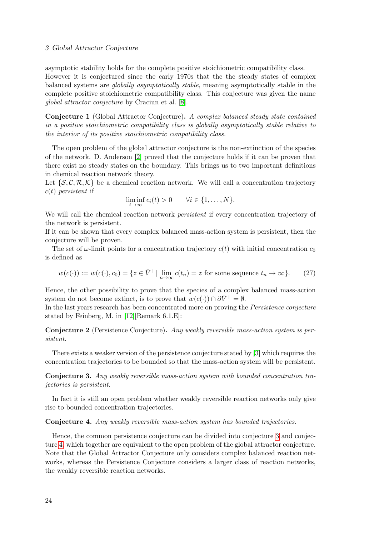### 3 Global Attractor Conjecture

asymptotic stability holds for the complete positive stoichiometric compatibility class. However it is conjectured since the early 1970s that the the steady states of complex balanced systems are globally asymptotically stable, meaning asymptotically stable in the complete positive stoichiometric compatibility class. This conjecture was given the name global attractor conjecture by Craciun et al. [\[8\]](#page-65-10).

Conjecture 1 (Global Attractor Conjecture). A complex balanced steady state contained in a positive stoichiometric compatibility class is globally asymptotically stable relative to the interior of its positive stoichiometric compatibility class.

The open problem of the global attractor conjecture is the non-extinction of the species of the network. D. Anderson [\[2\]](#page-65-9) proved that the conjecture holds if it can be proven that there exist no steady states on the boundary. This brings us to two important definitions in chemical reaction network theory.

Let  $\{S, \mathcal{C}, \mathcal{R}, \mathcal{K}\}\$  be a chemical reaction network. We will call a concentration trajectory  $c(t)$  persistent if

$$
\liminf_{t\to\infty}c_i(t)>0\qquad\forall i\in\{1,\ldots,N\}.
$$

We will call the chemical reaction network *persistent* if every concentration trajectory of the network is persistent.

If it can be shown that every complex balanced mass-action system is persistent, then the conjecture will be proven.

The set of  $\omega$ -limit points for a concentration trajectory  $c(t)$  with initial concentration  $c_0$ is defined as

$$
w(c(\cdot)) := w(c(\cdot), c_0) = \{ z \in \bar{V}^+ | \lim_{n \to \infty} c(t_n) = z \text{ for some sequence } t_n \to \infty \}. \tag{27}
$$

Hence, the other possibility to prove that the species of a complex balanced mass-action system do not become extinct, is to prove that  $w(c(\cdot)) \cap \partial \overline{V}^+ = \emptyset$ .

In the last years research has been concentrated more on proving the Persistence conjecture stated by Feinberg, M. in [\[12\]](#page-65-8)[Remark 6.1.E]:

Conjecture 2 (Persistence Conjecture). Any weakly reversible mass-action system is persistent.

There exists a weaker version of the persistence conjecture stated by [\[3\]](#page-65-2) which requires the concentration trajectories to be bounded so that the mass-action system will be persistent.

<span id="page-33-0"></span>Conjecture 3. Any weakly reversible mass-action system with bounded concentration trajectories is persistent.

In fact it is still an open problem whether weakly reversible reaction networks only give rise to bounded concentration trajectories.

### <span id="page-33-1"></span>Conjecture 4. Any weakly reversible mass-action system has bounded trajectories.

Hence, the common persistence conjecture can be divided into conjecture [3](#page-33-0) and conjecture [4,](#page-33-1) which together are equivalent to the open problem of the global attractor conjecture. Note that the Global Attractor Conjecture only considers complex balanced reaction networks, whereas the Persistence Conjecture considers a larger class of reaction networks, the weakly reversible reaction networks.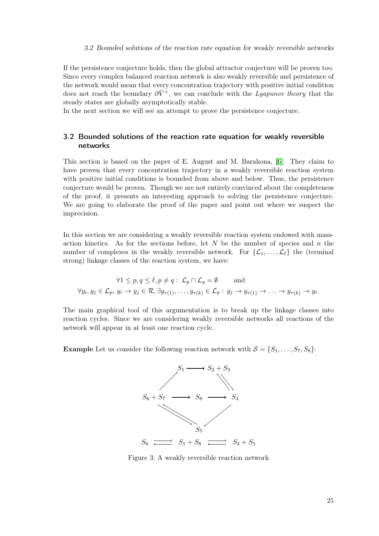### 3.2 Bounded solutions of the reaction rate equation for weakly reversible networks

If the persistence conjecture holds, then the global attractor conjecture will be proven too. Since every complex balanced reaction network is also weakly reversible and persistence of the network would mean that every concentration trajectory with positive initial condition does not reach the boundary  $\partial \bar{V}^+$ , we can conclude with the Lyapunov theory that the steady states are globally asymptotically stable.

In the next section we will see an attempt to prove the persistence conjecture.

### <span id="page-34-0"></span>3.2 Bounded solutions of the reaction rate equation for weakly reversible networks

This section is based on the paper of E. August and M. Barahona, [\[6\]](#page-65-1). They claim to have proven that every concentration trajectory in a weakly reversible reaction system with positive initial conditions is bounded from above and below. Thus, the persistence conjecture would be proven. Though we are not entirely convinced about the completeness of the proof, it presents an interesting approach to solving the persistence conjecture. We are going to elaborate the proof of the paper and point out where we suspect the imprecision.

In this section we are considering a weakly reversible reaction system endowed with massaction kinetics. As for the sections before, let  $N$  be the number of species and  $n$  the number of complexes in the weakly reversible network. For  $\{\mathcal{L}_1, \ldots, \mathcal{L}_{\ell}\}\)$  the (terminal strong) linkage classes of the reaction system, we have:

$$
\forall 1 \le p, q \le \ell, p \ne q: \mathcal{L}_p \cap \mathcal{L}_q = \emptyset \quad \text{and}
$$
  

$$
\forall y_i, y_j \in \mathcal{L}_p, y_i \to y_j \in \mathcal{R}, \exists y_{\tau(1)}, \dots, y_{\tau(k)} \in \mathcal{L}_p: y_j \to y_{\tau(1)} \to \dots \to y_{\tau(k)} \to y_i.
$$

The main graphical tool of this argumentation is to break up the linkage classes into reaction cycles. Since we are considering weakly reversible networks all reactions of the network will appear in at least one reaction cycle.

**Example** Let us consider the following reaction network with  $S = \{S_1, \ldots, S_7, S_8\}$ :



Figure 3: A weakly reversible reaction network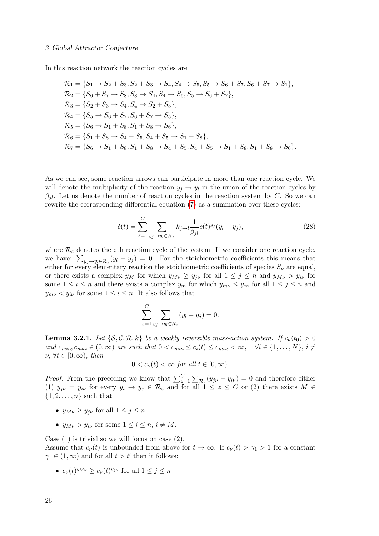In this reaction network the reaction cycles are

$$
\mathcal{R}_1 = \{S_1 \rightarrow S_2 + S_3, S_2 + S_3 \rightarrow S_4, S_4 \rightarrow S_5, S_5 \rightarrow S_6 + S_7, S_6 + S_7 \rightarrow S_1\},
$$
  
\n
$$
\mathcal{R}_2 = \{S_6 + S_7 \rightarrow S_8, S_8 \rightarrow S_4, S_4 \rightarrow S_5, S_5 \rightarrow S_6 + S_7\},
$$
  
\n
$$
\mathcal{R}_3 = \{S_2 + S_3 \rightarrow S_4, S_4 \rightarrow S_2 + S_3\},
$$
  
\n
$$
\mathcal{R}_4 = \{S_5 \rightarrow S_6 + S_7, S_6 + S_7 \rightarrow S_5\},
$$
  
\n
$$
\mathcal{R}_5 = \{S_6 \rightarrow S_1 + S_8, S_1 + S_8 \rightarrow S_6\},
$$
  
\n
$$
\mathcal{R}_6 = \{S_1 + S_8 \rightarrow S_4 + S_5, S_4 + S_5 \rightarrow S_1 + S_8\},
$$
  
\n
$$
\mathcal{R}_7 = \{S_6 \rightarrow S_1 + S_8, S_1 + S_8 \rightarrow S_4 + S_5, S_4 + S_5 \rightarrow S_1 + S_8, S_1 + S_8 \rightarrow S_6\}.
$$

As we can see, some reaction arrows can participate in more than one reaction cycle. We will denote the multiplicity of the reaction  $y_j \to y_l$  in the union of the reaction cycles by  $\beta_{il}$ . Let us denote the number of reaction cycles in the reaction system by C. So we can rewrite the corresponding differential equation [\(7\)](#page-15-2) as a summation over these cycles:

$$
\dot{c}(t) = \sum_{z=1}^{C} \sum_{y_j \to y_l \in \mathcal{R}_z} k_{j \to l} \frac{1}{\beta_{jl}} c(t)^{y_j} (y_l - y_j), \tag{28}
$$

where  $\mathcal{R}_z$  denotes the zth reaction cycle of the system. If we consider one reaction cycle, we have:  $\sum_{y_j \to y_l \in \mathcal{R}_z} (y_l - y_j) = 0$ . For the stoichiometric coefficients this means that either for every elementary reaction the stoichiometric coefficients of species  $S_{\nu}$  are equal, or there exists a complex  $y_M$  for which  $y_{M\nu} \ge y_{i\nu}$  for all  $1 \le j \le n$  and  $y_{M\nu} > y_{i\nu}$  for some  $1 \leq i \leq n$  and there exists a complex  $y_m$  for which  $y_{mv} \leq y_{j\nu}$  for all  $1 \leq j \leq n$  and  $y_{m\nu} < y_{i\nu}$  for some  $1 \leq i \leq n$ . It also follows that

$$
\sum_{z=1}^C \sum_{y_j \to y_l \in \mathcal{R}_z} (y_l - y_j) = 0.
$$

**Lemma 3.2.1.** Let  $\{S, C, R, k\}$  be a weakly reversible mass-action system. If  $c_{\nu}(t_0) > 0$ and  $c_{min}, c_{max} \in (0, \infty)$  are such that  $0 < c_{min} \le c_i(t) \le c_{max} < \infty$ ,  $\forall i \in \{1, ..., N\}, i \ne$  $\nu, \forall t \in [0, \infty), \text{ then}$ 

$$
0 < c_{\nu}(t) < \infty \text{ for all } t \in [0, \infty).
$$

*Proof.* From the preceding we know that  $\sum_{z=1}^{C} \sum_{\mathcal{R}_z} (y_{j\nu} - y_{i\nu}) = 0$  and therefore either (1)  $y_{j\nu} = y_{i\nu}$  for every  $y_i \to y_j \in \mathcal{R}_z$  and for all  $1 \leq z \leq C$  or (2) there exists  $M \in$  $\{1, 2, \ldots, n\}$  such that

- $y_{M\nu} \ge y_{i\nu}$  for all  $1 \le j \le n$
- $y_{M\nu} > y_{i\nu}$  for some  $1 \leq i \leq n, i \neq M$ .

Case  $(1)$  is trivial so we will focus on case  $(2)$ . Assume that  $c_{\nu}(t)$  is unbounded from above for  $t \to \infty$ . If  $c_{\nu}(t) > \gamma_1 > 1$  for a constant  $\gamma_1 \in (1,\infty)$  and for all  $t > t'$  then it follows:

•  $c_{\nu}(t)^{y_{M\nu}} \geq c_{\nu}(t)^{y_{j\nu}}$  for all  $1 \leq j \leq n$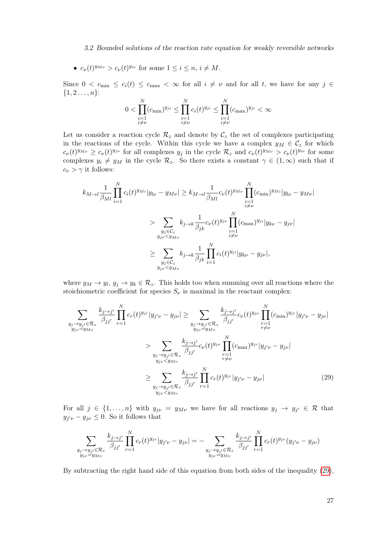### 3.2 Bounded solutions of the reaction rate equation for weakly reversible networks

•  $c_{\nu}(t)^{y_{M\nu}} > c_{\nu}(t)^{y_{i\nu}}$  for some  $1 \leq i \leq n, i \neq M$ .

Since  $0 < c_{\min} \le c_i(t) \le c_{\max} < \infty$  for all  $i \neq \nu$  and for all t, we have for any  $j \in$  ${1, 2 \ldots, n}$ :

$$
0 < \prod_{\substack{i=1 \\ i \neq \nu}}^N (c_{\min})^{y_{ji}} \le \prod_{\substack{i=1 \\ i \neq \nu}}^N c_i(t)^{y_{ji}} \le \prod_{\substack{i=1 \\ i \neq \nu}}^N (c_{\max})^{y_{ji}} < \infty
$$

Let us consider a reaction cycle  $\mathcal{R}_z$  and denote by  $\mathcal{C}_z$  the set of complexes participating in the reactions of the cycle. Within this cycle we have a complex  $y_M \in C_z$  for which  $c_{\nu}(t)^{y_{M\nu}} \geq c_{\nu}(t)^{y_{j\nu}}$  for all complexes  $y_j$  in the cycle  $\mathcal{R}_z$  and  $c_{\nu}(t)^{y_{M\nu}} > c_{\nu}(t)^{y_{i\nu}}$  for some complexes  $y_i \neq y_M$  in the cycle  $\mathcal{R}_z$ . So there exists a constant  $\gamma \in (1,\infty)$  such that if  $c_{\nu} > \gamma$  it follows:

$$
k_{M \to l} \frac{1}{\beta_{Ml}} \prod_{i=1}^{N} c_i(t)^{y_{Mi}} |y_{l\nu} - y_{M\nu}| \ge k_{M \to l} \frac{1}{\beta_{Ml}} c_{\nu}(t)^{y_{M\nu}} \prod_{\substack{i=1 \ i \neq \nu}}^{N} (c_{\min})^{y_{Mi}} |y_{l\nu} - y_{M\nu}|
$$
  
> 
$$
\sum_{\substack{y_j \in C_z \ y_{j\nu} < y_{M\nu}}} k_{j \to k} \frac{1}{\beta_{jk}} c_{\nu}(t)^{y_{j\nu}} \prod_{\substack{i=1 \ i \neq \nu}}^{N} (c_{\max})^{y_{ji}} |y_{k\nu} - y_{j\nu}|
$$
  
> 
$$
\sum_{\substack{y_j \in C_z \ y_{j\nu} < y_{M\nu}}} k_{j \to k} \frac{1}{\beta_{jk}} \prod_{i=1}^{N} c_i(t)^{y_{ji}} |y_{k\nu} - y_{j\nu}|,
$$

where  $y_M \to y_l$ ,  $y_j \to y_k \in \mathcal{R}_z$ . This holds too when summing over all reactions where the stoichiometric coefficient for species  $S_{\nu}$  is maximal in the reactant complex:

$$
\sum_{\substack{y_j \to y_{j'} \in \mathcal{R}_z \\ y_{j\nu} = y_{M\nu}}} \frac{k_{j \to j'}}{\beta_{jj'}} \prod_{r=1}^N c_r(t)^{y_{jr}} |y_{j'\nu} - y_{j\nu}| \ge \sum_{\substack{y_j \to y_{j'} \in \mathcal{R}_z \\ y_{j\nu} = y_{M\nu}}} \frac{k_{j \to j'}}{\beta_{jj'}} c_{\nu}(t)^{y_{j\nu}} \prod_{\substack{r=1 \\ r \neq \nu}}^{N} (c_{\min})^{y_{j\tau}} |y_{j'\nu} - y_{j\nu}|
$$
\n
$$
> \sum_{\substack{y_j \to y_{j'} \in \mathcal{R}_z \\ y_{j\nu} < y_{M\nu}}} \frac{k_{j \to j'}}{\beta_{jj'}} c_{\nu}(t)^{y_{j\nu}} \prod_{\substack{r=1 \\ r \neq \nu}}^{N} (c_{\max})^{y_{j\tau}} |y_{j'\nu} - y_{j\nu}|
$$
\n
$$
\ge \sum_{\substack{y_j \to y_{j'} \in \mathcal{R}_z \\ y_{j\nu} < y_{M\nu}}} \frac{k_{j \to j'}}{\beta_{jj'}} \prod_{r=1}^N c_r(t)^{y_{j\tau}} |y_{j'\nu} - y_{j\nu}| \tag{29}
$$

For all  $j \in \{1, \ldots, n\}$  with  $y_{j\nu} = y_{M\nu}$  we have for all reactions  $y_j \to y_{j'} \in \mathcal{R}$  that  $y_{j'\nu} - y_{j\nu} \leq 0$ . So it follows that

<span id="page-36-0"></span>
$$
\sum_{\substack{y_j \to y_{j'} \in \mathcal{R}_z \\ y_{j\nu} = y_{M\nu}}} \frac{k_{j \to j'}}{\beta_{jj'}} \prod_{r=1}^N c_r(t)^{y_{jr}} |y_{j'\nu} - y_{j\nu}| = - \sum_{\substack{y_j \to y_{j'} \in \mathcal{R}_z \\ y_{j\nu} = y_{M\nu}}} \frac{k_{j \to j'}}{\beta_{jj'}} \prod_{r=1}^N c_r(t)^{y_{jr}} (y_{j'\nu} - y_{j\nu})
$$

By subtracting the right hand side of this equation from both sides of the inequality [\(29\)](#page-36-0),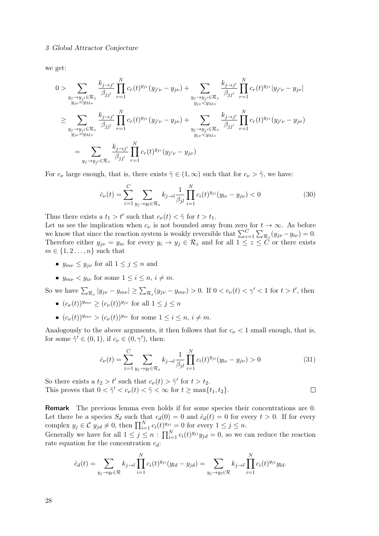#### 3 Global Attractor Conjecture

we get:

$$
0 > \sum_{\substack{y_j \to y_{j'} \in \mathcal{R}_z \\ y_{j\nu} = y_{M\nu}}} \frac{k_{j \to j'}}{\beta_{jj'}} \prod_{r=1}^N c_r(t)^{y_{jr}} (y_{j'\nu} - y_{j\nu}) + \sum_{\substack{y_j \to y_{j'} \in \mathcal{R}_z \\ y_{j\nu} < y_{M\nu}}} \frac{k_{j \to j'}}{\beta_{jj'}} \prod_{r=1}^N c_r(t)^{y_{jr}} |y_{j'\nu} - y_{j\nu}|
$$
\n
$$
\geq \sum_{\substack{y_j \to y_{j'} \in \mathcal{R}_z \\ y_{j\nu} = y_{M\nu}}} \frac{k_{j \to j'}}{\beta_{jj'}} \prod_{r=1}^N c_r(t)^{y_{jr}} (y_{j'\nu} - y_{j\nu}) + \sum_{\substack{y_j \to y_{j'} \in \mathcal{R}_z \\ y_{j'\nu} < y_{M\nu}}} \frac{k_{j \to j'}}{\beta_{jj'}} \prod_{r=1}^N c_r(t)^{y_{jr}} (y_{j'\nu} - y_{j\nu})
$$
\n
$$
= \sum_{\substack{y_j \to y_{j'} \in \mathcal{R}_z}} \frac{k_{j \to j'}}{\beta_{jj'}} \prod_{r=1}^N c_r(t)^{y_{jr}} (y_{j'\nu} - y_{j\nu})
$$

For  $c_{\nu}$  large enough, that is, there exists  $\tilde{\gamma} \in (1,\infty)$  such that for  $c_{\nu} > \tilde{\gamma}$ , we have:

$$
\dot{c}_{\nu}(t) = \sum_{z=1}^{C} \sum_{y_j \to y_l \in \mathcal{R}_z} k_{j \to l} \frac{1}{\beta_{jl}} \prod_{i=1}^{N} c_i(t)^{y_{ji}} (y_{l\nu} - y_{j\nu}) < 0 \tag{30}
$$

Thus there exists a  $t_1 > t'$  such that  $c_{\nu}(t) < \tilde{\gamma}$  for  $t > t_1$ .

Let us see the implication when  $c_{\nu}$  is not bounded away from zero for  $t \to \infty$ . As before we know that since the reaction system is weakly reversible that  $\sum_{z=1}^{C} \sum_{\mathcal{R}_z} (y_{j\nu} - y_{i\nu}) = 0$ . Therefore either  $y_{j\nu} = y_{i\nu}$  for every  $y_i \to y_j \in \mathcal{R}_z$  and for all  $1 \leq z \leq C$  or there exists  $m \in \{1, 2, \ldots, n\}$  such that

- $y_{m\nu} \leq y_{i\nu}$  for all  $1 \leq j \leq n$  and
- $y_{m\nu} < y_{i\nu}$  for some  $1 \leq i \leq n$ ,  $i \neq m$ .

So we have  $\sum_{\mathcal{R}_z} |y_{j\nu} - y_{m\nu}| \ge \sum_{\mathcal{R}_z} (y_{j\nu} - y_{m\nu}) > 0$ . If  $0 < c_{\nu}(t) < \gamma' < 1$  for  $t > t'$ , then

- $(c_{\nu}(t))^{y_{m\nu}} > (c_{\nu}(t))^{y_{j\nu}}$  for all  $1 \leq j \leq n$
- $(c_{\nu}(t))^{y_{m\nu}} > (c_{\nu}(t))^{y_{i\nu}}$  for some  $1 \leq i \leq n, i \neq m$ .

Analogously to the above arguments, it then follows that for  $c_{\nu} < 1$  small enough, that is, for some  $\tilde{\gamma}' \in (0,1)$ , if  $c_{\nu} \in (0,\gamma')$ , then:

$$
\dot{c}_{\nu}(t) = \sum_{z=1}^{C} \sum_{y_j \to y_l \in \mathcal{R}_z} k_{j \to l} \frac{1}{\beta_{jl}} \prod_{i=1}^{N} c_i(t)^{y_{ji}} (y_{l\nu} - y_{j\nu}) > 0
$$
\n(31)

So there exists a  $t_2 > t'$  such that  $c_{\nu}(t) > \tilde{\gamma}'$  for  $t > t_2$ . This proves that  $0 < \tilde{\gamma}' < c_{\nu}(t) < \tilde{\gamma} < \infty$  for  $t \ge \max\{t_1, t_2\}.$  $\Box$ 

Remark The previous lemma even holds if for some species their concentrations are 0. Let there be a species  $S_d$  such that  $c_d(0) = 0$  and  $\dot{c}_d(t) = 0$  for every  $t > 0$ . If for every complex  $y_j \in \mathcal{C}$   $y_{jd} \neq 0$ , then  $\prod_{i=1}^N c_i(t)^{y_{ji}} = 0$  for every  $1 \leq j \leq n$ .

Generally we have for all  $1 \leq j \leq n$ :  $\prod_{i=1}^{N} c_i(t)^{y_{ji}} y_{jd} = 0$ , so we can reduce the reaction rate equation for the concentration  $c_d$ :

$$
\dot{c}_d(t) = \sum_{y_j \to y_l \in \mathcal{R}} k_{j \to l} \prod_{i=1}^N c_i(t)^{y_{ji}} (y_{ld} - y_{jd}) = \sum_{y_j \to y_l \in \mathcal{R}} k_{j \to l} \prod_{i=1}^N c_i(t)^{y_{ji}} y_{ld}.
$$

28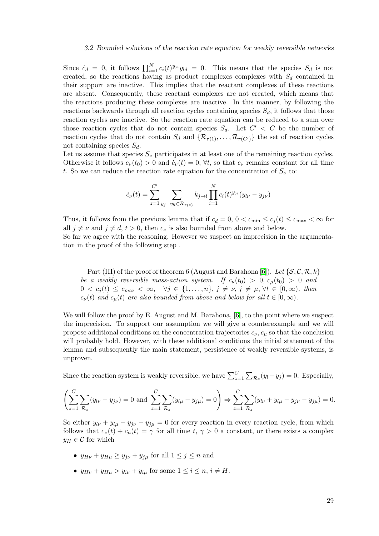### 3.2 Bounded solutions of the reaction rate equation for weakly reversible networks

Since  $\dot{c}_d = 0$ , it follows  $\prod_{i=1}^N c_i(t)^{y_{ji}} y_{ld} = 0$ . This means that the species  $S_d$  is not created, so the reactions having as product complexes complexes with  $S_d$  contained in their support are inactive. This implies that the reactant complexes of these reactions are absent. Consequently, these reactant complexes are not created, which means that the reactions producing these complexes are inactive. In this manner, by following the reactions backwards through all reaction cycles containing species  $S_d$ , it follows that those reaction cycles are inactive. So the reaction rate equation can be reduced to a sum over those reaction cycles that do not contain species  $S_d$ . Let  $C' < C$  be the number of reaction cycles that do not contain  $S_d$  and  $\{R_{\tau(1)},\ldots,R_{\tau(C')}\}\)$  the set of reaction cycles not containing species  $S_d$ .

Let us assume that species  $S_{\nu}$  participates in at least one of the remaining reaction cycles. Otherwise it follows  $c_{\nu}(t_0) > 0$  and  $\dot{c}_{\nu}(t) = 0$ ,  $\forall t$ , so that  $c_{\nu}$  remains constant for all time t. So we can reduce the reaction rate equation for the concentration of  $S_{\nu}$  to:

$$
\dot{c}_{\nu}(t) = \sum_{z=1}^{C'} \sum_{y_j \to y_l \in \mathcal{R}_{\tau(z)}} k_{j \to l} \prod_{i=1}^{N} c_i(t)^{y_{ji}} (y_{l\nu} - y_{j\nu})
$$

Thus, it follows from the previous lemma that if  $c_d = 0$ ,  $0 < c_{\min} \le c_i(t) \le c_{\max} < \infty$  for all  $j \neq \nu$  and  $j \neq d$ ,  $t > 0$ , then  $c_{\nu}$  is also bounded from above and below. So far we agree with the reasoning. However we suspect an imprecision in the argumentation in the proof of the following step .

Part (III) of the proof of theorem 6 (August and Barahona [\[6\]](#page-65-1)). Let  $\{\mathcal{S}, \mathcal{C}, \mathcal{R}, k\}$ be a weakly reversible mass-action system. If  $c_{\nu}(t_0) > 0$ ,  $c_{\mu}(t_0) > 0$  and  $0 < c_i(t) \leq c_{max} < \infty$ ,  $\forall j \in \{1, \ldots, n\}, j \neq \nu, j \neq \mu, \forall t \in [0, \infty)$ , then  $c_{\nu}(t)$  and  $c_{\mu}(t)$  are also bounded from above and below for all  $t \in [0,\infty)$ .

We will follow the proof by E. August and M. Barahona, [\[6\]](#page-65-1), to the point where we suspect the imprecision. To support our assumption we will give a counterexample and we will propose additional conditions on the concentration trajectories  $c_{\nu}, c_{\mu}$  so that the conclusion will probably hold. However, with these additional conditions the initial statement of the lemma and subsequently the main statement, persistence of weakly reversible systems, is unproven.

Since the reaction system is weakly reversible, we have  $\sum_{z=1}^{C} \sum_{\mathcal{R}_z} (y_l - y_j) = 0$ . Especially,

$$
\left(\sum_{z=1}^{C} \sum_{\mathcal{R}_z} (y_{l\nu} - y_{j\nu}) = 0 \text{ and } \sum_{z=1}^{C} \sum_{\mathcal{R}_z} (y_{l\mu} - y_{j\mu}) = 0\right) \Rightarrow \sum_{z=1}^{C} \sum_{\mathcal{R}_z} (y_{l\nu} + y_{l\mu} - y_{j\nu} - y_{j\mu}) = 0.
$$

So either  $y_{l\nu} + y_{l\mu} - y_{j\nu} = 0$  for every reaction in every reaction cycle, from which follows that  $c_{\nu}(t) + c_{\mu}(t) = \gamma$  for all time  $t, \gamma > 0$  a constant, or there exists a complex  $y_H \in \mathcal{C}$  for which

- $y_{H\nu} + y_{H\mu} \ge y_{j\nu} + y_{j\mu}$  for all  $1 \le j \le n$  and
- $y_{H\nu} + y_{H\mu} > y_{i\nu} + y_{i\mu}$  for some  $1 \leq i \leq n, i \neq H$ .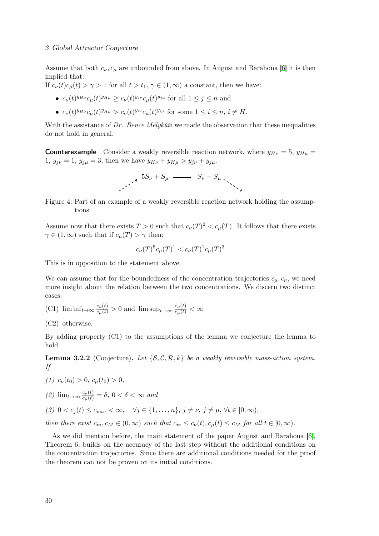### 3 Global Attractor Conjecture

Assume that both  $c_{\nu}, c_{\mu}$  are unbounded from above. In August and Barahona [\[6\]](#page-65-1) it is then implied that:

If  $c_{\nu}(t)c_{\mu}(t) > \gamma > 1$  for all  $t > t_1, \gamma \in (1,\infty)$  a constant, then we have:

- $c_{\nu}(t)^{y_{H\nu}}c_{\mu}(t)^{y_{H\mu}} \geq c_{\nu}(t)^{y_{j\nu}}c_{\mu}(t)^{y_{j\mu}}$  for all  $1 \leq j \leq n$  and
- $c_{\nu}(t)^{y_{H\nu}}c_{\mu}(t)^{y_{H\mu}} > c_{\nu}(t)^{y_{i\nu}}c_{\mu}(t)^{y_{i\mu}}$  for some  $1 \leq i \leq n, i \neq H$ .

With the assistance of Dr. Bence Mélykúti we made the observation that these inequalities do not hold in general.

**Counterexample** Consider a weakly reversible reaction network, where  $y_{H\nu} = 5$ ,  $y_{H\mu} = 5$ 1,  $y_{j\nu} = 1$ ,  $y_{j\mu} = 3$ , then we have  $y_{H\nu} + y_{H\mu} > y_{j\nu} + y_{j\mu}$ .

$$
\begin{array}{ccccccc}\n & & & 5S_{\nu} + S_{\mu} & \longrightarrow & S_{\nu} + S_{\mu} \\
 & & & & \searrow \\
 & & & & & \searrow \\
 & & & & & & \searrow\n\end{array}
$$

Figure 4: Part of an example of a weakly reversible reaction network holding the assumptions

Assume now that there exists  $T > 0$  such that  $c_{\nu}(T)^2 < c_{\mu}(T)$ . It follows that there exists  $\gamma \in (1,\infty)$  such that if  $c_{\mu}(T) > \gamma$  then:

$$
c_{\nu}(T)^5 c_{\mu}(T)^1 < c_{\nu}(T)^1 c_{\mu}(T)^3
$$

This is in opposition to the statement above.

We can assume that for the boundedness of the concentration trajectories  $c_{\mu}, c_{\nu}$ , we need more insight about the relation between the two concentrations. We discern two distinct cases:

- (C1)  $\liminf_{t\to\infty} \frac{c_{\nu}(t)}{c_{\mu}(t)} > 0$  and  $\limsup_{t\to\infty} \frac{c_{\nu}(t)}{c_{\mu}(t)} < \infty$
- (C2) otherwise.

By adding property (C1) to the assumptions of the lemma we conjecture the lemma to hold.

**Lemma 3.2.2** (Conjecture). Let  $\{S, C, R, k\}$  be a weakly reversible mass-action system. If

- (1)  $c_v(t_0) > 0$ ,  $c_u(t_0) > 0$ ,
- (2)  $\lim_{t\to\infty} \frac{c_\nu(t)}{c_\mu(t)} = \delta, 0 < \delta < \infty$  and
- (3)  $0 < c_j(t) \leq c_{max} < \infty$ ,  $\forall j \in \{1, \ldots, n\}, j \neq \nu, j \neq \mu, \forall t \in [0, \infty)$ ,

then there exist  $c_m, c_M \in (0, \infty)$  such that  $c_m \leq c_{\nu}(t), c_{\mu}(t) \leq c_M$  for all  $t \in [0, \infty)$ .

As we did mention before, the main statement of the paper August and Barahona [\[6\]](#page-65-1), Theorem 6, builds on the accuracy of the last step without the additional conditions on the concentration trajectories. Since there are additional conditions needed for the proof the theorem can not be proven on its initial conditions.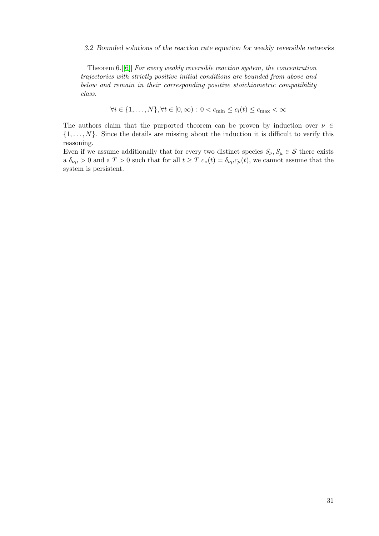### 3.2 Bounded solutions of the reaction rate equation for weakly reversible networks

Theorem 6.[[\[6\]](#page-65-1)] For every weakly reversible reaction system, the concentration trajectories with strictly positive initial conditions are bounded from above and below and remain in their corresponding positive stoichiometric compatibility class.

$$
\forall i \in \{1, \dots, N\}, \forall t \in [0, \infty) : 0 < c_{\min} \le c_i(t) \le c_{\max} < \infty
$$

The authors claim that the purported theorem can be proven by induction over  $\nu \in$  $\{1, \ldots, N\}$ . Since the details are missing about the induction it is difficult to verify this reasoning.

Even if we assume additionally that for every two distinct species  $S_{\nu}, S_{\mu} \in \mathcal{S}$  there exists a  $\delta_{\nu\mu} > 0$  and a  $T > 0$  such that for all  $t \geq T c_{\nu}(t) = \delta_{\nu\mu} c_{\mu}(t)$ , we cannot assume that the system is persistent.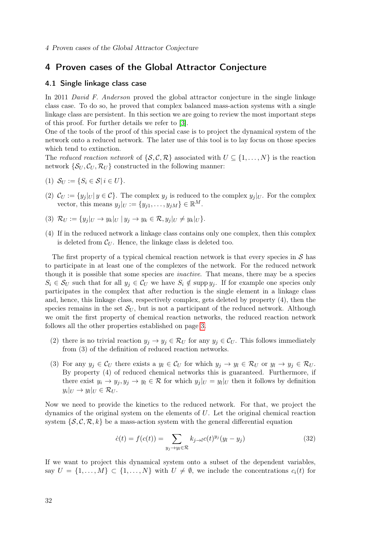### <span id="page-41-0"></span>4 Proven cases of the Global Attractor Conjecture

### <span id="page-41-1"></span>4.1 Single linkage class case

In 2011 David F. Anderson proved the global attractor conjecture in the single linkage class case. To do so, he proved that complex balanced mass-action systems with a single linkage class are persistent. In this section we are going to review the most important steps of this proof. For further details we refer to [\[3\]](#page-65-2).

One of the tools of the proof of this special case is to project the dynamical system of the network onto a reduced network. The later use of this tool is to lay focus on those species which tend to extinction.

The reduced reaction network of  $\{S, \mathcal{C}, \mathcal{R}\}$  associated with  $U \subseteq \{1, \ldots, N\}$  is the reaction network  $\{S_U, C_U, R_U\}$  constructed in the following manner:

- (1)  $S_U := \{ S_i \in S | i \in U \}.$
- (2)  $\mathcal{C}_U := \{y_j | U | y \in \mathcal{C}\}\.$  The complex  $y_j$  is reduced to the complex  $y_j | U$ . For the complex vector, this means  $y_j|_U := \{y_{j1}, \ldots, y_{jM}\} \in \mathbb{R}^M$ .
- (3)  $\mathcal{R}_U := \{y_j|_U \to y_k|_U \mid y_j \to y_k \in \mathcal{R}, y_j|_U \neq y_k|_U\}.$
- (4) If in the reduced network a linkage class contains only one complex, then this complex is deleted from  $\mathcal{C}_U$ . Hence, the linkage class is deleted too.

The first property of a typical chemical reaction network is that every species in  $\mathcal S$  has to participate in at least one of the complexes of the network. For the reduced network though it is possible that some species are inactive. That means, there may be a species  $S_i \in \mathcal{S}_U$  such that for all  $y_i \in \mathcal{C}_U$  we have  $S_i \notin \text{supp } y_i$ . If for example one species only participates in the complex that after reduction is the single element in a linkage class and, hence, this linkage class, respectively complex, gets deleted by property (4), then the species remains in the set  $S_U$ , but is not a participant of the reduced network. Although we omit the first property of chemical reaction networks, the reduced reaction network follows all the other properties established on page [3.](#page-12-0)

- (2) there is no trivial reaction  $y_j \to y_j \in \mathcal{R}_U$  for any  $y_j \in \mathcal{C}_U$ . This follows immediately from (3) of the definition of reduced reaction networks.
- (3) For any  $y_j \in \mathcal{C}_U$  there exists a  $y_l \in \mathcal{C}_U$  for which  $y_j \to y_l \in \mathcal{R}_U$  or  $y_l \to y_j \in \mathcal{R}_U$ . By property (4) of reduced chemical networks this is guaranteed. Furthermore, if there exist  $y_i \to y_j, y_j \to y_l \in \mathcal{R}$  for which  $y_j|_U = y_l|_U$  then it follows by definition  $y_i|_U \to y_l|_U \in \mathcal{R}_U.$

Now we need to provide the kinetics to the reduced network. For that, we project the dynamics of the original system on the elements of  $U$ . Let the original chemical reaction system  $\{S, C, \mathcal{R}, k\}$  be a mass-action system with the general differential equation

<span id="page-41-2"></span>
$$
\dot{c}(t) = f(c(t)) = \sum_{y_j \to y_l \in \mathcal{R}} k_{j \to l} c(t)^{y_j} (y_l - y_j)
$$
\n(32)

If we want to project this dynamical system onto a subset of the dependent variables, say  $U = \{1, \ldots, M\} \subset \{1, \ldots, N\}$  with  $U \neq \emptyset$ , we include the concentrations  $c_i(t)$  for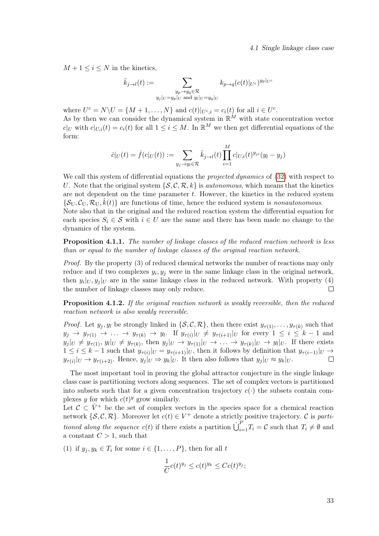4.1 Single linkage class case

 $M + 1 \leq i \leq N$  in the kinetics,

$$
\hat{k}_{j \to l}(t) := \sum_{\substack{y_p \to y_q \in \mathcal{R} \\ y_j|_U = y_p|_U \text{ and } y_l|_U = y_q|_U}} k_{p \to q} (c(t)|_{U^c})^{y_p|_{U^c}}
$$

where  $U^c = N \backslash U = \{M + 1, \ldots, N\}$  and  $c(t)|_{U^c, i} = c_i(t)$  for all  $i \in U^c$ . As by then we can consider the dynamical system in  $\mathbb{R}^M$  with state concentration vector  $c|_U$  with  $c|_{U,i}(t) = c_i(t)$  for all  $1 \leq i \leq M$ . In  $\mathbb{R}^M$  we then get differential equations of the form:

$$
\dot{c}|_{U}(t) = \hat{f}(c|_{U}(t)) := \sum_{y_{j} \to y_{l} \in \mathcal{R}} \hat{k}_{j \to l}(t) \prod_{i=1}^{M} c|_{U,i}(t)^{y_{ji}}(y_{l} - y_{j})
$$

We call this system of differential equations the *projected dynamics* of  $(32)$  with respect to U. Note that the original system  $\{S, \mathcal{C}, \mathcal{R}, k\}$  is *autonomous*, which means that the kinetics are not dependent on the time parameter  $t$ . However, the kinetics in the reduced system  $\{\mathcal{S}_{U},\mathcal{C}_{U},\mathcal{R}_{U},\hat{k}(t)\}\$ are functions of time, hence the reduced system is nonautonomous. Note also that in the original and the reduced reaction system the differential equation for each species  $S_i \in \mathcal{S}$  with  $i \in U$  are the same and there has been made no change to the dynamics of the system.

<span id="page-42-0"></span>Proposition 4.1.1. The number of linkage classes of the reduced reaction network is less than or equal to the number of linkage classes of the original reaction network.

Proof. By the property (3) of reduced chemical networks the number of reactions may only reduce and if two complexes  $y_i, y_j$  were in the same linkage class in the original network, then  $y_i|_U, y_j|_U$  are in the same linkage class in the reduced network. With property (4) the number of linkage classes may only reduce.  $\Box$ 

<span id="page-42-1"></span>**Proposition 4.1.2.** If the original reaction network is weakly reversible, then the reduced reaction network is also weakly reversible.

*Proof.* Let  $y_j, y_l$  be strongly linked in  $\{\mathcal{S}, \mathcal{C}, \mathcal{R}\}\$ , then there exist  $y_{\tau(1)}, \ldots, y_{\tau(k)}\$  such that  $y_j \to y_{\tau(1)} \to \ldots \to y_{\tau(k)} \to y_l$ . If  $y_{\tau(i)}|_{U} \neq y_{\tau(i+1)}|_{U}$  for every  $1 \leq i \leq k-1$  and  $y_j|_U \neq y_{\tau(1)}, y_l|_U \neq y_{\tau(k)},$  then  $y_j|_U \to y_{\tau(1)}|_U \to \ldots \to y_{\tau(k)}|_U \to y_l|_U$ . If there exists  $1 \leq i \leq k-1$  such that  $y_{\tau(i)}|_{U} = y_{\tau(i+1)}|_{U}$ , then it follows by definition that  $y_{\tau(i-1)}|_{U} \to$  $y_{\tau(i)}|_{U} \to y_{\tau(i+2)}$ . Hence,  $y_j|_{U} \Rightarrow y_k|_{U}$ . It then also follows that  $y_j|_{U} \approx y_k|_{U}$ .  $\Box$ 

The most important tool in proving the global attractor conjecture in the single linkage class case is partitioning vectors along sequences. The set of complex vectors is partitioned into subsets such that for a given concentration trajectory  $c(\cdot)$  the subsets contain complexes y for which  $c(t)^y$  grow similarly.

Let  $\mathcal{C} \subset \bar{V}^+$  be the set of complex vectors in the species space for a chemical reaction network  $\{\mathcal{S}, \mathcal{C}, \mathcal{R}\}$ . Moreover let  $c(t) \in V^+$  denote a strictly positive trajectory.  $\mathcal C$  is partitioned along the sequence  $c(t)$  if there exists a partition  $\dot{\bigcup}_{i=1}^P T_i = \mathcal{C}$  such that  $T_i \neq \emptyset$  and a constant  $C > 1$ , such that

(1) if  $y_j, y_k \in T_i$  for some  $i \in \{1, \ldots, P\}$ , then for all t

$$
\frac{1}{C}c(t)^{y_j} \leq c(t)^{y_k} \leq Cc(t)^{y_j};
$$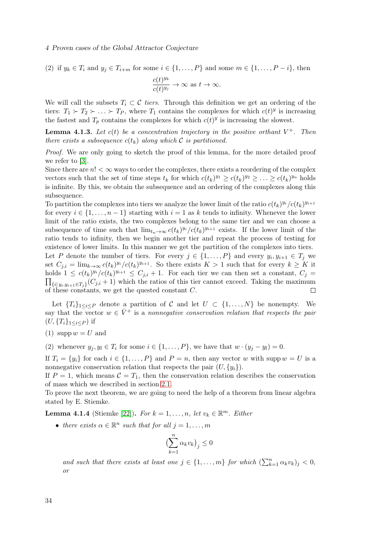### 4 Proven cases of the Global Attractor Conjecture

(2) if  $y_k \in T_i$  and  $y_j \in T_{i+m}$  for some  $i \in \{1, ..., P\}$  and some  $m \in \{1, ..., P-i\}$ , then

$$
\frac{c(t)^{y_k}}{c(t)^{y_j}} \to \infty \text{ as } t \to \infty.
$$

We will call the subsets  $T_i \subset \mathcal{C}$  tiers. Through this definition we get an ordering of the tiers:  $T_1 \succ T_2 \succ \ldots \succ T_P$ , where  $T_1$  contains the complexes for which  $c(t)^y$  is increasing the fastest and  $T_p$  contains the complexes for which  $c(t)^y$  is increasing the slowest.

**Lemma 4.1.3.** Let  $c(t)$  be a concentration trajectory in the positive orthant  $V^+$ . Then there exists a subsequence  $c(t_k)$  along which C is partitioned.

Proof. We are only going to sketch the proof of this lemma, for the more detailed proof we refer to [\[3\]](#page-65-2).

Since there are  $n! < \infty$  ways to order the complexes, there exists a reordering of the complex vectors such that the set of time steps  $t_k$  for which  $c(t_k)^{y_1} \geq c(t_k)^{y_2} \geq \ldots \geq c(t_k)^{y_n}$  holds is infinite. By this, we obtain the subsequence and an ordering of the complexes along this subsequence.

To partition the complexes into tiers we analyze the lower limit of the ratio  $c(t_k)^{y_i}/c(t_k)^{y_{i+1}}$ for every  $i \in \{1, \ldots, n-1\}$  starting with  $i = 1$  as k tends to infinity. Whenever the lower limit of the ratio exists, the two complexes belong to the same tier and we can choose a subsequence of time such that  $\lim_{t_n \to \infty} c(t_k)^{y_i} / c(t_k)^{y_{i+1}}$  exists. If the lower limit of the ratio tends to infinity, then we begin another tier and repeat the process of testing for existence of lower limits. In this manner we get the partition of the complexes into tiers. Let P denote the number of tiers. For every  $j \in \{1, ..., P\}$  and every  $y_i, y_{i+1} \in T_j$  we set  $C_{j,i} = \lim_{k \to \infty} c(t_k)^{y_i} / c(t_k)^{y_{i+1}}$ . So there exists  $K > 1$  such that for every  $k \geq K$  it holds  $1 \leq c(t_k)^{y_i} / c(t_k)^{y_{i+1}} \leq C_{j,i} + 1$ . For each tier we can then set a constant,  $C_j =$  $\prod_{\{i|\ y_i,y_{i+1}\in T_j\}}(C_{j,i}+1)$  which the ratios of this tier cannot exceed. Taking the maximum of these constants, we get the quested constant C.  $\Box$ 

Let  ${T_i}_{1\leq i\leq P}$  denote a partition of C and let  $U \subset \{1,\ldots,N\}$  be nonempty. We say that the vector  $w \in \bar{V}^+$  is a nonnegative conservation relation that respects the pair  $(U, \{T_i\}_{1 \le i \le P})$  if

(1) supp  $w = U$  and

(2) whenever  $y_j, y_l \in T_i$  for some  $i \in \{1, \ldots, P\}$ , we have that  $w \cdot (y_j - y_l) = 0$ .

If  $T_i = \{y_i\}$  for each  $i \in \{1, ..., P\}$  and  $P = n$ , then any vector w with supp  $w = U$  is a nonnegative conservation relation that respects the pair  $(U, \{y_i\})$ .

If  $P = 1$ , which means  $C = T_1$ , then the conservation relation describes the conservation of mass which we described in section [2.1.](#page-21-0)

To prove the next theorem, we are going to need the help of a theorem from linear algebra stated by E. Stiemke.

<span id="page-43-0"></span>**Lemma 4.1.4** (Stiemke [\[22\]](#page-66-6)). For  $k = 1, ..., n$ , let  $v_k \in \mathbb{R}^m$ . Either

• there exists  $\alpha \in \mathbb{R}^n$  such that for all  $j = 1, \ldots, m$ 

$$
\left(\sum_{k=1}^{n} \alpha_k v_k\right)_j \le 0
$$

and such that there exists at least one  $j \in \{1, ..., m\}$  for which  $(\sum_{k=1}^{n} \alpha_k v_k)_j < 0$ , or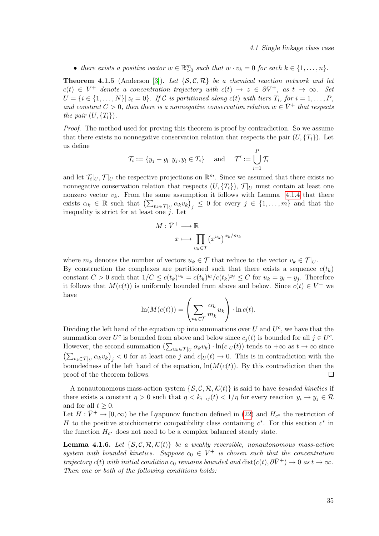4.1 Single linkage class case

• there exists a positive vector  $w \in \mathbb{R}_{>0}^m$  such that  $w \cdot v_k = 0$  for each  $k \in \{1, \ldots, n\}$ .

<span id="page-44-0"></span>**Theorem 4.1.5** (Anderson [\[3\]](#page-65-2)). Let  $\{S, C, R\}$  be a chemical reaction network and let  $c(t) \in V^+$  denote a concentration trajectory with  $c(t) \to z \in \partial \bar{V}^+$ , as  $t \to \infty$ . Set  $U = \{i \in \{1, \ldots, N\} | z_i = 0\}$ . If C is partitioned along  $c(t)$  with tiers  $T_i$ , for  $i = 1, \ldots, P$ , and constant  $C > 0$ , then there is a nonnegative conservation relation  $w \in \overline{V}^+$  that respects the pair  $(U, \{T_i\})$ .

Proof. The method used for proving this theorem is proof by contradiction. So we assume that there exists no nonnegative conservation relation that respects the pair  $(U, \{T_i\})$ . Let us define

$$
\mathcal{T}_i := \{y_j - y_l | \, y_j, y_l \in T_i\} \quad \text{ and } \quad \mathcal{T}' := \bigcup_{i=1}^P \mathcal{T}_i
$$

and let  $\mathcal{T}_i|_U$ ,  $\mathcal{T}|_U$  the respective projections on  $\mathbb{R}^m$ . Since we assumed that there exists no nonnegative conservation relation that respects  $(U, {T_i})$ ,  $\mathcal{T}|_U$  must contain at least one nonzero vector  $v_k$ . From the same assumption it follows with Lemma [4.1.4](#page-43-0) that there exists  $\alpha_k \in \mathbb{R}$  such that  $\left(\sum_{v_k \in \mathcal{T}|_U} \alpha_k v_k\right)_j \leq 0$  for every  $j \in \{1, \ldots, m\}$  and that the inequality is strict for at least one  $j$ . Let

$$
M: \bar{V}^+ \longrightarrow \mathbb{R}
$$

$$
x \longmapsto \prod_{u_k \in \mathcal{T}} (x^{u_k})^{\alpha_k/m_k}
$$

where  $m_k$  denotes the number of vectors  $u_k \in \mathcal{T}$  that reduce to the vector  $v_k \in \mathcal{T}|_U$ . By construction the complexes are partitioned such that there exists a sequence  $c(t_k)$ constant  $C > 0$  such that  $1/C \leq c(t_k)^{u_k} = c(t_k)^{y_l}/c(t_k)^{y_j} \leq C$  for  $u_k = y_l - y_j$ . Therefore it follows that  $M(c(t))$  is uniformly bounded from above and below. Since  $c(t) \in V^+$  we

have

$$
\ln(M(c(t))) = \left(\sum_{u_k \in \mathcal{T}} \frac{\alpha_k}{m_k} u_k\right) \cdot \ln c(t).
$$

Dividing the left hand of the equation up into summations over  $U$  and  $U^c$ , we have that the summation over  $U^c$  is bounded from above and below since  $c_j(t)$  is bounded for all  $j \in U^c$ . However, the second summation  $(\sum_{u_k \in \mathcal{T}|_U} \alpha_k v_k) \cdot \ln(c|_U(t))$  tends to  $+\infty$  as  $t \to \infty$  since  $\left(\sum_{v_k \in \mathcal{T}|_U} \alpha_k v_k\right)_j < 0$  for at least one j and  $c|_U(t) \to 0$ . This is in contradiction with the boundedness of the left hand of the equation,  $ln(M(c(t))$ . By this contradiction then the proof of the theorem follows.  $\Box$ 

A nonautonomous mass-action system  $\{S, C, \mathcal{R}, \mathcal{K}(t)\}\$ is said to have bounded kinetics if there exists a constant  $\eta > 0$  such that  $\eta < k_{i \to j}(t) < 1/\eta$  for every reaction  $y_i \to y_j \in \mathcal{R}$ and for all  $t \geq 0$ .

Let  $H: \bar{V}^+ \to [0, \infty)$  be the Lyapunov function defined in [\(22\)](#page-28-1) and  $H_{c^*}$  the restriction of H to the positive stoichiometric compatibility class containing  $c^*$ . For this section  $c^*$  in the function  $H_{c^*}$  does not need to be a complex balanced steady state.

<span id="page-44-1"></span>**Lemma 4.1.6.** Let  $\{S, C, R, \mathcal{K}(t)\}\)$  be a weakly reversible, nonautonomous mass-action system with bounded kinetics. Suppose  $c_0 \in V^+$  is chosen such that the concentration trajectory c(t) with initial condition  $c_0$  remains bounded and  $dist(c(t), \partial \bar{V}^+) \to 0$  as  $t \to \infty$ . Then one or both of the following conditions holds: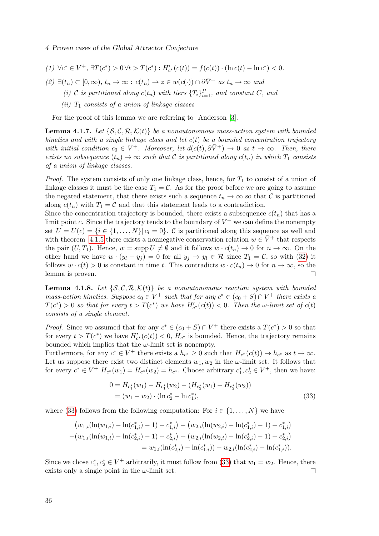### 4 Proven cases of the Global Attractor Conjecture

(1)  $\forall c^* \in V^+, \exists T(c^*) > 0 \forall t > T(c^*) : H'_{c^*}(c(t)) = f(c(t)) \cdot (\ln c(t) - \ln c^*) < 0.$ 

(2)  $\exists (t_n) \subset [0,\infty), t_n \to \infty : c(t_n) \to z \in w(c(\cdot)) \cap \partial \bar{V}^+$  as  $t_n \to \infty$  and

(i) C is partitioned along  $c(t_n)$  with tiers  $\{T_i\}_{i=1}^P$ , and constant C, and

(ii)  $T_1$  consists of a union of linkage classes

For the proof of this lemma we are referring to Anderson [\[3\]](#page-65-2).

<span id="page-45-1"></span>**Lemma 4.1.7.** Let  $\{S, C, R, \mathcal{K}(t)\}\$ be a nonautonomous mass-action system with bounded kinetics and with a single linkage class and let  $c(t)$  be a bounded concentration trajectory with initial condition  $c_0 \in V^+$ . Moreover, let  $d(c(t), \partial \bar{V}^+) \to 0$  as  $t \to \infty$ . Then, there exists no subsequence  $(t_n) \to \infty$  such that C is partitioned along  $c(t_n)$  in which  $T_1$  consists of a union of linkage classes.

*Proof.* The system consists of only one linkage class, hence, for  $T_1$  to consist of a union of linkage classes it must be the case  $T_1 = C$ . As for the proof before we are going to assume the negated statement, that there exists such a sequence  $t_n \to \infty$  so that C is partitioned along  $c(t_n)$  with  $T_1 = C$  and that this statement leads to a contradiction.

Since the concentration trajectory is bounded, there exists a subsequence  $c(t_n)$  that has a limit point c. Since the trajectory tends to the boundary of  $V^+$  we can define the nonempty set  $U = U(c) = \{i \in \{1, ..., N\} | c_i = 0\}$ . C is partitioned along this sequence as well and with theorem [4.1.5](#page-44-0) there exists a nonnegative conservation relation  $w \in \overline{V}^+$  that respects the pair  $(U, T_1)$ . Hence,  $w = \text{supp } U \neq \emptyset$  and it follows  $w \cdot c(t_n) \to 0$  for  $n \to \infty$ . On the other hand we have  $w \cdot (y_l - y_j) = 0$  for all  $y_j \to y_l \in \mathcal{R}$  since  $T_1 = \mathcal{C}$ , so with [\(32\)](#page-41-2) it follows  $w \cdot c(t) > 0$  is constant in time t. This contradicts  $w \cdot c(t_n) \to 0$  for  $n \to \infty$ , so the lemma is proven.  $\Box$ 

<span id="page-45-2"></span>**Lemma 4.1.8.** Let  $\{S, C, R, \mathcal{K}(t)\}\)$  be a nonautonomous reaction system with bounded mass-action kinetics. Suppose  $c_0 \in V^+$  such that for any  $c^* \in (c_0 + S) \cap V^+$  there exists a  $T(c^*) > 0$  so that for every  $t > T(c^*)$  we have  $H'_{c^*}(c(t)) < 0$ . Then the  $\omega$ -limit set of  $c(t)$ consists of a single element.

*Proof.* Since we assumed that for any  $c^* \in (c_0 + S) \cap V^+$  there exists a  $T(c^*) > 0$  so that for every  $t > T(c^*)$  we have  $H'_{c^*}(c(t)) < 0$ ,  $H_{c^*}$  is bounded. Hence, the trajectory remains bounded which implies that the  $\omega$ -limit set is nonempty.

Furthermore, for any  $c^* \in V^+$  there exists a  $h_{c^*} \geq 0$  such that  $H_{c^*}(c(t)) \to h_{c^*}$  as  $t \to \infty$ . Let us suppose there exist two distinct elements  $w_1, w_2$  in the  $\omega$ -limit set. It follows that for every  $c^* \in V^+$   $H_{c^*}(w_1) = H_{c^*}(w_2) = h_{c^*}$ . Choose arbitrary  $c_1^*, c_2^* \in V^+$ , then we have:

<span id="page-45-0"></span>
$$
0 = H_{c_1^*}(w_1) - H_{c_1^*}(w_2) - (H_{c_2^*}(w_1) - H_{c_2^*}(w_2))
$$
  
=  $(w_1 - w_2) \cdot (\ln c_2^* - \ln c_1^*),$  (33)

where [\(33\)](#page-45-0) follows from the following computation: For  $i \in \{1, \ldots, N\}$  we have

$$
(w_{1,i}(\ln(w_{1,i}) - \ln(c_{1,i}^*) - 1) + c_{1,i}^*) - (w_{2,i}(\ln(w_{2,i}) - \ln(c_{1,i}^*) - 1) + c_{1,i}^*)
$$
  

$$
-(w_{1,i}(\ln(w_{1,i}) - \ln(c_{2,i}^*) - 1) + c_{2,i}^*) + (w_{2,i}(\ln(w_{2,i}) - \ln(c_{2,i}^*) - 1) + c_{2,i}^*)
$$
  

$$
= w_{1,i}(\ln(c_{2,i}^*) - \ln(c_{1,i}^*)) - w_{2,i}(\ln(c_{2,i}^*) - \ln(c_{1,i}^*)).
$$

Since we chose  $c_1^*, c_2^* \in V^+$  arbitrarily, it must follow from [\(33\)](#page-45-0) that  $w_1 = w_2$ . Hence, there exists only a single point in the  $\omega$ -limit set.  $\Box$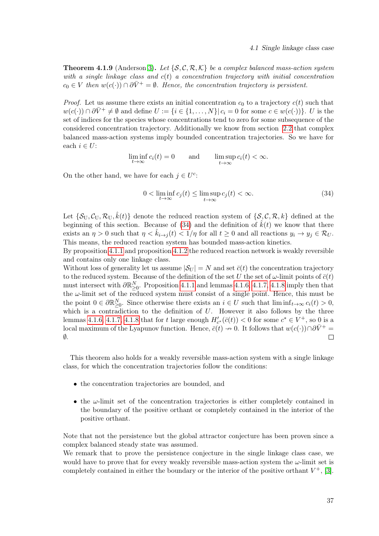**Theorem 4.1.9** (Anderson [3\)](#page-65-2). Let  $\{S, C, R, K\}$  be a complex balanced mass-action system with a single linkage class and  $c(t)$  a concentration trajectory with initial concentration  $c_0 \in V$  then  $w(c(\cdot)) \cap \partial \bar{V}^+ = \emptyset$ . Hence, the concentration trajectory is persistent.

*Proof.* Let us assume there exists an initial concentration  $c_0$  to a trajectory  $c(t)$  such that  $w(c(\cdot)) \cap \partial \overline{V}^+ \neq \emptyset$  and define  $U := \{i \in \{1, ..., N\} | c_i = 0 \text{ for some } c \in w(c(\cdot))\}.$  U is the set of indices for the species whose concentrations tend to zero for some subsequence of the considered concentration trajectory. Additionally we know from section [2.2](#page-28-0) that complex balanced mass-action systems imply bounded concentration trajectories. So we have for each  $i \in U$ :

$$
\liminf_{t \to \infty} c_i(t) = 0 \quad \text{and} \quad \limsup_{t \to \infty} c_i(t) < \infty.
$$

On the other hand, we have for each  $j \in U^c$ :

<span id="page-46-0"></span>
$$
0 < \liminf_{t \to \infty} c_j(t) \le \limsup_{t \to \infty} c_j(t) < \infty. \tag{34}
$$

Let  $\{\mathcal{S}_{U},\mathcal{C}_{U},\mathcal{R}_{U},\hat{k}(t)\}\)$  denote the reduced reaction system of  $\{\mathcal{S},\mathcal{C},\mathcal{R},k\}$  defined at the beginning of this section. Because of [\(34\)](#page-46-0) and the definition of  $\hat{k}(t)$  we know that there exists an  $\eta > 0$  such that  $\eta < \hat{k}_{i \to i}(t) < 1/\eta$  for all  $t \ge 0$  and all reactions  $y_i \to y_j \in \mathcal{R}_U$ . This means, the reduced reaction system has bounded mass-action kinetics.

By proposition [4.1.1](#page-42-0) and proposition [4.1.2](#page-42-1) the reduced reaction network is weakly reversible and contains only one linkage class.

Without loss of generality let us assume  $|\mathcal{S}_U| = N$  and set  $\bar{c}(t)$  the concentration trajectory to the reduced system. Because of the definition of the set U the set of  $\omega$ -limit points of  $\bar{c}(t)$ must intersect with  $\partial \mathbb{R}^N_{\geq 0}$ . Proposition [4.1.1](#page-42-0) and lemmas [4.1.6,](#page-44-1) [4.1.7,](#page-45-1) [4.1.8](#page-45-2) imply then that the  $\omega$ -limit set of the reduced system must consist of a single point. Hence, this must be the point  $0 \in \partial \mathbb{R}^N_{\geq 0}$ . Since otherwise there exists an  $i \in U$  such that  $\liminf_{t \to \infty} c_i(t) > 0$ , which is a contradiction to the definition of  $U$ . However it also follows by the three lemmas [4.1.6,](#page-44-1) [4.1.7,](#page-45-1) [4.1.8](#page-45-2) that for t large enough  $H'_{c^*}(\bar{c}(t)) < 0$  for some  $c^* \in V^+$ , so 0 is a local maximum of the Lyapunov function. Hence,  $\bar{c}(t) \to 0$ . It follows that  $w(c(\cdot)) \cap \partial \bar{V}^+$  $\emptyset$ .  $\Box$ 

This theorem also holds for a weakly reversible mass-action system with a single linkage class, for which the concentration trajectories follow the conditions:

- the concentration trajectories are bounded, and
- the  $\omega$ -limit set of the concentration trajectories is either completely contained in the boundary of the positive orthant or completely contained in the interior of the positive orthant.

Note that not the persistence but the global attractor conjecture has been proven since a complex balanced steady state was assumed.

We remark that to prove the persistence conjecture in the single linkage class case, we would have to prove that for every weakly reversible mass-action system the  $\omega$ -limit set is completely contained in either the boundary or the interior of the positive orthant  $V^+$ , [\[3\]](#page-65-2).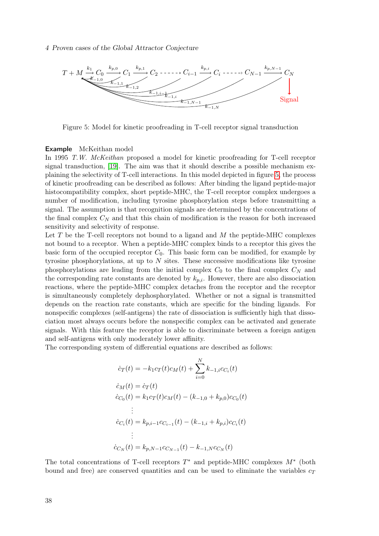### 4 Proven cases of the Global Attractor Conjecture

<span id="page-47-0"></span>

Figure 5: Model for kinetic proofreading in T-cell receptor signal transduction

### Example McKeithan model

In 1995 T.W. McKeithan proposed a model for kinetic proofreading for T-cell receptor signal transduction, [\[19\]](#page-66-7). The aim was that it should describe a possible mechanism explaining the selectivity of T-cell interactions. In this model depicted in figure [5,](#page-47-0) the process of kinetic proofreading can be described as follows: After binding the ligand peptide-major histocompatibility complex, short peptide-MHC, the T-cell receptor complex undergoes a number of modification, including tyrosine phosphorylation steps before transmitting a signal. The assumption is that recognition signals are determined by the concentrations of the final complex  $C_N$  and that this chain of modification is the reason for both increased sensitivity and selectivity of response.

Let  $T$  be the T-cell receptors not bound to a ligand and  $M$  the peptide-MHC complexes not bound to a receptor. When a peptide-MHC complex binds to a receptor this gives the basic form of the occupied receptor  $C_0$ . This basic form can be modified, for example by tyrosine phosphorylations, at up to  $N$  sites. These successive modifications like tyrosine phosphorylations are leading from the initial complex  $C_0$  to the final complex  $C_N$  and the corresponding rate constants are denoted by  $k_{p,i}$ . However, there are also dissociation reactions, where the peptide-MHC complex detaches from the receptor and the receptor is simultaneously completely dephosphorylated. Whether or not a signal is transmitted depends on the reaction rate constants, which are specific for the binding ligands. For nonspecific complexes (self-antigens) the rate of dissociation is sufficiently high that dissociation most always occurs before the nonspecific complex can be activated and generate signals. With this feature the receptor is able to discriminate between a foreign antigen and self-antigens with only moderately lower affinity.

The corresponding system of differential equations are described as follows:

$$
\begin{aligned}\n\dot{c}_T(t) &= -k_1 c_T(t) c_M(t) + \sum_{i=0}^N k_{-1,i} c_{C_i}(t) \\
\dot{c}_M(t) &= \dot{c}_T(t) \\
\dot{c}_{C_0}(t) &= k_1 c_T(t) c_M(t) - (k_{-1,0} + k_{p,0}) c_{C_0}(t) \\
&\vdots \\
\dot{c}_{C_i}(t) &= k_{p,i-1} c_{C_{i-1}}(t) - (k_{-1,i} + k_{p,i}) c_{C_i}(t) \\
&\vdots \\
\dot{c}_{C_N}(t) &= k_{p,N-1} c_{C_{N-1}}(t) - k_{-1,N} c_{C_N}(t)\n\end{aligned}
$$

The total concentrations of T-cell receptors  $T^*$  and peptide-MHC complexes  $M^*$  (both bound and free) are conserved quantities and can be used to eliminate the variables  $c_T$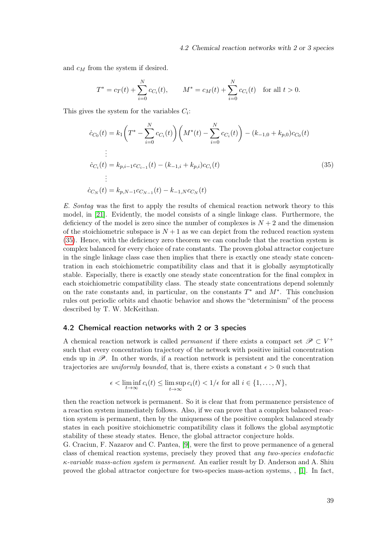and  $c_M$  from the system if desired.

$$
T^* = c_T(t) + \sum_{i=0}^{N} c_{C_i}(t), \qquad M^* = c_M(t) + \sum_{i=0}^{N} c_{C_i}(t) \quad \text{for all } t > 0.
$$

This gives the system for the variables  $C_i$ :

<span id="page-48-1"></span>
$$
\dot{c}_{C_0}(t) = k_1 \left( T^* - \sum_{i=0}^N c_{C_i}(t) \right) \left( M^*(t) - \sum_{i=0}^N c_{C_i}(t) \right) - (k_{-1,0} + k_{p,0}) c_{C_0}(t)
$$
\n
$$
\vdots
$$
\n
$$
\dot{c}_{C_i}(t) = k_{p,i-1} c_{C_{i-1}}(t) - (k_{-1,i} + k_{p,i}) c_{C_i}(t)
$$
\n
$$
\vdots
$$
\n
$$
\dot{c}_{C_N}(t) = k_{p,N-1} c_{C_{N-1}}(t) - k_{-1,N} c_{C_N}(t)
$$
\n(35)

E. Sontag was the first to apply the results of chemical reaction network theory to this model, in [\[21\]](#page-66-8). Evidently, the model consists of a single linkage class. Furthermore, the deficiency of the model is zero since the number of complexes is  $N+2$  and the dimension of the stoichiometric subspace is  $N+1$  as we can depict from the reduced reaction system [\(35\)](#page-48-1). Hence, with the deficiency zero theorem we can conclude that the reaction system is complex balanced for every choice of rate constants. The proven global attractor conjecture in the single linkage class case then implies that there is exactly one steady state concentration in each stoichiometric compatibility class and that it is globally asymptotically stable. Especially, there is exactly one steady state concentration for the final complex in each stoichiometric compatibility class. The steady state concentrations depend solemnly on the rate constants and, in particular, on the constants  $T^*$  and  $M^*$ . This conclusion rules out periodic orbits and chaotic behavior and shows the "determinism" of the process described by T. W. McKeithan.

### <span id="page-48-0"></span>4.2 Chemical reaction networks with 2 or 3 species

A chemical reaction network is called *permanent* if there exists a compact set  $\mathscr{P} \subset V^+$ such that every concentration trajectory of the network with positive initial concentration ends up in  $\mathscr{P}$ . In other words, if a reaction network is persistent and the concentration trajectories are *uniformly bounded*, that is, there exists a constant  $\epsilon > 0$  such that

$$
\epsilon < \liminf_{t \to \infty} c_i(t) \le \limsup_{t \to \infty} c_i(t) < 1/\epsilon \text{ for all } i \in \{1, \dots, N\},\
$$

then the reaction network is permanent. So it is clear that from permanence persistence of a reaction system immediately follows. Also, if we can prove that a complex balanced reaction system is permanent, then by the uniqueness of the positive complex balanced steady states in each positive stoichiometric compatibility class it follows the global asymptotic stability of these steady states. Hence, the global attractor conjecture holds.

G. Craciun, F. Nazarov and C. Pantea, [\[9\]](#page-65-3), were the first to prove permanence of a general class of chemical reaction systems, precisely they proved that any two-species endotactic  $\kappa$ -variable mass-action system is permanent. An earlier result by D. Anderson and A. Shiu proved the global attractor conjecture for two-species mass-action systems, , [\[1\]](#page-65-7). In fact,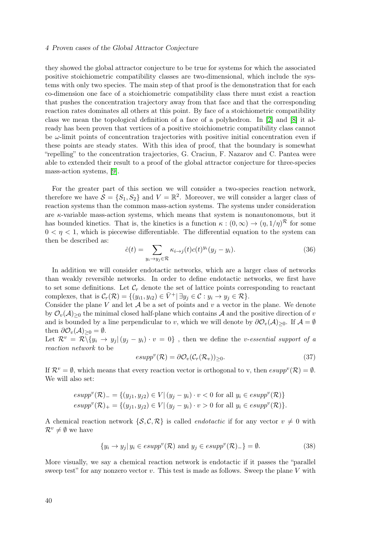### 4 Proven cases of the Global Attractor Conjecture

they showed the global attractor conjecture to be true for systems for which the associated positive stoichiometric compatibility classes are two-dimensional, which include the systems with only two species. The main step of that proof is the demonstration that for each co-dimension one face of a stoichiometric compatibility class there must exist a reaction that pushes the concentration trajectory away from that face and that the corresponding reaction rates dominates all others at this point. By face of a stoichiometric compatibility class we mean the topological definition of a face of a polyhedron. In [\[2\]](#page-65-9) and [\[8\]](#page-65-10) it already has been proven that vertices of a positive stoichiometric compatibility class cannot be  $\omega$ -limit points of concentration trajectories with positive initial concentration even if these points are steady states. With this idea of proof, that the boundary is somewhat "repelling" to the concentration trajectories, G. Craciun, F. Nazarov and C. Pantea were able to extended their result to a proof of the global attractor conjecture for three-species mass-action systems, [\[9\]](#page-65-3).

For the greater part of this section we will consider a two-species reaction network, therefore we have  $S = \{S_1, S_2\}$  and  $V = \mathbb{R}^2$ . Moreover, we will consider a larger class of reaction systems than the common mass-action systems. The systems under consideration are  $\kappa$ -variable mass-action systems, which means that system is nonautonomous, but it has bounded kinetics. That is, the kinetics is a function  $\kappa : (0, \infty) \to (\eta, 1/\eta)^{\mathcal{R}}$  for some  $0 < \eta < 1$ , which is piecewise differentiable. The differential equation to the system can then be described as:

<span id="page-49-1"></span>
$$
\dot{c}(t) = \sum_{y_i \to y_j \in \mathcal{R}} \kappa_{i \to j}(t) c(t)^{y_i} (y_j - y_i). \tag{36}
$$

In addition we will consider endotactic networks, which are a larger class of networks than weakly reversible networks. In order to define endotactic networks, we first have to set some definitions. Let  $\mathcal{C}_r$  denote the set of lattice points corresponding to reactant complexes, that is  $\mathcal{C}_r(\mathcal{R}) = \{(y_{i1}, y_{i2}) \in \overline{V}^+ | \exists y_j \in \mathcal{C} : y_i \to y_j \in \mathcal{R}\}.$ 

Consider the plane V and let  $A$  be a set of points and  $v$  a vector in the plane. We denote by  $\mathcal{O}_v(\mathcal{A})_{\geq 0}$  the minimal closed half-plane which contains  $\mathcal{A}$  and the positive direction of v and is bounded by a line perpendicular to v, which we will denote by  $\partial\mathcal{O}_v(\mathcal{A})_{\geq 0}$ . If  $\mathcal{A} = \emptyset$ then  $\partial\mathcal{O}_v(\mathcal{A})_{\geq 0}=\emptyset$ .

Let  $\mathcal{R}^v = \mathcal{R} \setminus \{y_i \to y_j | (y_j - y_i) \cdot v = 0\}$ , then we define the *v-essential support of a* reaction network to be

$$
esupp^v(\mathcal{R}) = \partial \mathcal{O}_v(\mathcal{C}_r(\mathcal{R}_v))_{\geq 0}.
$$
\n(37)

If  $\mathcal{R}^v = \emptyset$ , which means that every reaction vector is orthogonal to v, then  $esupp^v(\mathcal{R}) = \emptyset$ . We will also set:

$$
esupp^{v}(\mathcal{R})_{-} = \{(y_{j1}, y_{j2}) \in V | (y_{j} - y_{i}) \cdot v < 0 \text{ for all } y_{i} \in esupp^{v}(\mathcal{R})\}
$$
  

$$
esupp^{v}(\mathcal{R})_{+} = \{(y_{j1}, y_{j2}) \in V | (y_{j} - y_{i}) \cdot v > 0 \text{ for all } y_{i} \in esupp^{v}(\mathcal{R})\}.
$$

A chemical reaction network  $\{S, C, \mathcal{R}\}\$ is called *endotactic* if for any vector  $v \neq 0$  with  $\mathcal{R}^v \neq \emptyset$  we have

<span id="page-49-0"></span>
$$
\{y_i \to y_j | y_i \in esupp^v(\mathcal{R}) \text{ and } y_j \in esupp^v(\mathcal{R})_-\} = \emptyset.
$$
\n(38)

More visually, we say a chemical reaction network is endotactic if it passes the "parallel sweep test" for any nonzero vector  $v$ . This test is made as follows. Sweep the plane  $V$  with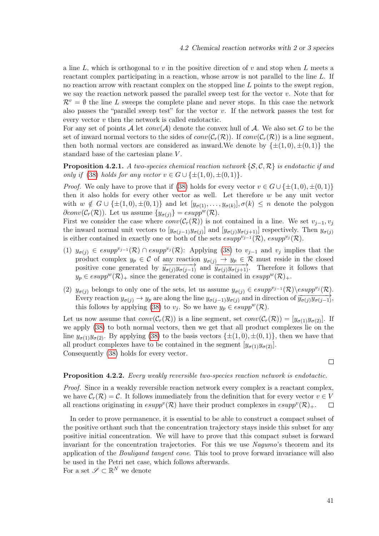a line L, which is orthogonal to v in the positive direction of v and stop when L meets a reactant complex participating in a reaction, whose arrow is not parallel to the line L. If no reaction arrow with reactant complex on the stopped line  $L$  points to the swept region, we say the reaction network passed the parallel sweep test for the vector  $v$ . Note that for  $\mathcal{R}^v = \emptyset$  the line L sweeps the complete plane and never stops. In this case the network also passes the "parallel sweep test" for the vector  $v$ . If the network passes the test for every vector v then the network is called endotactic.

For any set of points A let  $conv(A)$  denote the convex hull of A. We also set G to be the set of inward normal vectors to the sides of  $conv(C_r(\mathcal{R}))$ . If  $conv(C_r(\mathcal{R}))$  is a line segment, then both normal vectors are considered as inward. We denote by  $\{\pm(1,0), \pm(0,1)\}\)$  the standard base of the cartesian plane V .

**Proposition 4.2.1.** A two-species chemical reaction network  $\{S, C, \mathcal{R}\}\$ is endotactic if and only if [\(38\)](#page-49-0) holds for any vector  $v \in G \cup \{\pm(1,0), \pm(0,1)\}.$ 

*Proof.* We only have to prove that if [\(38\)](#page-49-0) holds for every vector  $v \in G \cup \{\pm(1,0), \pm(0,1)\}\$ then it also holds for every other vector as well. Let therefore  $w$  be any unit vector with  $w \notin G \cup \{\pm(1,0), \pm(0,1)\}\$ and let  $[y_{\sigma(1)}, \ldots, y_{\sigma(k)}], \sigma(k) \leq n$  denote the polygon  $\partial conv(\mathcal{C}_r(\mathcal{R}))$ . Let us assume  $\{y_{\sigma(i)}\} = esupp^w(\mathcal{R})$ .

First we consider the case where  $conv(\mathcal{C}_r(\mathcal{R}))$  is not contained in a line. We set  $v_{j-1}, v_j$ the inward normal unit vectors to  $[y_{\sigma(j-1)}y_{\sigma(j)}]$  and  $[y_{\sigma(j)}y_{\sigma(j+1)}]$  respectively. Then  $y_{\sigma(j)}$ is either contained in exactly one or both of the sets  $\exp^{p\cdot y-1}(\mathcal{R})$ ,  $\exp^{y\cdot y}(\mathcal{R})$ .

- (1)  $y_{\sigma(i)} \in \text{esupp}^{v_{j-1}}(\mathcal{R}) \cap \text{esupp}^{v_j}(\mathcal{R})$ : Applying [\(38\)](#page-49-0) to  $v_{j-1}$  and  $v_j$  implies that the product complex  $y_p \in \mathcal{C}$  of any reaction  $y_{\sigma(j)} \to y_p \in \mathcal{R}$  must reside in the closed positive cone generated by  $\overrightarrow{y_{\sigma(j)}y_{\sigma(j-1)}}$  and  $\overrightarrow{y_{\sigma(j)}y_{\sigma(j+1)}}$ . Therefore it follows that  $y_p \in \text{esupp}^w(\mathcal{R})_+$  since the generated cone is contained in  $\text{esupp}^w(\mathcal{R})_+.$
- (2)  $y_{\sigma(i)}$  belongs to only one of the sets, let us assume  $y_{\sigma(i)} \in \exp^{v_{j-1}}(\mathcal{R})\backslash \exp^{v_j}(\mathcal{R})$ . Every reaction  $y_{\sigma(j)} \to y_p$  are along the line  $y_{\sigma(j-1)}y_{\sigma(j)}$  and in direction of  $\overrightarrow{y_{\sigma(j)}y_{\sigma(j-1)}},$ this follows by applying [\(38\)](#page-49-0) to  $v_j$ . So we have  $y_p \in \text{esupp}^w(\mathcal{R})$ .

Let us now assume that  $conv(\mathcal{C}_r(\mathcal{R}))$  is a line segment, set  $conv(\mathcal{C}_r(\mathcal{R})) = [y_{\sigma(1)}y_{\sigma(2)}].$  If we apply [\(38\)](#page-49-0) to both normal vectors, then we get that all product complexes lie on the line  $y_{\sigma(1)}y_{\sigma(2)}$ . By applying [\(38\)](#page-49-0) to the basis vectors  $\{\pm(1,0), \pm(0,1)\}\,$ , then we have that all product complexes have to be contained in the segment  $[y_{\sigma(1)}y_{\sigma(2)}]$ . Consequently [\(38\)](#page-49-0) holds for every vector.

### $\Box$

### <span id="page-50-0"></span>Proposition 4.2.2. Every weakly reversible two-species reaction network is endotactic.

Proof. Since in a weakly reversible reaction network every complex is a reactant complex, we have  $\mathcal{C}_r(\mathcal{R}) = \mathcal{C}$ . It follows immediately from the definition that for every vector  $v \in V$ all reactions originating in  $esupp^v(\mathcal{R})$  have their product complexes in  $esupp^v(\mathcal{R})_+$ .  $\Box$ 

In order to prove permanence, it is essential to be able to construct a compact subset of the positive orthant such that the concentration trajectory stays inside this subset for any positive initial concentration. We will have to prove that this compact subset is forward invariant for the concentration trajectories. For this we use *Nagumo's* theorem and its application of the Bouligand tangent cone. This tool to prove forward invariance will also be used in the Petri net case, which follows afterwards. For a set  $\mathscr{S} \subset \mathbb{R}^N$  we denote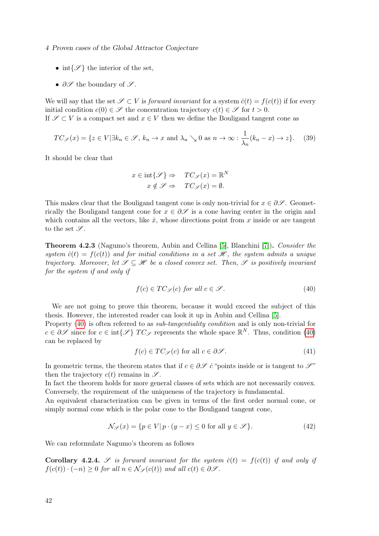4 Proven cases of the Global Attractor Conjecture

- int $\{\mathscr{S}\}\$ the interior of the set,
- $\partial \mathscr{S}$  the boundary of  $\mathscr{S}$ .

We will say that the set  $\mathscr{S} \subset V$  is forward invariant for a system  $\dot{c}(t) = f(c(t))$  if for every initial condition  $c(0) \in \mathscr{S}$  the concentration trajectory  $c(t) \in \mathscr{S}$  for  $t > 0$ . If  $\mathscr{S} \subset V$  is a compact set and  $x \in V$  then we define the Bouligand tangent cone as

$$
TC_{\mathscr{S}}(x) = \{ z \in V | \exists k_n \in \mathscr{S}, k_n \to x \text{ and } \lambda_n \searrow 0 \text{ as } n \to \infty : \frac{1}{\lambda_n}(k_n - x) \to z \}. \tag{39}
$$

It should be clear that

$$
x \in \text{int}\{\mathscr{S}\} \Rightarrow TC_{\mathscr{S}}(x) = \mathbb{R}^{N}
$$

$$
x \notin \mathscr{S} \Rightarrow TC_{\mathscr{S}}(x) = \emptyset.
$$

This makes clear that the Bouligand tangent cone is only non-trivial for  $x \in \partial \mathscr{S}$ . Geometrically the Bouligand tangent cone for  $x \in \partial \mathscr{S}$  is a cone having center in the origin and which contains all the vectors, like  $\dot{x}$ , whose directions point from  $x$  inside or are tangent to the set  $\mathscr{S}$ .

<span id="page-51-3"></span>Theorem 4.2.3 (Nagumo's theorem, Aubin and Cellina [\[5\]](#page-65-11), Blanchini [\[7\]](#page-65-12)). Consider the system  $\dot{c}(t) = f(c(t))$  and for initial conditions in a set  $\mathscr{H}$ , the system admits a unique trajectory. Moreover, let  $\mathscr{S} \subseteq \mathscr{H}$  be a closed convex set. Then,  $\mathscr{S}$  is positively invariant for the system if and only if

<span id="page-51-0"></span>
$$
f(c) \in TC_{\mathscr{S}}(c) \text{ for all } c \in \mathscr{S}.
$$
 (40)

We are not going to prove this theorem, because it would exceed the subject of this thesis. However, the interested reader can look it up in Aubin and Cellina [\[5\]](#page-65-11).

Property [\(40\)](#page-51-0) is often referred to as *sub-tangentiality condition* and is only non-trivial for  $c \in \partial \mathscr{S}$  since for  $c \in \text{int}\{\mathscr{S}\}\ T C_{\mathscr{S}}$  represents the whole space  $\mathbb{R}^N$ . Thus, condition [\(40\)](#page-51-0) can be replaced by

$$
f(c) \in TC_{\mathscr{S}}(c) \text{ for all } c \in \partial \mathscr{S}.
$$
 (41)

In geometric terms, the theorem states that if  $c \in \partial \mathscr{S}$  c<sup>u</sup>points inside or is tangent to  $\mathscr{S}$ " then the trajectory  $c(t)$  remains in  $\mathscr{S}$ .

In fact the theorem holds for more general classes of sets which are not necessarily convex. Conversely, the requirement of the uniqueness of the trajectory is fundamental.

An equivalent characterization can be given in terms of the first order normal cone, or simply normal cone which is the polar cone to the Bouligand tangent cone,

<span id="page-51-2"></span>
$$
\mathcal{N}_{\mathscr{S}}(x) = \{ p \in V | p \cdot (y - x) \le 0 \text{ for all } y \in \mathscr{S} \}. \tag{42}
$$

We can reformulate Nagumo's theorem as follows

<span id="page-51-1"></span>Corollary 4.2.4. S is forward invariant for the system  $\dot{c}(t) = f(c(t))$  if and only if  $f(c(t)) \cdot (-n) \geq 0$  for all  $n \in \mathcal{N}_{\mathscr{S}}(c(t))$  and all  $c(t) \in \partial \mathscr{S}$ .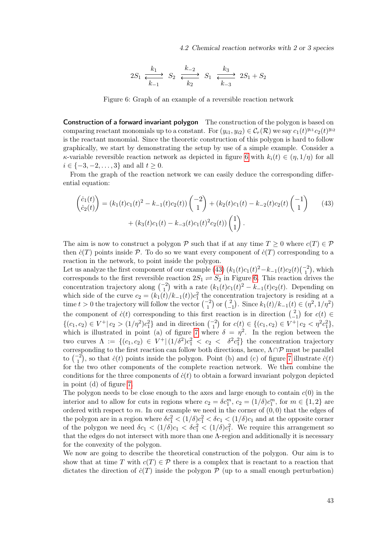<span id="page-52-1"></span>4.2 Chemical reaction networks with 2 or 3 species

$$
2S_1 \xrightarrow[k_{-1}]{k_1} S_2 \xrightarrow[k_{-2}]{k_{-2}} S_1 \xrightarrow[k_{-3}]{k_3} 2S_1 + S_2
$$

<span id="page-52-0"></span>Figure 6: Graph of an example of a reversible reaction network

Construction of a forward invariant polygon The construction of the polygon is based on comparing reactant monomials up to a constant. For  $(y_{i1}, y_{i2}) \in C_r(\mathcal{R})$  we say  $c_1(t)^{y_{i1}}c_2(t)^{y_{i2}}$ is the reactant monomial. Since the theoretic construction of this polygon is hard to follow graphically, we start by demonstrating the setup by use of a simple example. Consider a κ-variable reversible reaction network as depicted in figure [6](#page-52-0) with  $k_i(t) \in (\eta, 1/\eta)$  for all  $i \in \{-3, -2, \ldots, 3\}$  and all  $t > 0$ .

From the graph of the reaction network we can easily deduce the corresponding differential equation:

$$
\begin{pmatrix}\n\dot{c}_1(t) \\
\dot{c}_2(t)\n\end{pmatrix} = (k_1(t)c_1(t)^2 - k_{-1}(t)c_2(t)) \begin{pmatrix} -2 \\
1 \end{pmatrix} + (k_2(t)c_1(t) - k_{-2}(t)c_2(t) \begin{pmatrix} -1 \\
1 \end{pmatrix} \tag{43}
$$
\n
$$
+ (k_3(t)c_1(t) - k_{-3}(t)c_1(t)^2 c_2(t)) \begin{pmatrix} 1 \\
1 \end{pmatrix}.
$$

The aim is now to construct a polygon P such that if at any time  $T \geq 0$  where  $c(T) \in \mathcal{P}$ then  $\dot{c}(T)$  points inside P. To do so we want every component of  $\dot{c}(T)$  corresponding to a reaction in the network, to point inside the polygon.

Let us analyze the first component of our example [\(43\)](#page-52-1)  $(k_1(t)c_1(t)^2 - k_{-1}(t)c_2(t)\binom{-2}{1}$ , which Let us analyze the first component of our example  $(45)$   $(\kappa_1(\ell)\epsilon_1(\ell) - \kappa_{-1}(\ell)\epsilon_2(\ell)\epsilon_1)$ , which corresponds to the first reversible reaction  $2S_1 \rightleftharpoons S_2$  in Figure [6.](#page-52-0) This reaction drives the concentration trajectory along  $\binom{-2}{1}$  with a rate  $(k_1(t)c_1(t))^2 - k_{-1}(t)c_2(t)$ . Depending on which side of the curve  $c_2 = (k_1(t)/k_{-1}(t))c_1^2$  the concentration trajectory is residing at a time  $t > 0$  the trajectory will follow the vector  $\binom{-2}{1}$  or  $\binom{2}{-1}$ <sup>2</sup><sub>-1</sub></sub>). Since  $k_1(t)/k_{-1}(t)$  ∈ (η<sup>2</sup>, 1/η<sup>2</sup>) the component of  $\dot{c}(t)$  corresponding to this first reaction is in direction  $\left(\frac{2}{\epsilon}\right)$  $\begin{bmatrix} 2 \\ -1 \end{bmatrix}$  for  $c(t) \in$  $\{(c_1, c_2) \in V^+ | c_2 > (1/\eta^2)c_1^2\}$  and in direction  $\binom{-2}{1}$  for  $c(t) \in \{(c_1, c_2) \in V^+ | c_2 < \eta^2 c_1^2\}$ , which is illustrated in point (a) of figure [7](#page-53-0) where  $\delta = \eta^2$ . In the region between the two curves  $\Lambda := \{(c_1, c_2) \in V^+ | (1/\delta^2)c_1^2 < c_2 < \delta^2c_1^2\}$  the concentration trajectory corresponding to the first reaction can follow both directions, hence,  $\Lambda \cap \mathcal{P}$  must be parallel to  $\binom{-2}{1}$ , so that  $\dot{c}(t)$  points inside the polygon. Point (b) and (c) of figure [7](#page-53-0) illustrate  $\dot{c}(t)$ for the two other components of the complete reaction network. We then combine the conditions for the three components of  $\dot{c}(t)$  to obtain a forward invariant polygon depicted in point (d) of figure [7.](#page-53-0)

The polygon needs to be close enough to the axes and large enough to contain  $c(0)$  in the interior and to allow for cuts in regions where  $c_2 = \delta c_1^m$ ,  $c_2 = (1/\delta)c_1^m$ , for  $m \in \{1, 2\}$  are ordered with respect to m. In our example we need in the corner of  $(0, 0)$  that the edges of the polygon are in a region where  $\delta c_1^2 < (1/\delta)c_1^2 < \delta c_1 < (1/\delta)c_1$  and at the opposite corner of the polygon we need  $\delta c_1 < (1/\delta)c_1 < \delta c_1^2 < (1/\delta)c_1^2$ . We require this arrangement so that the edges do not intersect with more than one  $\Lambda$ -region and additionally it is necessary for the convexity of the polygon.

We now are going to describe the theoretical construction of the polygon. Our aim is to show that at time T with  $c(T) \in \mathcal{P}$  there is a complex that is reactant to a reaction that dictates the direction of  $\dot{c}(T)$  inside the polygon  $P$  (up to a small enough perturbation)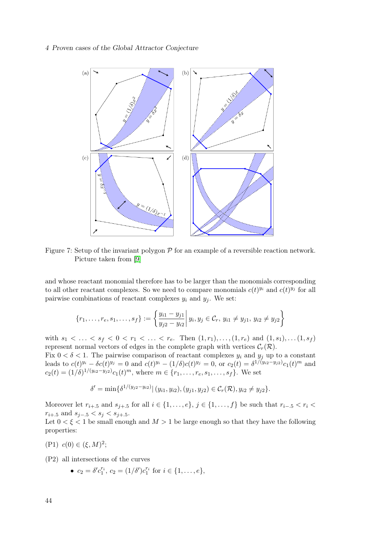### <span id="page-53-0"></span>4 Proven cases of the Global Attractor Conjecture



Figure 7: Setup of the invariant polygon  $\mathcal P$  for an example of a reversible reaction network. Picture taken from [\[9\]](#page-65-3)

and whose reactant monomial therefore has to be larger than the monomials corresponding to all other reactant complexes. So we need to compare monomials  $c(t)^{y_i}$  and  $c(t)^{y_j}$  for all pairwise combinations of reactant complexes  $y_i$  and  $y_j$ . We set:

$$
\{r_1,\ldots,r_e,s_1,\ldots,s_f\}:=\left\{\frac{y_{i1}-y_{j1}}{y_{j2}-y_{i2}}\middle|\ y_i,y_j\in\mathcal{C}_r,\ y_{i1}\neq y_{j1},\ y_{i2}\neq y_{j2}\right\}
$$

with  $s_1 < \ldots < s_f < 0 < r_1 < \ldots < r_e$ . Then  $(1, r_1), \ldots, (1, r_e)$  and  $(1, s_1), \ldots, (1, s_f)$ represent normal vectors of edges in the complete graph with vertices  $C_r(\mathcal{R})$ . Fix  $0 < \delta < 1$ . The pairwise comparison of reactant complexes  $y_i$  and  $y_j$  up to a constant

leads to  $c(t)^{y_i} - \delta c(t)^{y_j} = 0$  and  $c(t)^{y_i} - (1/\delta)c(t)^{y_j} = 0$ , or  $c_2(t) = \delta^{1/(y_{i2}-y_{j2})}c_1(t)^m$  and  $c_2(t) = (1/\delta)^{1/(y_{i2}-y_{j2})} c_1(t)^m$ , where  $m \in \{r_1, \ldots, r_e, s_1, \ldots, s_f\}$ . We set

$$
\delta' = \min\{\delta^{1/(y_{j2} - y_{i2})} | (y_{i1}, y_{i2}), (y_{j1}, y_{j2}) \in C_r(\mathcal{R}), y_{i2} \neq y_{j2}\}.
$$

Moreover let  $r_{i+1}$  and  $s_{i+1}$  for all  $i \in \{1, \ldots, e\}$ ,  $j \in \{1, \ldots, f\}$  be such that  $r_{i-1} < r_i <$  $r_{i+1.5}$  and  $s_{i-1.5} < s_i < s_{i+1.5}$ .

Let  $0 < \xi < 1$  be small enough and  $M > 1$  be large enough so that they have the following properties:

(P1)  $c(0) \in (\xi, M)^2;$ 

(P2) all intersections of the curves

•  $c_2 = \delta' c_1^{r_i}, c_2 = (1/\delta') c_1^{r_i}$  for  $i \in \{1, ..., e\},$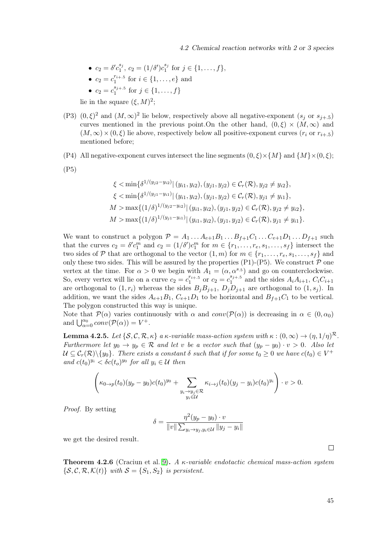• 
$$
c_2 = \delta' c_1^{s_j}, c_2 = (1/\delta') c_1^{s_j}
$$
 for  $j \in \{1, ..., f\},$   
\n•  $c_1 = c_1^{r_{i+1}} c_2$  for  $i \in \{1, ..., f\}$ 

• 
$$
c_2 = c_1^{r_{i+1}} \text{ for } i \in \{1, ..., e\} \text{ and}
$$

• 
$$
c_2 = c_1^{s_{j+1}} \text{ for } j \in \{1, ..., f\}
$$

lie in the square  $(\xi, M)^2$ ;

(P3)  $(0,\xi)^2$  and  $(M,\infty)^2$  lie below, respectively above all negative-exponent  $(s_j \text{ or } s_{j+1.5})$ curves mentioned in the previous point. On the other hand,  $(0, \xi) \times (M, \infty)$  and  $(M, \infty) \times (0, \xi)$  lie above, respectively below all positive-exponent curves  $(r_i \text{ or } r_{i+1.5})$ mentioned before;

(P4) All negative-exponent curves intersect the line segments  $(0, \xi) \times \{M\}$  and  $\{M\} \times (0, \xi)$ ;

(P5)

$$
\xi < \min\{\delta^{1/(y_{j2}-y_{i2})} | (y_{i1}, y_{i2}), (y_{j1}, y_{j2}) \in C_r(\mathcal{R}), y_{j2} \neq y_{i2}\},
$$
\n
$$
\xi < \min\{\delta^{1/(y_{j1}-y_{i1})} | (y_{i1}, y_{i2}), (y_{j1}, y_{j2}) \in C_r(\mathcal{R}), y_{j1} \neq y_{i1}\},
$$
\n
$$
M > \max\{(1/\delta)^{1/(y_{j2}-y_{i2})} | (y_{i1}, y_{i2}), (y_{j1}, y_{j2}) \in C_r(\mathcal{R}), y_{j2} \neq y_{i2}\},
$$
\n
$$
M > \max\{(1/\delta)^{1/(y_{j1}-y_{i1})} | (y_{i1}, y_{i2}), (y_{j1}, y_{j2}) \in C_r(\mathcal{R}), y_{j1} \neq y_{i1}\}.
$$

We want to construct a polygon  $\mathcal{P} = A_1 \dots A_{e+1} B_1 \dots B_{f+1} C_1 \dots C_{e+1} D_1 \dots D_{f+1}$  such that the curves  $c_2 = \delta' c_1^m$  and  $c_2 = (1/\delta') c_1^m$  for  $m \in \{r_1, \ldots, r_e, s_1, \ldots, s_f\}$  intersect the two sides of P that are orthogonal to the vector  $(1, m)$  for  $m \in \{r_1, \ldots, r_e, s_1, \ldots, s_f\}$  and only these two sides. This will be assured by the properties  $(P1)-(P5)$ . We construct  $P$  one vertex at the time. For  $\alpha > 0$  we begin with  $A_1 = (\alpha, \alpha^{s.5})$  and go on counterclockwise. So, every vertex will lie on a curve  $c_2 = c_1^{r_{i+1}}$  $j_1^{r_{i+.5}}$  or  $c_2 = c_1^{s_{j+.5}}$  $a_1^{s_{j+1}}$  and the sides  $A_iA_{i+1}, C_iC_{i+1}$ are orthogonal to  $(1, r_i)$  whereas the sides  $B_j B_{j+1}$ ,  $D_j D_{j+1}$  are orthogonal to  $(1, s_j)$ . In addition, we want the sides  $A_{e+1}B_1$ ,  $C_{e+1}D_1$  to be horizontal and  $B_{f+1}C_1$  to be vertical. The polygon constructed this way is unique.

Note that  $\mathcal{P}(\alpha)$  varies continuously with  $\alpha$  and  $conv(\mathcal{P}(\alpha))$  is decreasing in  $\alpha \in (0, \alpha_0)$ and  $\bigcup_{\alpha=0}^{\alpha_0} conv(P(\alpha)) = V^+.$ 

<span id="page-54-0"></span>**Lemma 4.2.5.** Let  $\{S, C, R, \kappa\}$  a  $\kappa$ -variable mass-action system with  $\kappa : (0, \infty) \to (\eta, 1/\eta)^{\mathcal{R}}$ . Furthermore let  $y_0 \to y_p \in \mathcal{R}$  and let v be a vector such that  $(y_p - y_0) \cdot v > 0$ . Also let  $\mathcal{U} \subseteq \mathcal{C}_r(\mathcal{R}) \setminus \{y_0\}$ . There exists a constant  $\delta$  such that if for some  $t_0 \geq 0$  we have  $c(t_0) \in V^+$ and  $c(t_0)^{y_i} < \delta c(t_0)^{y_0}$  for all  $y_i \in \mathcal{U}$  then

$$
\left(\kappa_{0\to p}(t_0)(y_p-y_0)c(t_0)^{y_0}+\sum_{\substack{y_i\to y_j\in\mathcal{R}\\y_i\in\mathcal{U}}}\kappa_{i\to j}(t_0)(y_j-y_i)c(t_0)^{y_i}\right)\cdot v>0.
$$

Proof. By setting

$$
\delta = \frac{\eta^2(y_p - y_0) \cdot v}{\|v\| \sum_{y_i \to y_j, y_i \in \mathcal{U}} \|y_j - y_i\|}
$$

we get the desired result.

**Theorem 4.2.6** (Craciun et al. [9\)](#page-65-3). A  $\kappa$ -variable endotactic chemical mass-action system  $\{S, \mathcal{C}, \mathcal{R}, \mathcal{K}(t)\}\$  with  $\mathcal{S} = \{S_1, S_2\}$  is persistent.

 $\Box$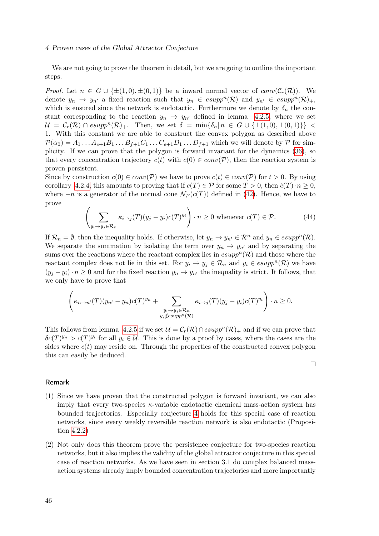### 4 Proven cases of the Global Attractor Conjecture

We are not going to prove the theorem in detail, but we are going to outline the important steps.

*Proof.* Let  $n \in G \cup \{\pm (1,0), \pm (0,1)\}\$  be a inward normal vector of  $conv(\mathcal{C}_r(\mathcal{R}))$ . We denote  $y_n \to y_{n'}$  a fixed reaction such that  $y_n \in \text{esupp}^n(\mathcal{R})$  and  $y_{n'} \in \text{esupp}^n(\mathcal{R})_+$ , which is ensured since the network is endotactic. Furthermore we denote by  $\delta_n$  the constant corresponding to the reaction  $y_n \to y_{n'}$  defined in lemma [4.2.5,](#page-54-0) where we set  $\mathcal{U} = \mathcal{C}_r(\mathcal{R}) \cap \text{esupp}^n(\mathcal{R})_+.$  Then, we set  $\delta = \min\{\delta_n | n \in G \cup \{\pm(1,0), \pm(0,1)\}\}\$ 1. With this constant we are able to construct the convex polygon as described above  $\mathcal{P}(\alpha_0) = A_1 \dots A_{e+1} B_1 \dots B_{f+1} C_1 \dots C_{e+1} D_1 \dots D_{f+1}$  which we will denote by  $\mathcal P$  for simplicity. If we can prove that the polygon is forward invariant for the dynamics [\(36\)](#page-49-1), so that every concentration trajectory  $c(t)$  with  $c(0) \in conv(\mathcal{P})$ , then the reaction system is proven persistent.

Since by construction  $c(0) \in conv(\mathcal{P})$  we have to prove  $c(t) \in conv(\mathcal{P})$  for  $t > 0$ . By using corollary [4.2.4,](#page-51-1) this amounts to proving that if  $c(T) \in \mathcal{P}$  for some  $T > 0$ , then  $\dot{c}(T) \cdot n \geq 0$ , where  $-n$  is a generator of the normal cone  $\mathcal{N}_{\mathcal{P}}(c(T))$  defined in [\(42\)](#page-51-2). Hence, we have to prove

$$
\left(\sum_{y_i \to y_j \in \mathcal{R}_n} \kappa_{i \to j}(T)(y_j - y_i)c(T)^{y_i}\right) \cdot n \ge 0 \text{ whenever } c(T) \in \mathcal{P}.
$$
 (44)

If  $\mathcal{R}_n = \emptyset$ , then the inequality holds. If otherwise, let  $y_n \to y_{n'} \in \mathcal{R}^n$  and  $y_n \in \text{esupp}^n(\mathcal{R})$ . We separate the summation by isolating the term over  $y_n \to y_{n'}$  and by separating the sums over the reactions where the reactant complex lies in  $\text{esupp}^n(\mathcal{R})$  and those where the reactant complex does not lie in this set. For  $y_i \to y_j \in \mathcal{R}_n$  and  $y_i \in \text{esupp}^n(\mathcal{R})$  we have  $(y_j - y_i) \cdot n \geq 0$  and for the fixed reaction  $y_n \to y_{n'}$  the inequality is strict. It follows, that we only have to prove that

$$
\left(\kappa_{n \to n'}(T)(y_{n'} - y_n)c(T)^{y_n} + \sum_{\substack{y_i \to y_j \in \mathcal{R}_n \\ y_i \notin \text{supp}^n(\mathcal{R})}} \kappa_{i \to j}(T)(y_j - y_i)c(T)^{y_i}\right) \cdot n \ge 0.
$$

This follows from lemma [4.2.5](#page-54-0) if we set  $\mathcal{U} = \mathcal{C}_r(\mathcal{R}) \cap \text{esupp}^n(\mathcal{R})_+$  and if we can prove that  $\delta c(T)^{y_n} > c(T)^{y_i}$  for all  $y_i \in \mathcal{U}$ . This is done by a proof by cases, where the cases are the sides where  $c(t)$  may reside on. Through the properties of the constructed convex polygon this can easily be deduced.

 $\Box$ 

### Remark

- (1) Since we have proven that the constructed polygon is forward invariant, we can also imply that every two-species  $\kappa$ -variable endotactic chemical mass-action system has bounded trajectories. Especially conjecture [4](#page-33-1) holds for this special case of reaction networks, since every weakly reversible reaction network is also endotactic (Proposition [4.2.2\)](#page-50-0)
- (2) Not only does this theorem prove the persistence conjecture for two-species reaction networks, but it also implies the validity of the global attractor conjecture in this special case of reaction networks. As we have seen in section 3.1 do complex balanced massaction systems already imply bounded concentration trajectories and more importantly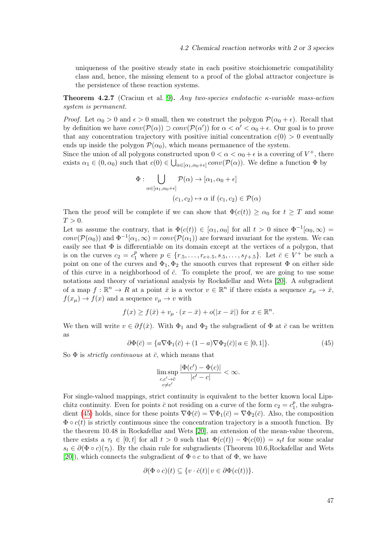uniqueness of the positive steady state in each positive stoichiometric compatibility class and, hence, the missing element to a proof of the global attractor conjecture is the persistence of these reaction systems.

<span id="page-56-1"></span>**Theorem 4.2.7** (Craciun et al. [9\)](#page-65-3). Any two-species endotactic  $\kappa$ -variable mass-action system is permanent.

*Proof.* Let  $\alpha_0 > 0$  and  $\epsilon > 0$  small, then we construct the polygon  $\mathcal{P}(\alpha_0 + \epsilon)$ . Recall that by definition we have  $conv(\mathcal{P}(\alpha)) \supset conv(\mathcal{P}(\alpha'))$  for  $\alpha < \alpha' < \alpha_0 + \epsilon$ . Our goal is to prove that any concentration trajectory with positive initial concentration  $c(0) > 0$  eventually ends up inside the polygon  $\mathcal{P}(\alpha_0)$ , which means permanence of the system.

Since the union of all polygons constructed upon  $0 < \alpha < \alpha_0 + \epsilon$  is a covering of  $V^+$ , there exists  $\alpha_1 \in (0, \alpha_0)$  such that  $c(0) \in \bigcup_{\alpha \in [\alpha_1, \alpha_0 + \epsilon]} conv(\mathcal{P}(\alpha))$ . We define a function  $\Phi$  by

$$
\Phi: \bigcup_{\alpha \in [\alpha_1, \alpha_0 + \epsilon]} \mathcal{P}(\alpha) \to [\alpha_1, \alpha_0 + \epsilon]
$$

$$
(c_1, c_2) \mapsto \alpha \text{ if } (c_1, c_2) \in \mathcal{P}(\alpha)
$$

Then the proof will be complete if we can show that  $\Phi(c(t)) \geq \alpha_0$  for  $t \geq T$  and some  $T > 0$ .

Let us assume the contrary, that is  $\Phi(c(t)) \in [\alpha_1, \alpha_0]$  for all  $t > 0$  since  $\Phi^{-1}[\alpha_0, \infty) =$  $conv(\mathcal{P}(\alpha_0))$  and  $\Phi^{-1}[\alpha_1,\infty) = conv(\mathcal{P}(\alpha_1))$  are forward invariant for the system. We can easily see that  $\Phi$  is differentiable on its domain except at the vertices of a polygon, that is on the curves  $c_2 = c_1^p$  where  $p \in \{r_{.5}, \ldots, r_{e+.5}, s_{.5}, \ldots, s_{f+.5}\}.$  Let  $\bar{c} \in V^+$  be such a point on one of the curves and  $\Phi_1, \Phi_2$  the smooth curves that represent  $\Phi$  on either side of this curve in a neighborhood of  $\bar{c}$ . To complete the proof, we are going to use some notations and theory of variational analysis by Rockafellar and Wets [\[20\]](#page-66-9). A subgradient of a map  $f : \mathbb{R}^n \to R$  at a point  $\bar{x}$  is a vector  $v \in \mathbb{R}^n$  if there exists a sequence  $x_{\mu} \to \bar{x}$ ,  $f(x_\mu) \to f(x)$  and a sequence  $v_\mu \to v$  with

$$
f(x) \ge f(\bar{x}) + v_{\mu} \cdot (x - \bar{x}) + o(|x - \bar{x}|) \text{ for } x \in \mathbb{R}^n.
$$

We then will write  $v \in \partial f(\bar{x})$ . With  $\Phi_1$  and  $\Phi_2$  the subgradient of  $\Phi$  at  $\bar{c}$  can be written as

<span id="page-56-0"></span>
$$
\partial \Phi(\bar{c}) = \{a \nabla \Phi_1(\bar{c}) + (1 - a) \nabla \Phi_2(\bar{c}) \mid a \in [0, 1]\}.
$$
\n(45)

So  $\Phi$  is *strictly continuous* at  $\bar{c}$ , which means that

$$
\limsup_{\substack{c,c'\to\bar c\\c\neq c'}}\frac{|\Phi(c')-\Phi(c)|}{|c'-c|}<\infty.
$$

For single-valued mappings, strict continuity is equivalent to the better known local Lipschitz continuity. Even for points  $\bar{c}$  not residing on a curve of the form  $c_2 = c_1^p$  $t_1^p$ , the subgra-dient [\(45\)](#page-56-0) holds, since for these points  $\nabla \Phi(\bar{c}) = \nabla \Phi_1(\bar{c}) = \nabla \Phi_2(\bar{c})$ . Also, the composition  $\Phi \circ c(t)$  is strictly continuous since the concentration trajectory is a smooth function. By the theorem 10.48 in Rockafellar and Wets [\[20\]](#page-66-9), an extension of the mean-value theorem, there exists a  $\tau_t \in [0, t]$  for all  $t > 0$  such that  $\Phi(c(t)) - \Phi(c(0)) = s_t t$  for some scalar  $s_t \in \partial (\Phi \circ c)(\tau_t)$ . By the chain rule for subgradients (Theorem 10.6,Rockafellar and Wets [\[20\]](#page-66-9)), which connects the subgradient of  $\Phi \circ c$  to that of  $\Phi$ , we have

$$
\partial(\Phi \circ c)(t) \subseteq \{v \cdot \dot{c}(t) | v \in \partial \Phi(c(t))\}.
$$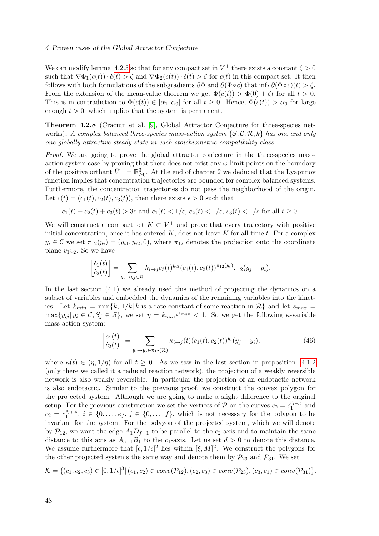### 4 Proven cases of the Global Attractor Conjecture

We can modify lemma [4.2.5](#page-54-0) so that for any compact set in  $V^+$  there exists a constant  $\zeta > 0$ such that  $\nabla \Phi_1(c(t)) \cdot \dot{c}(t) > \zeta$  and  $\nabla \Phi_2(c(t)) \cdot \dot{c}(t) > \zeta$  for  $c(t)$  in this compact set. It then follows with both formulations of the subgradients  $\partial \Phi$  and  $\partial (\Phi \circ c)$  that inf<sub>t</sub>  $\partial (\Phi \circ c)(t) > \zeta$ . From the extension of the mean-value theorem we get  $\Phi(c(t)) > \Phi(0) + \zeta t$  for all  $t > 0$ . This is in contradiction to  $\Phi(c(t)) \in [\alpha_1, \alpha_0]$  for all  $t \geq 0$ . Hence,  $\Phi(c(t)) > \alpha_0$  for large enough  $t > 0$ , which implies that the system is permanent.  $\Box$ 

Theorem 4.2.8 (Craciun et al. [\[9\]](#page-65-3), Global Attractor Conjecture for three-species networks). A complex balanced three-species mass-action system  $\{S, C, \mathcal{R}, k\}$  has one and only one globally attractive steady state in each stoichiometric compatibility class.

Proof. We are going to prove the global attractor conjecture in the three-species massaction system case by proving that there does not exist any  $\omega$ -limit points on the boundary of the positive orthant  $\bar{V}^+ = \mathbb{R}^3_{\geq 0}$ . At the end of chapter 2 we deduced that the Lyapunov function implies that concentration trajectories are bounded for complex balanced systems. Furthermore, the concentration trajectories do not pass the neighborhood of the origin. Let  $c(t) = (c_1(t), c_2(t), c_3(t))$ , then there exists  $\epsilon > 0$  such that

$$
c_1(t) + c_2(t) + c_3(t) > 3\epsilon
$$
 and 
$$
c_1(t) < 1/\epsilon
$$
, 
$$
c_2(t) < 1/\epsilon
$$
, 
$$
c_3(t) < 1/\epsilon
$$
 for all  $t \ge 0$ .

We will construct a compact set  $K \subset V^+$  and prove that every trajectory with positive initial concentration, once it has entered  $K$ , does not leave  $K$  for all time  $t$ . For a complex  $y_i \in \mathcal{C}$  we set  $\pi_{12}(y_i) = (y_{i1}, y_{i2}, 0)$ , where  $\pi_{12}$  denotes the projection onto the coordinate plane  $v_1v_2$ . So we have

$$
\begin{bmatrix} \dot{c}_1(t) \\ \dot{c}_2(t) \end{bmatrix} = \sum_{y_i \to y_j \in \mathcal{R}} k_{i \to j} c_3(t)^{y_{i3}} (c_1(t), c_2(t))^{\pi_{12}(y_i)} \pi_{12}(y_j - y_i).
$$

In the last section (4.1) we already used this method of projecting the dynamics on a subset of variables and embedded the dynamics of the remaining variables into the kinetics. Let  $k_{min} = \min\{k, 1/k | k \text{ is a rate constant of some reaction in } \mathcal{R}\}\$  and let  $s_{max} =$  $\max\{y_{ij} | y_i \in \mathcal{C}, S_j \in \mathcal{S}\},\$  we set  $\eta = k_{min}\epsilon^{s_{max}} < 1$ . So we get the following  $\kappa$ -variable mass action system:

$$
\begin{bmatrix} \dot{c}_1(t) \\ \dot{c}_2(t) \end{bmatrix} = \sum_{y_i \to y_j \in \pi_{12}(\mathcal{R})} \kappa_{i \to j}(t) (c_1(t), c_2(t))^{y_i} (y_j - y_i), \tag{46}
$$

where  $\kappa(t) \in (\eta, 1/\eta)$  for all  $t \geq 0$ . As we saw in the last section in proposition [4.1.2](#page-42-1) (only there we called it a reduced reaction network), the projection of a weakly reversible network is also weakly reversible. In particular the projection of an endotactic network is also endotactic. Similar to the previous proof, we construct the convex polygon for the projected system. Although we are going to make a slight difference to the original setup. For the previous construction we set the vertices of  $\mathcal{P}$  on the curves  $c_2 = c_1^{r_{i+1}}$ .  $i_1^{r_{i+.5}}$  and  $c_2 = c_1^{s_{j+.5}}$  $i_1^{s_{j+1}}$ ,  $i \in \{0, \ldots, e\}$ ,  $j \in \{0, \ldots, f\}$ , which is not necessary for the polygon to be invariant for the system. For the polygon of the projected system, which we will denote by  $\mathcal{P}_{12}$ , we want the edge  $A_1D_{f+1}$  to be parallel to the c<sub>2</sub>-axis and to maintain the same distance to this axis as  $A_{e+1}B_1$  to the  $c_1$ -axis. Let us set  $d > 0$  to denote this distance. We assume furthermore that  $[\epsilon, 1/\epsilon]^2$  lies within  $[\xi, M]^2$ . We construct the polygons for the other projected systems the same way and denote them by  $\mathcal{P}_{23}$  and  $\mathcal{P}_{31}$ . We set

$$
\mathcal{K} = \{ (c_1, c_2, c_3) \in [0, 1/\epsilon]^3 | (c_1, c_2) \in conv(\mathcal{P}_{12}), (c_2, c_3) \in conv(\mathcal{P}_{23}), (c_3, c_1) \in conv(\mathcal{P}_{31}) \}.
$$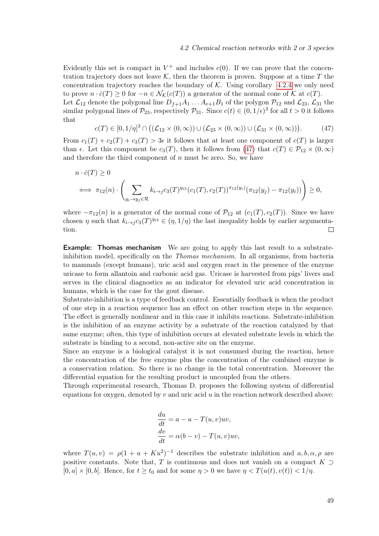Evidently this set is compact in  $V^+$  and includes  $c(0)$ . If we can prove that the concentration trajectory does not leave K, then the theorem is proven. Suppose at a time T the concentration trajectory reaches the boundary of  $K$ . Using corollary [4.2.4](#page-51-1) we only need to prove  $n \cdot \dot{c}(T) \geq 0$  for  $-n \in \mathcal{N}_{\mathcal{K}}(c(T))$  a generator of the normal cone of  $\mathcal{K}$  at  $c(T)$ . Let  $\mathcal{L}_{12}$  denote the polygonal line  $D_{f+1}A_1 \ldots A_{e+1}B_1$  of the polygon  $\mathcal{P}_{12}$  and  $\mathcal{L}_{23}$ ,  $\mathcal{L}_{31}$  the similar polygonal lines of  $\mathcal{P}_{23}$ , respectively  $\mathcal{P}_{31}$ . Since  $c(t) \in (0, 1/\epsilon)^3$  for all  $t > 0$  it follows that

<span id="page-58-0"></span>
$$
c(T) \in [0, 1/\eta]^3 \cap \big( (\mathcal{L}_{12} \times (0, \infty)) \cup (\mathcal{L}_{23} \times (0, \infty)) \cup (\mathcal{L}_{31} \times (0, \infty)) \big).
$$
 (47)

From  $c_1(T) + c_2(T) + c_3(T) > 3\epsilon$  it follows that at least one component of  $c(T)$  is larger than  $\epsilon$ . Let this component be  $c_3(T)$ , then it follows from [\(47\)](#page-58-0) that  $c(T) \in \mathcal{P}_{12} \times (0,\infty)$ and therefore the third component of  $n$  must be zero. So, we have

$$
n \cdot \dot{c}(T) \ge 0
$$
  
\n
$$
\iff \pi_{12}(n) \cdot \left( \sum_{y_i \to y_j \in \mathcal{R}} k_{i \to j} c_3(T)^{y_{i3}} (c_1(T), c_2(T))^{\pi_{12}(y_i)} (\pi_{12}(y_j) - \pi_{12}(y_i)) \right) \ge 0,
$$

where  $-\pi_{12}(n)$  is a generator of the normal cone of  $\mathcal{P}_{12}$  at  $(c_1(T), c_2(T))$ . Since we have chosen  $\eta$  such that  $k_{i\to j}c_3(T)^{y_{i3}} \in (\eta, 1/\eta)$  the last inequality holds by earlier argumenta- $\Box$ tion.

**Example:** Thomas mechanism We are going to apply this last result to a substrateinhibition model, specifically on the *Thomas mechanism*. In all organisms, from bacteria to mammals (except humans), uric acid and oxygen react in the presence of the enzyme uricase to form allantoin and carbonic acid gas. Uricase is harvested from pigs' livers and serves in the clinical diagnostics as an indicator for elevated uric acid concentration in humans, which is the case for the gout disease.

Substrate-inhibition is a type of feedback control. Essentially feedback is when the product of one step in a reaction sequence has an effect on other reaction steps in the sequence. The effect is generally nonlinear and in this case it inhibits reactions. Substrate-inhibition is the inhibition of an enzyme activity by a substrate of the reaction catalyzed by that same enzyme; often, this type of inhibition occurs at elevated substrate levels in which the substrate is binding to a second, non-active site on the enzyme.

Since an enzyme is a biological catalyst it is not consumed during the reaction, hence the concentration of the free enzyme plus the concentration of the combined enzyme is a conservation relation. So there is no change in the total concentration. Moreover the differential equation for the resulting product is uncoupled from the others.

Through experimental research, Thomas D. proposes the following system of differential equations for oxygen, denoted by v and uric acid  $u$  in the reaction network described above:

$$
\frac{du}{dt} = a - u - T(u, v)uv,\n\frac{dv}{dt} = \alpha(b - v) - T(u, v)uv,
$$

where  $T(u, v) = \rho(1 + u + Ku^2)^{-1}$  describes the substrate inhibition and  $a, b, \alpha, \rho$  are positive constants. Note that, T is continuous and does not vanish on a compact K  $\supset$  $[0, a] \times [0, b]$ . Hence, for  $t \ge t_0$  and for some  $\eta > 0$  we have  $\eta < T(u(t), v(t)) < 1/\eta$ .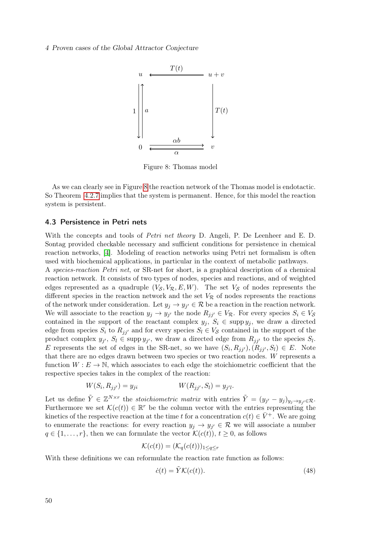### <span id="page-59-1"></span>4 Proven cases of the Global Attractor Conjecture



Figure 8: Thomas model

As we can clearly see in Figure [8](#page-59-1) the reaction network of the Thomas model is endotactic. So Theorem [4.2.7](#page-56-1) implies that the system is permanent. Hence, for this model the reaction system is persistent.

### <span id="page-59-0"></span>4.3 Persistence in Petri nets

With the concepts and tools of *Petri net theory* D. Angeli, P. De Leenheer and E. D. Sontag provided checkable necessary and sufficient conditions for persistence in chemical reaction networks, [\[4\]](#page-65-4). Modeling of reaction networks using Petri net formalism is often used with biochemical applications, in particular in the context of metabolic pathways.

A species-reaction Petri net, or SR-net for short, is a graphical description of a chemical reaction network. It consists of two types of nodes, species and reactions, and of weighted edges represented as a quadruple  $(V_S, V_R, E, W)$ . The set  $V_S$  of nodes represents the different species in the reaction network and the set  $V_R$  of nodes represents the reactions of the network under consideration. Let  $y_j \to y_{j'} \in \mathcal{R}$  be a reaction in the reaction network. We will associate to the reaction  $y_j \to y_{j'}$  the node  $R_{jj'} \in V_{\mathcal{R}}$ . For every species  $S_i \in V_{\mathcal{S}}$ contained in the support of the reactant complex  $y_j, S_i \in \text{supp } y_j$ , we draw a directed edge from species  $S_i$  to  $R_{ji'}$  and for every species  $S_l \in V_S$  contained in the support of the product complex  $y_{j'}$ ,  $S_l \in \text{supp } y_{j'}$ , we draw a directed edge from  $R_{jj'}$  to the species  $S_l$ . E represents the set of edges in the SR-net, so we have  $(S_i, R_{jj'})$ ,  $(R_{jj'}, S_l) \in E$ . Note that there are no edges drawn between two species or two reaction nodes. W represents a function  $W: E \to \mathbb{N}$ , which associates to each edge the stoichiometric coefficient that the respective species takes in the complex of the reaction:

$$
W(S_i, R_{jj'}) = y_{ji} \t W(R_{jj'}, S_l) = y_{j'l}.
$$

Let us define  $\tilde{Y} \in \mathbb{Z}^{N \times r}$  the *stoichiometric matrix* with entries  $\tilde{Y} = (y_{j'} - y_j)_{y_j \to y_{j'} \in \mathcal{R}}$ . Furthermore we set  $\mathcal{K}(c(t)) \in \mathbb{R}^r$  be the column vector with the entries representing the kinetics of the respective reaction at the time t for a concentration  $c(t) \in \overline{V}^+$ . We are going to enumerate the reactions: for every reaction  $y_j \to y_{j'} \in \mathcal{R}$  we will associate a number  $q \in \{1, \ldots, r\}$ , then we can formulate the vector  $\mathcal{K}(c(t))$ ,  $t \geq 0$ , as follows

$$
\mathcal{K}(c(t)) = (\mathcal{K}_q(c(t)))_{1 \le q \le r}
$$

With these definitions we can reformulate the reaction rate function as follows:

<span id="page-59-2"></span>
$$
\dot{c}(t) = \tilde{Y}\mathcal{K}(c(t)).\tag{48}
$$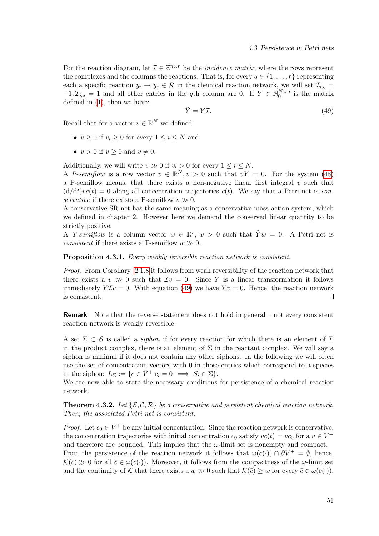For the reaction diagram, let  $\mathcal{I} \in \mathbb{Z}^{n \times r}$  be the *incidence matrix*, where the rows represent the complexes and the columns the reactions. That is, for every  $q \in \{1, \ldots, r\}$  representing each a specific reaction  $y_i \to y_j \in \mathcal{R}$  in the chemical reaction network, we will set  $\mathcal{I}_{i,q} =$  $-1, \mathcal{I}_{j,q} = 1$  and all other entries in the qth column are 0. If  $Y \in \mathbb{N}_0^{N \times n}$  is the matrix defined in [\(1\)](#page-11-2), then we have:

<span id="page-60-0"></span>
$$
\tilde{Y} = Y\mathcal{I}.\tag{49}
$$

Recall that for a vector  $v \in \mathbb{R}^N$  we defined:

- $v > 0$  if  $v_i > 0$  for every  $1 \le i \le N$  and
- $v > 0$  if  $v > 0$  and  $v \neq 0$ .

Additionally, we will write  $v \gg 0$  if  $v_i > 0$  for every  $1 \leq i \leq N$ .

A P-semiflow is a row vector  $v \in \mathbb{R}^N, v > 0$  such that  $v\tilde{Y} = 0$ . For the system [\(48\)](#page-59-2) a P-semiflow means, that there exists a non-negative linear first integral  $v$  such that  $(d/dt)vc(t) = 0$  along all concentration trajectories  $c(t)$ . We say that a Petri net is conservative if there exists a P-semiflow  $v \gg 0$ .

A conservative SR-net has the same meaning as a conservative mass-action system, which we defined in chapter 2. However here we demand the conserved linear quantity to be strictly positive.

A T-semiflow is a column vector  $w \in \mathbb{R}^r$ ,  $w > 0$  such that  $\tilde{Y}w = 0$ . A Petri net is *consistent* if there exists a T-semiflow  $w \gg 0$ .

Proposition 4.3.1. Every weakly reversible reaction network is consistent.

Proof. From Corollary [2.1.8](#page-24-0) it follows from weak reversibility of the reaction network that there exists a  $v \gg 0$  such that  $\mathcal{I}v = 0$ . Since Y is a linear transformation it follows immediately  $Y \mathcal{I} v = 0$ . With equation [\(49\)](#page-60-0) we have  $\tilde{Y} v = 0$ . Hence, the reaction network is consistent.  $\Box$ 

Remark Note that the reverse statement does not hold in general – not every consistent reaction network is weakly reversible.

A set  $\Sigma \subset \mathcal{S}$  is called a *siphon* if for every reaction for which there is an element of  $\Sigma$ in the product complex, there is an element of  $\Sigma$  in the reactant complex. We will say a siphon is minimal if it does not contain any other siphons. In the following we will often use the set of concentration vectors with 0 in those entries which correspond to a species in the siphon:  $L_{\Sigma} := \{c \in \bar{V}^+ | c_i = 0 \iff S_i \in \Sigma \}.$ 

We are now able to state the necessary conditions for persistence of a chemical reaction network.

**Theorem 4.3.2.** Let  $\{S, C, R\}$  be a conservative and persistent chemical reaction network. Then, the associated Petri net is consistent.

*Proof.* Let  $c_0 \in V^+$  be any initial concentration. Since the reaction network is conservative, the concentration trajectories with initial concentration  $c_0$  satisfy  $vc(t) = vc_0$  for a  $v \in V^+$ and therefore are bounded. This implies that the  $\omega$ -limit set is nonempty and compact. From the persistence of the reaction network it follows that  $\omega(c(\cdot)) \cap \partial \bar{V}^+ = \emptyset$ , hence,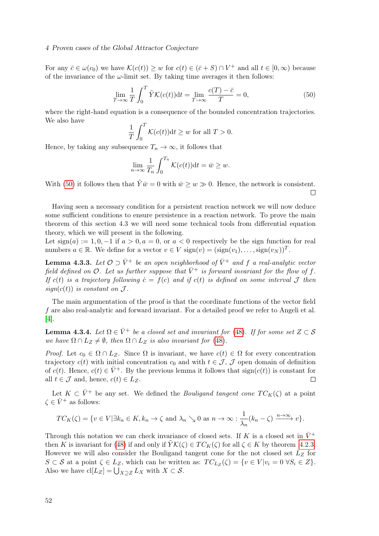### 4 Proven cases of the Global Attractor Conjecture

For any  $\bar{c} \in \omega(c_0)$  we have  $\mathcal{K}(c(t)) \geq w$  for  $c(t) \in (\bar{c} + S) \cap V^+$  and all  $t \in [0, \infty)$  because of the invariance of the  $\omega$ -limit set. By taking time averages it then follows:

<span id="page-61-0"></span>
$$
\lim_{T \to \infty} \frac{1}{T} \int_0^T \tilde{Y} \mathcal{K}(c(t)) \mathrm{d}t = \lim_{T \to \infty} \frac{c(T) - \bar{c}}{T} = 0,\tag{50}
$$

where the right-hand equation is a consequence of the bounded concentration trajectories. We also have

$$
\frac{1}{T} \int_0^T \mathcal{K}(c(t)) \mathrm{d}t \ge w \text{ for all } T > 0.
$$

Hence, by taking any subsequence  $T_n \to \infty$ , it follows that

$$
\lim_{n \to \infty} \frac{1}{T_n} \int_0^{T_n} \mathcal{K}(c(t)) dt = \bar{w} \geq w.
$$

With [\(50\)](#page-61-0) it follows then that  $\tilde{Y}\bar{w}=0$  with  $\bar{w}\geq w\gg 0$ . Hence, the network is consistent.  $\Box$ 

Having seen a necessary condition for a persistent reaction network we will now deduce some sufficient conditions to ensure persistence in a reaction network. To prove the main theorem of this section 4.3 we will need some technical tools from differential equation theory, which we will present in the following.

Let  $sign(a) := 1, 0, -1$  if  $a > 0, a = 0$ , or  $a < 0$  respectively be the sign function for real numbers  $a \in \mathbb{R}$ . We define for a vector  $v \in V$  sign $(v) = (\text{sign}(v_1), \dots, \text{sign}(v_N))^T$ .

**Lemma 4.3.3.** Let  $\mathcal{O} \supset \bar{V}^+$  be an open neighborhood of  $\bar{V}^+$  and f a real-analytic vector field defined on  $\mathcal O$ . Let us further suppose that  $\bar V^+$  is forward invariant for the flow of f. If c(t) is a trajectory following  $\dot{c} = f(c)$  and if c(t) is defined on some interval J then sign( $c(t)$ ) is constant on  $\mathcal{J}$ .

The main argumentation of the proof is that the coordinate functions of the vector field f are also real-analytic and forward invariant. For a detailed proof we refer to Angeli et al. [\[4\]](#page-65-4).

<span id="page-61-1"></span>**Lemma 4.3.4.** Let  $\Omega \in \overline{V}^+$  be a closed set and invariant for [\(48\)](#page-59-2). If for some set  $Z \subset S$ we have  $\Omega \cap L_Z \neq \emptyset$ , then  $\Omega \cap L_Z$  is also invariant for [\(48\)](#page-59-2).

Proof. Let  $c_0 \in \Omega \cap L_Z$ . Since  $\Omega$  is invariant, we have  $c(t) \in \Omega$  for every concentration trajectory  $c(t)$  with initial concentration  $c_0$  and with  $t \in \mathcal{J}$ ,  $\mathcal{J}$  open domain of definition of  $c(t)$ . Hence,  $c(t) \in \overline{V}^+$ . By the previous lemma it follows that  $sign(c(t))$  is constant for all  $t \in \mathcal{J}$  and, hence,  $c(t) \in L_Z$ .  $\Box$ 

Let  $K \subset \bar{V}^+$  be any set. We defined the *Bouligand tangent cone*  $TC_K(\zeta)$  at a point  $\zeta \in \bar{V}^+$  as follows:

$$
TC_K(\zeta) = \{ v \in V | \exists k_n \in K, k_n \to \zeta \text{ and } \lambda_n \searrow 0 \text{ as } n \to \infty : \frac{1}{\lambda_n}(k_n - \zeta) \xrightarrow{n \to \infty} v \}.
$$

Through this notation we can check invariance of closed sets. If K is a closed set in  $\bar{V}^+$ then K is invariant for [\(48\)](#page-59-2) if and only if  $\tilde{Y}K(\zeta) \in TC_K(\zeta)$  for all  $\zeta \in K$  by theorem [4.2.3.](#page-51-3) However we will also consider the Bouligand tangent cone for the not closed set  $L<sub>Z</sub>$  for  $S \subset S$  at a point  $\zeta \in L_Z$ , which can be written as:  $TC_{L_Z}(\zeta) = \{v \in V | v_i = 0 \ \forall S_i \in Z\}.$ Also we have  $\text{cl}[L_Z] = \bigcup_{X \supseteq Z} L_X$  with  $X \subset \mathcal{S}$ .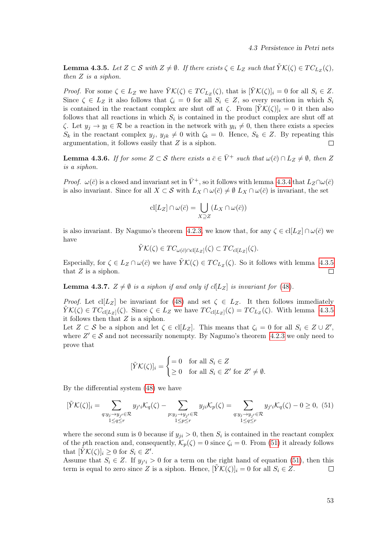<span id="page-62-0"></span>**Lemma 4.3.5.** Let  $Z \subset S$  with  $Z \neq \emptyset$ . If there exists  $\zeta \in L_Z$  such that  $\tilde{Y}K(\zeta) \in TC_{L_Z}(\zeta)$ , then Z is a siphon.

*Proof.* For some  $\zeta \in L_Z$  we have  $\tilde{Y}K(\zeta) \in TC_{L_Z}(\zeta)$ , that is  $[\tilde{Y}K(\zeta)]_i = 0$  for all  $S_i \in Z$ . Since  $\zeta \in L_Z$  it also follows that  $\zeta_i = 0$  for all  $S_i \in Z$ , so every reaction in which  $S_i$ is contained in the reactant complex are shut off at  $\zeta$ . From  $[YK(\zeta)]_i = 0$  it then also follows that all reactions in which  $S_i$  is contained in the product complex are shut off at  $\zeta$ . Let  $y_j \to y_l \in \mathcal{R}$  be a reaction in the network with  $y_{li} \neq 0$ , then there exists a species  $S_k$  in the reactant complex  $y_j, y_{jk} \neq 0$  with  $\zeta_k = 0$ . Hence,  $S_k \in \mathbb{Z}$ . By repeating this argumentation, it follows easily that Z is a siphon.  $\Box$ 

<span id="page-62-2"></span>**Lemma 4.3.6.** If for some  $Z \subset S$  there exists  $a \bar{c} \in \bar{V}^+$  such that  $\omega(\bar{c}) \cap L_z \neq \emptyset$ , then Z is a siphon.

*Proof.*  $\omega(\bar{c})$  is a closed and invariant set in  $\bar{V}^+$ , so it follows with lemma [4.3.4](#page-61-1) that  $L_Z \cap \omega(\bar{c})$ is also invariant. Since for all  $X \subset S$  with  $L_X \cap \omega(\bar{c}) \neq \emptyset$   $L_X \cap \omega(\bar{c})$  is invariant, the set

$$
\mathrm{cl}[L_Z] \cap \omega(\bar{c}) = \bigcup_{X \supseteq Z} (L_X \cap \omega(\bar{c}))
$$

is also invariant. By Nagumo's theorem [4.2.3,](#page-51-3) we know that, for any  $\zeta \in \text{cl}[L_Z] \cap \omega(\bar{c})$  we have

$$
\tilde{Y}\mathcal{K}(\zeta) \in TC_{\omega(\bar{c})\cap \mathrm{cl}[L_Z]}(\zeta) \subset TC_{\mathrm{cl}[L_Z]}(\zeta).
$$

Especially, for  $\zeta \in L_Z \cap \omega(\bar{c})$  we have  $\tilde{Y} \mathcal{K}(\zeta) \in TC_{L_Z}(\zeta)$ . So it follows with lemma [4.3.5](#page-62-0) that  $Z$  is a siphon.  $\Box$ 

**Lemma 4.3.7.**  $Z \neq \emptyset$  is a siphon if and only if  $cl[L_Z]$  is invariant for [\(48\)](#page-59-2).

*Proof.* Let  $\text{cl}[L_Z]$  be invariant for [\(48\)](#page-59-2) and set  $\zeta \in L_Z$ . It then follows immediately  $\tilde{Y}K(\zeta) \in TC_{\text{cl}[L_Z]}(\zeta)$ . Since  $\zeta \in L_Z$  we have  $TC_{\text{cl}[L_Z]}(\zeta) = TC_{L_Z}(\zeta)$ . With lemma [4.3.5](#page-62-0) it follows then that  $Z$  is a siphon.

Let  $Z \subset S$  be a siphon and let  $\zeta \in \text{cl}[L_Z]$ . This means that  $\zeta_i = 0$  for all  $S_i \in Z \cup Z'$ , where  $Z' \in \mathcal{S}$  and not necessarily nonempty. By Nagumo's theorem [4.2.3](#page-51-3) we only need to prove that

$$
[\tilde{Y}\mathcal{K}(\zeta)]_i = \begin{cases} =0 & \text{for all } S_i \in Z \\ \geq 0 & \text{for all } S_i \in Z' \text{ for } Z' \neq \emptyset. \end{cases}
$$

By the differential system [\(48\)](#page-59-2) we have

<span id="page-62-1"></span>
$$
[\tilde{Y}\mathcal{K}(\zeta)]_i = \sum_{\substack{q:y_j \to y_{j'} \in \mathcal{R} \\ 1 \le q \le r}} y_{j'i} \mathcal{K}_q(\zeta) - \sum_{\substack{p:y_j \to y_{j'} \in \mathcal{R} \\ 1 \le p \le r}} y_{ji} \mathcal{K}_p(\zeta) = \sum_{\substack{q:y_j \to y_{j'} \in \mathcal{R} \\ 1 \le q \le r}} y_{j'i} \mathcal{K}_q(\zeta) - 0 \ge 0, \tag{51}
$$

where the second sum is 0 because if  $y_{ji} > 0$ , then  $S_i$  is contained in the reactant complex of the pth reaction and, consequently,  $\mathcal{K}_p(\zeta) = 0$  since  $\zeta_i = 0$ . From [\(51\)](#page-62-1) it already follows that  $[\tilde{Y}K(\zeta)]_i \geq 0$  for  $S_i \in Z'.$ 

Assume that  $S_i \in \mathbb{Z}$ . If  $y_{j'i} > 0$  for a term on the right hand of equation [\(51\)](#page-62-1), then this term is equal to zero since Z is a siphon. Hence,  $[YK(\zeta)]_i = 0$  for all  $S_i \in \mathbb{Z}$ .  $\Box$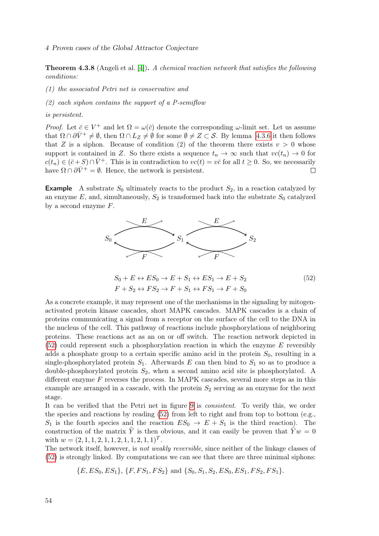<span id="page-63-1"></span>Theorem 4.3.8 (Angeli et al. [\[4\]](#page-65-4)). A chemical reaction network that satisfies the following conditions:

(1) the associated Petri net is conservative and

(2) each siphon contains the support of a P-semiflow

is persistent.

*Proof.* Let  $\bar{c} \in V^+$  and let  $\Omega = \omega(\bar{c})$  denote the corresponding  $\omega$ -limit set. Let us assume that  $\Omega \cap \partial \bar{V}^+ \neq \emptyset$ , then  $\Omega \cap L_Z \neq \emptyset$  for some  $\emptyset \neq Z \subset S$ . By lemma [4.3.6](#page-62-2) it then follows that Z is a siphon. Because of condition (2) of the theorem there exists  $v > 0$  whose support is contained in Z. So there exists a sequence  $t_n \to \infty$  such that  $vc(t_n) \to 0$  for  $c(t_n) \in (\bar{c}+S) \cap \bar{V}^+$ . This is in contradiction to  $vc(t) = v\bar{c}$  for all  $t \geq 0$ . So, we necessarily have  $\Omega \cap \partial \bar{V}^+ = \emptyset$ . Hence, the network is persistent.  $\Box$ 

**Example** A substrate  $S_0$  ultimately reacts to the product  $S_2$ , in a reaction catalyzed by an enzyme E, and, simultaneously,  $S_2$  is transformed back into the substrate  $S_0$  catalyzed by a second enzyme  $F$ .



<span id="page-63-0"></span>
$$
S_0 + E \leftrightarrow ES_0 \to E + S_1 \leftrightarrow ES_1 \to E + S_2
$$
  
\n
$$
F + S_2 \leftrightarrow FS_2 \to F + S_1 \leftrightarrow FS_1 \to F + S_0
$$
\n(52)

As a concrete example, it may represent one of the mechanisms in the signaling by mitogenactivated protein kinase cascades, short MAPK cascades. MAPK cascades is a chain of proteins communicating a signal from a receptor on the surface of the cell to the DNA in the nucleus of the cell. This pathway of reactions include phosphorylations of neighboring proteins. These reactions act as an on or off switch. The reaction network depicted in  $(52)$  could represent such a phosphorylation reaction in which the enzyme E reversibly adds a phosphate group to a certain specific amino acid in the protein  $S_0$ , resulting in a single-phosphorylated protein  $S_1$ . Afterwards E can then bind to  $S_1$  so as to produce a double-phosphorylated protein  $S_2$ , when a second amino acid site is phosphorylated. A different enzyme  $F$  reverses the process. In MAPK cascades, several more steps as in this example are arranged in a cascade, with the protein  $S_2$  serving as an enzyme for the next stage.

It can be verified that the Petri net in figure [9](#page-64-0) is consistent. To verify this, we order the species and reactions by reading [\(52\)](#page-63-0) from left to right and from top to bottom (e.g.,  $S_1$  is the fourth species and the reaction  $ES_0 \rightarrow E + S_1$  is the third reaction). The construction of the matrix  $\tilde{Y}$  is then obvious, and it can easily be proven that  $\tilde{Y}w=0$ with  $w = (2, 1, 1, 2, 1, 1, 2, 1, 1, 2, 1, 1)^T$ .

The network itself, however, is not weakly reversible, since neither of the linkage classes of [\(52\)](#page-63-0) is strongly linked. By computations we can see that there are three minimal siphons:

 ${E, ES_0, ES_1}, {F, FS_1, FS_2}$  and  ${S_0, S_1, S_2, ES_0, ES_1, FS_2, FS_1}.$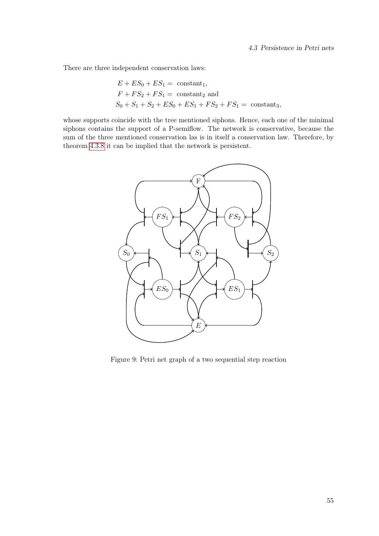There are three independent conservation laws:

$$
E + ES_0 + ES_1 = \text{constant}_1,
$$
  
\n
$$
F + FS_2 + FS_1 = \text{constant}_2 \text{ and}
$$
  
\n
$$
S_0 + S_1 + S_2 + ES_0 + ES_1 + FS_2 + FS_1 = \text{constant}_3,
$$

<span id="page-64-0"></span>whose supports coincide with the tree mentioned siphons. Hence, each one of the minimal siphons contains the support of a P-semiflow. The network is conservative, because the sum of the three mentioned conservation las is in itself a conservation law. Therefore, by theorem [4.3.8](#page-63-1) it can be implied that the network is persistent.



Figure 9: Petri net graph of a two sequential step reaction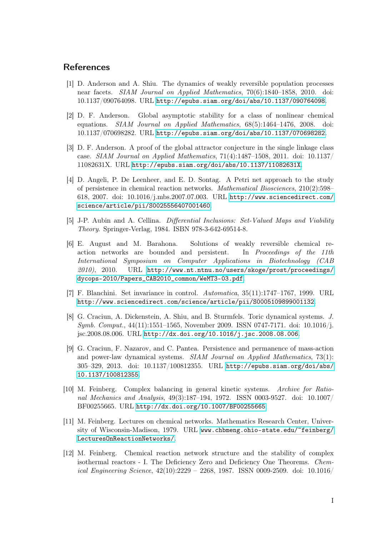### <span id="page-65-0"></span>References

- <span id="page-65-7"></span>[1] D. Anderson and A. Shiu. The dynamics of weakly reversible population processes near facets. SIAM Journal on Applied Mathematics, 70(6):1840–1858, 2010. doi: 10.1137/090764098. URL <http://epubs.siam.org/doi/abs/10.1137/090764098>.
- <span id="page-65-9"></span>[2] D. F. Anderson. Global asymptotic stability for a class of nonlinear chemical equations. SIAM Journal on Applied Mathematics, 68(5):1464–1476, 2008. doi: 10.1137/070698282. URL <http://epubs.siam.org/doi/abs/10.1137/070698282>.
- <span id="page-65-2"></span>[3] D. F. Anderson. A proof of the global attractor conjecture in the single linkage class case. SIAM Journal on Applied Mathematics, 71(4):1487–1508, 2011. doi: 10.1137/ 11082631X. URL <http://epubs.siam.org/doi/abs/10.1137/11082631X>.
- <span id="page-65-4"></span>[4] D. Angeli, P. De Leenheer, and E. D. Sontag. A Petri net approach to the study of persistence in chemical reaction networks. Mathematical Biosciences, 210(2):598– 618, 2007. doi: 10.1016/j.mbs.2007.07.003. URL [http://www.sciencedirect.com/](http://www.sciencedirect.com/science/article/pii/S0025556407001460) [science/article/pii/S0025556407001460](http://www.sciencedirect.com/science/article/pii/S0025556407001460).
- <span id="page-65-11"></span>[5] J-P. Aubin and A. Cellina. Differential Inclusions: Set-Valued Maps and Viability Theory. Springer-Verlag, 1984. ISBN 978-3-642-69514-8.
- <span id="page-65-1"></span>[6] E. August and M. Barahona. Solutions of weakly reversible chemical reaction networks are bounded and persistent. In Proceedings of the 11th International Symposium on Computer Applications in Biotechnology (CAB 2010), 2010. URL [http://www.nt.ntnu.no/users/skoge/prost/proceedings/](http://www.nt.ntnu.no/users/skoge/prost/proceedings/dycops-2010/Papers_CAB2010_common/WeMT3-03.pdf) [dycops-2010/Papers\\_CAB2010\\_common/WeMT3-03.pdf](http://www.nt.ntnu.no/users/skoge/prost/proceedings/dycops-2010/Papers_CAB2010_common/WeMT3-03.pdf).
- <span id="page-65-12"></span>[7] F. Blanchini. Set invariance in control. Automatica, 35(11):1747–1767, 1999. URL <http://www.sciencedirect.com/science/article/pii/S0005109899001132>.
- <span id="page-65-10"></span>[8] G. Craciun, A. Dickenstein, A. Shiu, and B. Sturmfels. Toric dynamical systems. J. Symb. Comput., 44(11):1551–1565, November 2009. ISSN 0747-7171. doi: 10.1016/j. jsc.2008.08.006. URL <http://dx.doi.org/10.1016/j.jsc.2008.08.006>.
- <span id="page-65-3"></span>[9] G. Craciun, F. Nazarov, and C. Pantea. Persistence and permanence of mass-action and power-law dynamical systems. SIAM Journal on Applied Mathematics, 73(1): 305–329, 2013. doi: 10.1137/100812355. URL [http://epubs.siam.org/doi/abs/](http://epubs.siam.org/doi/abs/10.1137/100812355) [10.1137/100812355](http://epubs.siam.org/doi/abs/10.1137/100812355).
- <span id="page-65-5"></span>[10] M. Feinberg. Complex balancing in general kinetic systems. Archive for Rational Mechanics and Analysis, 49(3):187–194, 1972. ISSN 0003-9527. doi: 10.1007/ BF00255665. URL <http://dx.doi.org/10.1007/BF00255665>.
- <span id="page-65-6"></span>[11] M. Feinberg. Lectures on chemical networks. Mathematics Research Center, University of Wisconsin-Madison, 1979. URL [www.chbmeng.ohio-state.edu/~feinberg/](www.chbmeng.ohio-state.edu/~feinberg/LecturesOnReactionNetworks/) [LecturesOnReactionNetworks/](www.chbmeng.ohio-state.edu/~feinberg/LecturesOnReactionNetworks/).
- <span id="page-65-8"></span>[12] M. Feinberg. Chemical reaction network structure and the stability of complex isothermal reactors - I. The Deficiency Zero and Deficiency One Theorems. Chemical Engineering Science, 42(10):2229 – 2268, 1987. ISSN 0009-2509. doi: 10.1016/